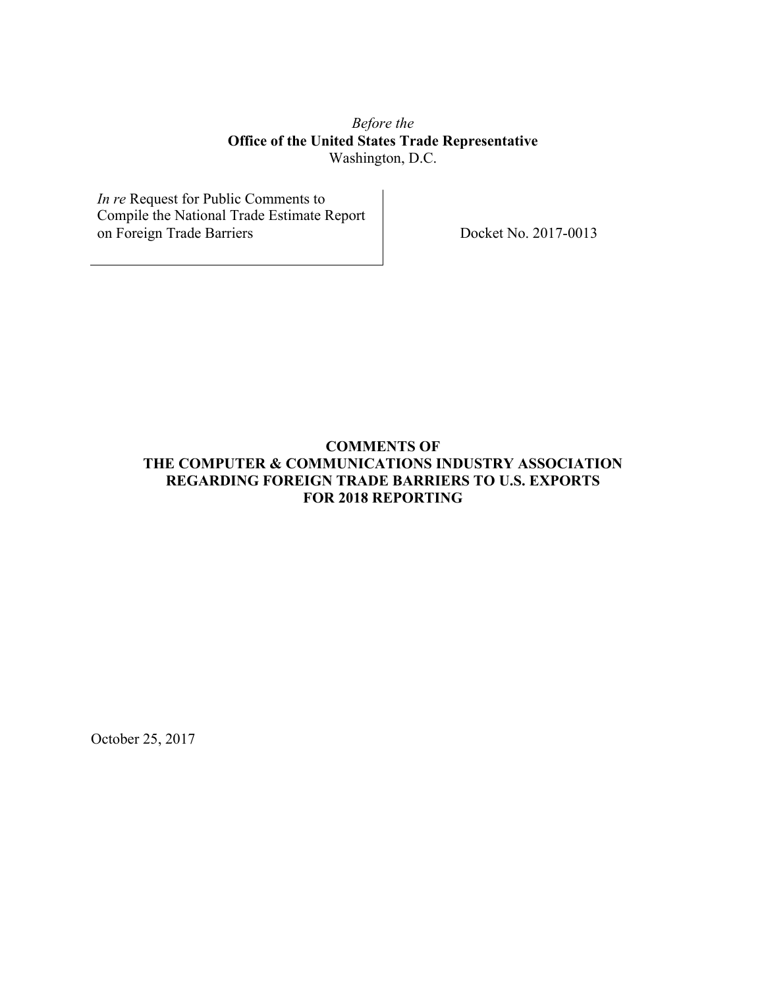# *Before the* **Office of the United States Trade Representative** Washington, D.C.

*In re* Request for Public Comments to Compile the National Trade Estimate Report on Foreign Trade Barriers Docket No. 2017-0013

# **COMMENTS OF THE COMPUTER & COMMUNICATIONS INDUSTRY ASSOCIATION REGARDING FOREIGN TRADE BARRIERS TO U.S. EXPORTS FOR 2018 REPORTING**

October 25, 2017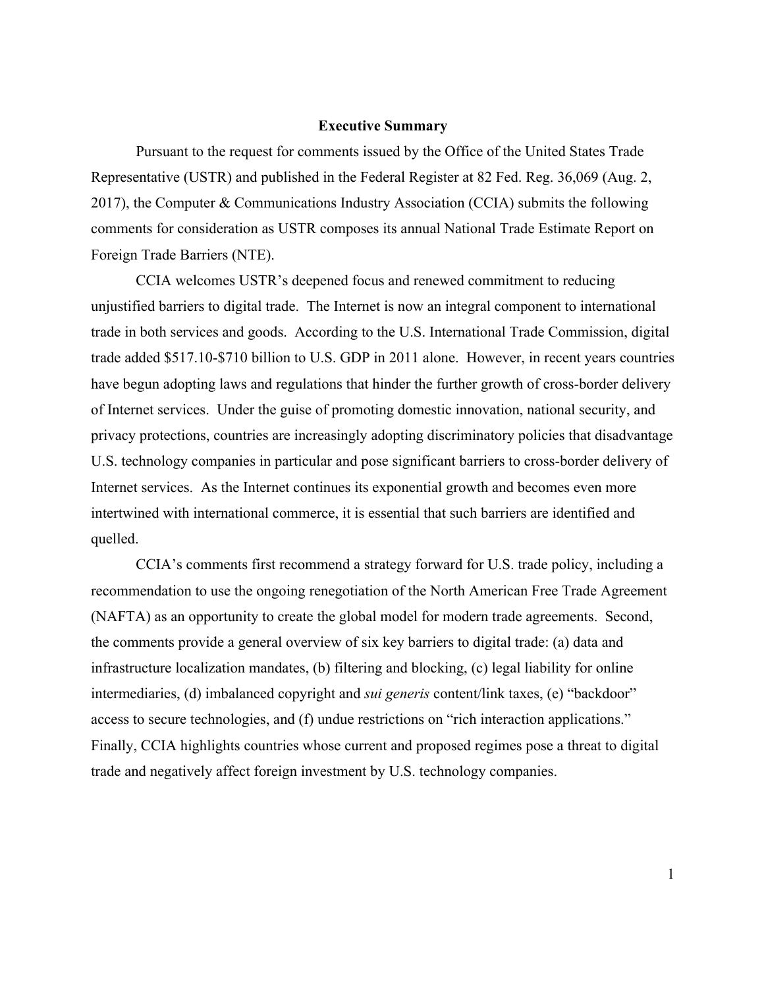#### **Executive Summary**

Pursuant to the request for comments issued by the Office of the United States Trade Representative (USTR) and published in the Federal Register at 82 Fed. Reg. 36,069 (Aug. 2, 2017), the Computer & Communications Industry Association (CCIA) submits the following comments for consideration as USTR composes its annual National Trade Estimate Report on Foreign Trade Barriers (NTE).

CCIA welcomes USTR's deepened focus and renewed commitment to reducing unjustified barriers to digital trade. The Internet is now an integral component to international trade in both services and goods. According to the U.S. International Trade Commission, digital trade added \$517.10-\$710 billion to U.S. GDP in 2011 alone. However, in recent years countries have begun adopting laws and regulations that hinder the further growth of cross-border delivery of Internet services. Under the guise of promoting domestic innovation, national security, and privacy protections, countries are increasingly adopting discriminatory policies that disadvantage U.S. technology companies in particular and pose significant barriers to cross-border delivery of Internet services. As the Internet continues its exponential growth and becomes even more intertwined with international commerce, it is essential that such barriers are identified and quelled.

CCIA's comments first recommend a strategy forward for U.S. trade policy, including a recommendation to use the ongoing renegotiation of the North American Free Trade Agreement (NAFTA) as an opportunity to create the global model for modern trade agreements. Second, the comments provide a general overview of six key barriers to digital trade: (a) data and infrastructure localization mandates, (b) filtering and blocking, (c) legal liability for online intermediaries, (d) imbalanced copyright and *sui generis* content/link taxes, (e) "backdoor" access to secure technologies, and (f) undue restrictions on "rich interaction applications." Finally, CCIA highlights countries whose current and proposed regimes pose a threat to digital trade and negatively affect foreign investment by U.S. technology companies.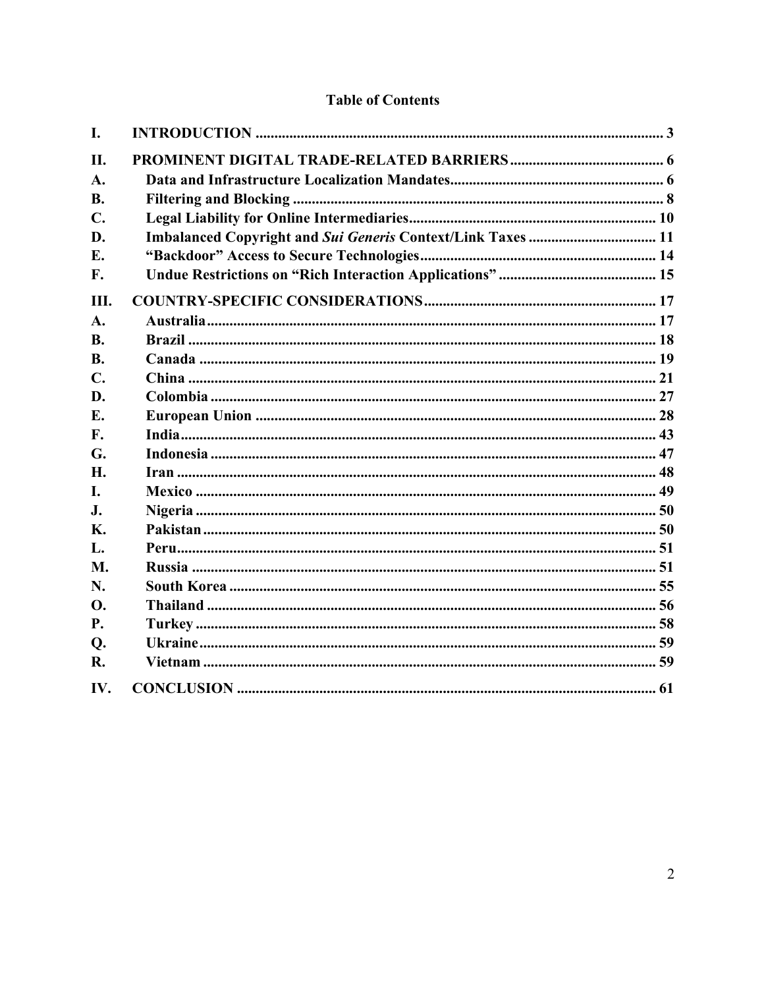# **Table of Contents**

| I.             |                                                             |  |
|----------------|-------------------------------------------------------------|--|
| <b>II.</b>     |                                                             |  |
| $\mathbf{A}$ . |                                                             |  |
| <b>B.</b>      |                                                             |  |
| $\mathbf{C}$ . |                                                             |  |
| D.             | Imbalanced Copyright and Sui Generis Context/Link Taxes  11 |  |
| E.             |                                                             |  |
| F.             |                                                             |  |
| III.           |                                                             |  |
| $\mathbf{A}$ . |                                                             |  |
| <b>B.</b>      |                                                             |  |
| <b>B.</b>      |                                                             |  |
| $\mathbf{C}$ . |                                                             |  |
| D.             |                                                             |  |
| E.             |                                                             |  |
| $\mathbf{F}$ . |                                                             |  |
| G.             |                                                             |  |
| Н.             |                                                             |  |
| L.             |                                                             |  |
| J.             |                                                             |  |
| <b>K.</b>      |                                                             |  |
| L.             |                                                             |  |
| <b>M.</b>      |                                                             |  |
| N.             |                                                             |  |
| <b>O.</b>      |                                                             |  |
| <b>P.</b>      |                                                             |  |
| <b>O.</b>      |                                                             |  |
| R.             |                                                             |  |
| IV.            |                                                             |  |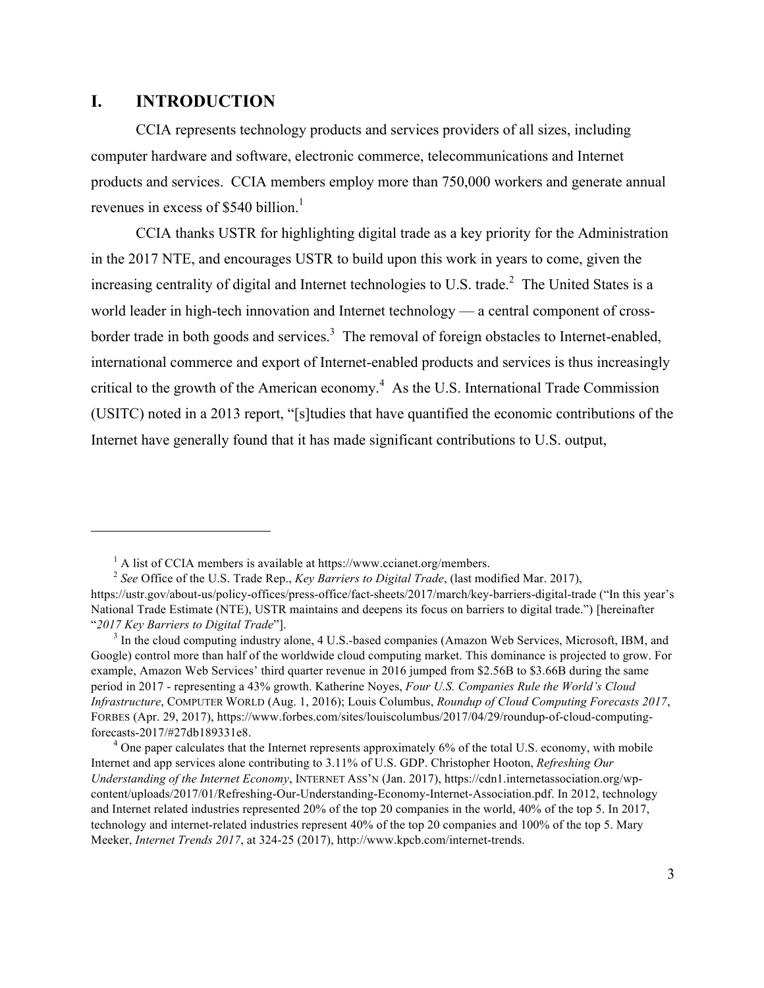# **I. INTRODUCTION**

1

CCIA represents technology products and services providers of all sizes, including computer hardware and software, electronic commerce, telecommunications and Internet products and services. CCIA members employ more than 750,000 workers and generate annual revenues in excess of \$540 billion.<sup>1</sup>

CCIA thanks USTR for highlighting digital trade as a key priority for the Administration in the 2017 NTE, and encourages USTR to build upon this work in years to come, given the increasing centrality of digital and Internet technologies to U.S. trade.<sup>2</sup> The United States is a world leader in high-tech innovation and Internet technology — a central component of crossborder trade in both goods and services.<sup>3</sup> The removal of foreign obstacles to Internet-enabled, international commerce and export of Internet-enabled products and services is thus increasingly critical to the growth of the American economy.<sup>4</sup> As the U.S. International Trade Commission (USITC) noted in a 2013 report, "[s]tudies that have quantified the economic contributions of the Internet have generally found that it has made significant contributions to U.S. output,

<sup>&</sup>lt;sup>1</sup> A list of CCIA members is available at https://www.ccianet.org/members.

<sup>2</sup> *See* Office of the U.S. Trade Rep., *Key Barriers to Digital Trade*, (last modified Mar. 2017), https://ustr.gov/about-us/policy-offices/press-office/fact-sheets/2017/march/key-barriers-digital-trade ("In this year's National Trade Estimate (NTE), USTR maintains and deepens its focus on barriers to digital trade.") [hereinafter "*2017 Key Barriers to Digital Trade*"]. 3 In the cloud computing industry alone, 4 U.S.-based companies (Amazon Web Services, Microsoft, IBM, and

Google) control more than half of the worldwide cloud computing market. This dominance is projected to grow. For example, Amazon Web Services' third quarter revenue in 2016 jumped from \$2.56B to \$3.66B during the same period in 2017 - representing a 43% growth. Katherine Noyes, *Four U.S. Companies Rule the World's Cloud Infrastructure*, COMPUTER WORLD (Aug. 1, 2016); Louis Columbus, *Roundup of Cloud Computing Forecasts 2017*, FORBES (Apr. 29, 2017), https://www.forbes.com/sites/louiscolumbus/2017/04/29/roundup-of-cloud-computingforecasts-2017/#27db189331e8. 4 One paper calculates that the Internet represents approximately 6% of the total U.S. economy, with mobile

Internet and app services alone contributing to 3.11% of U.S. GDP. Christopher Hooton, *Refreshing Our Understanding of the Internet Economy*, INTERNET ASS'N (Jan. 2017), https://cdn1.internetassociation.org/wpcontent/uploads/2017/01/Refreshing-Our-Understanding-Economy-Internet-Association.pdf. In 2012, technology and Internet related industries represented 20% of the top 20 companies in the world, 40% of the top 5. In 2017, technology and internet-related industries represent 40% of the top 20 companies and 100% of the top 5. Mary Meeker, *Internet Trends 2017*, at 324-25 (2017), http://www.kpcb.com/internet-trends.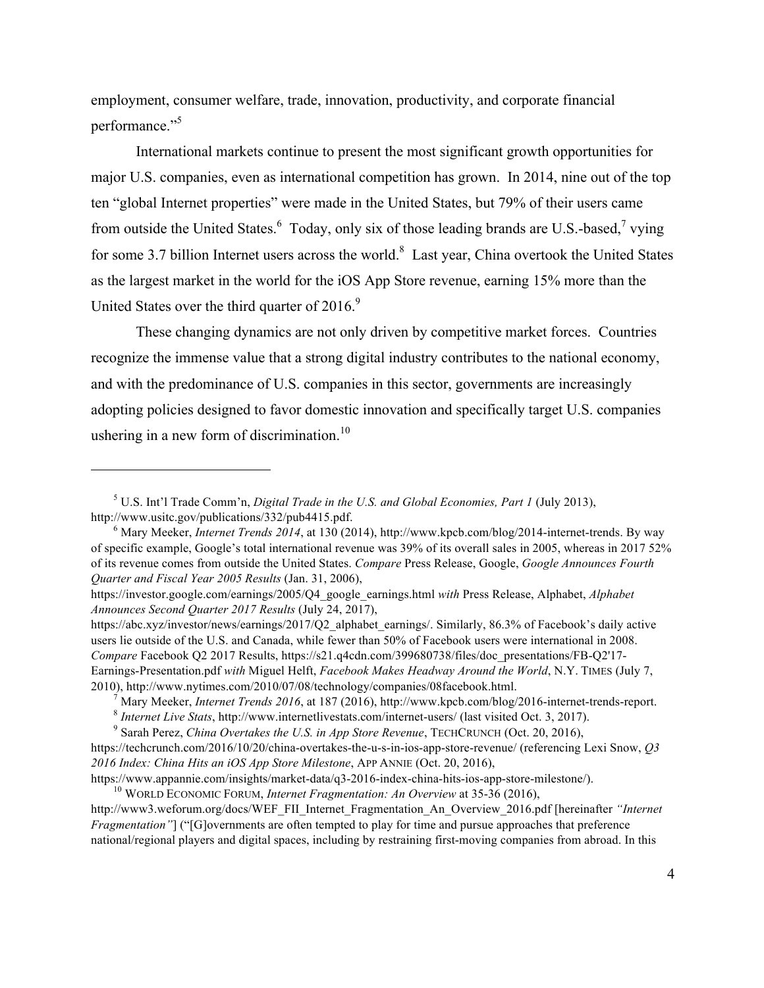employment, consumer welfare, trade, innovation, productivity, and corporate financial performance."<sup>5</sup>

International markets continue to present the most significant growth opportunities for major U.S. companies, even as international competition has grown. In 2014, nine out of the top ten "global Internet properties" were made in the United States, but 79% of their users came from outside the United States.<sup>6</sup> Today, only six of those leading brands are U.S.-based,<sup>7</sup> vying for some 3.7 billion Internet users across the world.<sup>8</sup> Last year, China overtook the United States as the largest market in the world for the iOS App Store revenue, earning 15% more than the United States over the third quarter of  $2016$ .<sup>9</sup>

These changing dynamics are not only driven by competitive market forces. Countries recognize the immense value that a strong digital industry contributes to the national economy, and with the predominance of U.S. companies in this sector, governments are increasingly adopting policies designed to favor domestic innovation and specifically target U.S. companies ushering in a new form of discrimination.<sup>10</sup>

1

https://abc.xyz/investor/news/earnings/2017/Q2\_alphabet\_earnings/. Similarly, 86.3% of Facebook's daily active users lie outside of the U.S. and Canada, while fewer than 50% of Facebook users were international in 2008. *Compare* Facebook Q2 2017 Results, https://s21.q4cdn.com/399680738/files/doc\_presentations/FB-Q2'17- Earnings-Presentation.pdf *with* Miguel Helft, *Facebook Makes Headway Around the World*, N.Y. TIMES (July 7, 2010), http://www.nytimes.com/2010/07/08/technology/companies/08facebook.html.

https://techcrunch.com/2016/10/20/china-overtakes-the-u-s-in-ios-app-store-revenue/ (referencing Lexi Snow, *Q3 2016 Index: China Hits an iOS App Store Milestone*, APP ANNIE (Oct. 20, 2016),

<sup>5</sup> U.S. Int'l Trade Comm'n, *Digital Trade in the U.S. and Global Economies, Part 1* (July 2013), http://www.usitc.gov/publications/332/pub4415.pdf.

<sup>6</sup> Mary Meeker, *Internet Trends 2014*, at 130 (2014), http://www.kpcb.com/blog/2014-internet-trends. By way of specific example, Google's total international revenue was 39% of its overall sales in 2005, whereas in 2017 52% of its revenue comes from outside the United States. *Compare* Press Release, Google, *Google Announces Fourth Quarter and Fiscal Year 2005 Results* (Jan. 31, 2006),

https://investor.google.com/earnings/2005/Q4\_google\_earnings.html *with* Press Release, Alphabet, *Alphabet Announces Second Quarter 2017 Results* (July 24, 2017),

<sup>7</sup> Mary Meeker, *Internet Trends 2016*, at 187 (2016), http://www.kpcb.com/blog/2016-internet-trends-report.

<sup>8</sup> *Internet Live Stats*, http://www.internetlivestats.com/internet-users/ (last visited Oct. 3, 2017).

<sup>9</sup> Sarah Perez, *China Overtakes the U.S. in App Store Revenue*, TECHCRUNCH (Oct. 20, 2016),

https://www.appannie.com/insights/market-data/q3-2016-index-china-hits-ios-app-store-milestone/).

<sup>10</sup> WORLD ECONOMIC FORUM, *Internet Fragmentation: An Overview* at 35-36 (2016),

http://www3.weforum.org/docs/WEF\_FII\_Internet\_Fragmentation\_An\_Overview\_2016.pdf [hereinafter *"Internet Fragmentation"*] ("[G]overnments are often tempted to play for time and pursue approaches that preference national/regional players and digital spaces, including by restraining first-moving companies from abroad. In this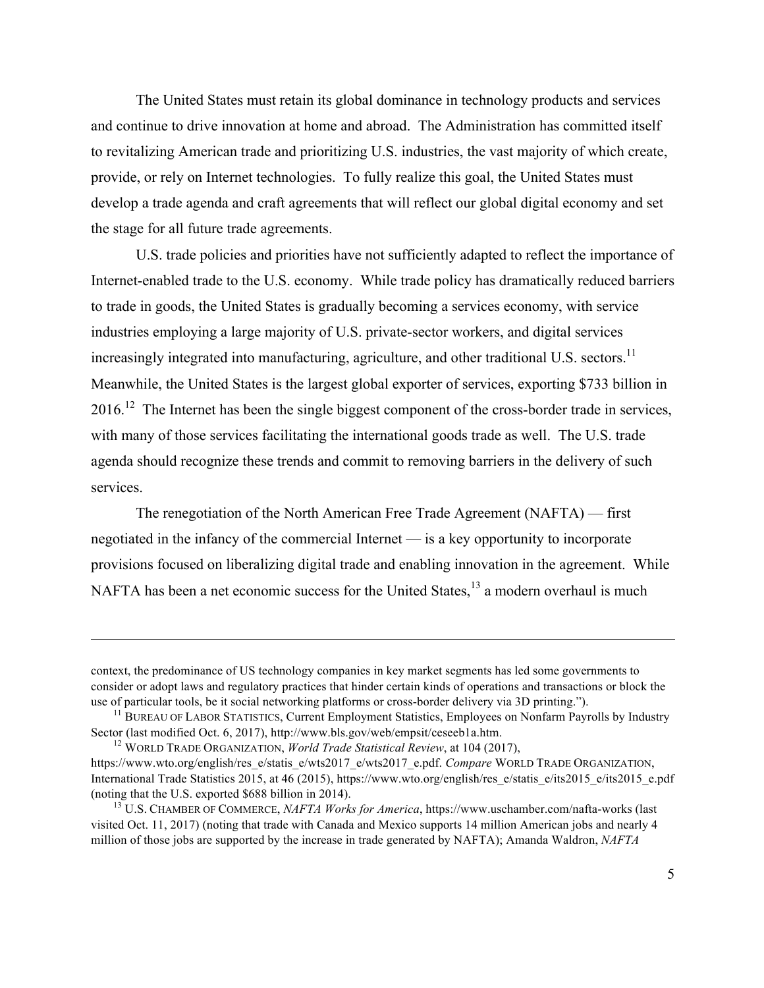The United States must retain its global dominance in technology products and services and continue to drive innovation at home and abroad. The Administration has committed itself to revitalizing American trade and prioritizing U.S. industries, the vast majority of which create, provide, or rely on Internet technologies. To fully realize this goal, the United States must develop a trade agenda and craft agreements that will reflect our global digital economy and set the stage for all future trade agreements.

U.S. trade policies and priorities have not sufficiently adapted to reflect the importance of Internet-enabled trade to the U.S. economy. While trade policy has dramatically reduced barriers to trade in goods, the United States is gradually becoming a services economy, with service industries employing a large majority of U.S. private-sector workers, and digital services increasingly integrated into manufacturing, agriculture, and other traditional U.S. sectors.<sup>11</sup> Meanwhile, the United States is the largest global exporter of services, exporting \$733 billion in 2016.<sup>12</sup> The Internet has been the single biggest component of the cross-border trade in services, with many of those services facilitating the international goods trade as well. The U.S. trade agenda should recognize these trends and commit to removing barriers in the delivery of such services.

The renegotiation of the North American Free Trade Agreement (NAFTA) — first negotiated in the infancy of the commercial Internet — is a key opportunity to incorporate provisions focused on liberalizing digital trade and enabling innovation in the agreement. While NAFTA has been a net economic success for the United States,<sup>13</sup> a modern overhaul is much

context, the predominance of US technology companies in key market segments has led some governments to consider or adopt laws and regulatory practices that hinder certain kinds of operations and transactions or block the use of particular tools, be it social networking platforms or cross-border delivery via 3D printing.").<br><sup>11</sup> BUREAU OF LABOR STATISTICS, Current Employment Statistics, Employees on Nonfarm Payrolls by Industry

Sector (last modified Oct. 6, 2017), http://www.bls.gov/web/empsit/ceseeb1a.htm. 12 WORLD TRADE ORGANIZATION, *World Trade Statistical Review*, at 104 (2017),

https://www.wto.org/english/res\_e/statis\_e/wts2017\_e/wts2017\_e.pdf. *Compare* WORLD TRADE ORGANIZATION, International Trade Statistics 2015, at 46 (2015), https://www.wto.org/english/res\_e/statis\_e/its2015\_e/its2015\_e.pdf (noting that the U.S. exported \$688 billion in 2014).

<sup>13</sup> U.S. CHAMBER OF COMMERCE, *NAFTA Works for America*, https://www.uschamber.com/nafta-works (last visited Oct. 11, 2017) (noting that trade with Canada and Mexico supports 14 million American jobs and nearly 4 million of those jobs are supported by the increase in trade generated by NAFTA); Amanda Waldron, *NAFTA*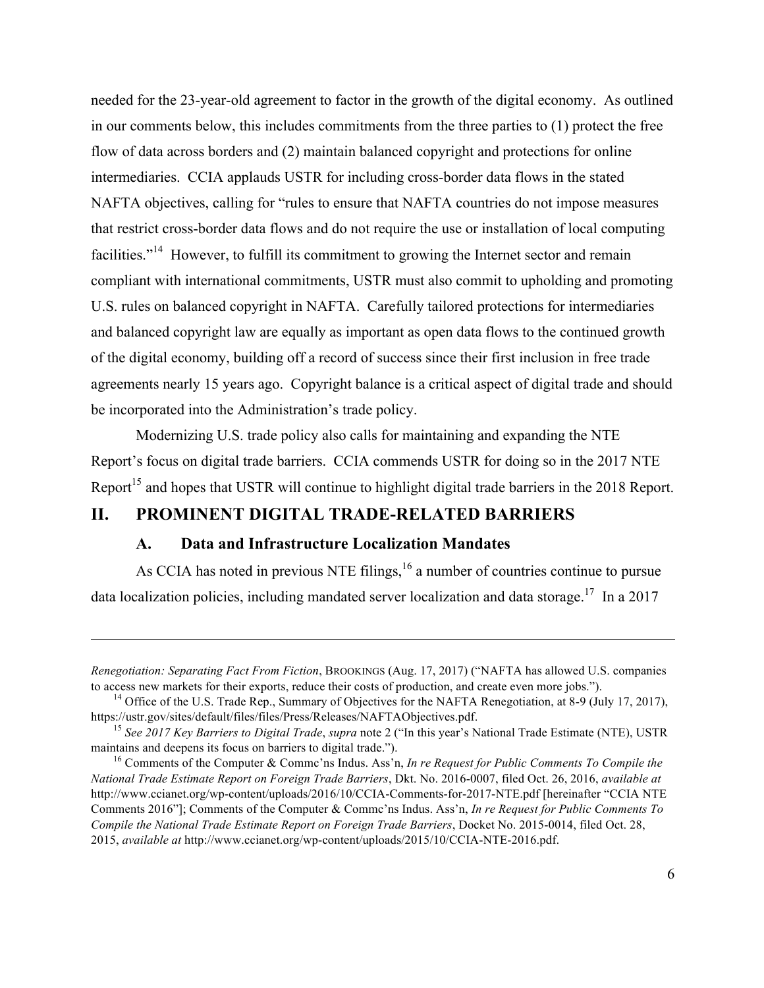needed for the 23-year-old agreement to factor in the growth of the digital economy. As outlined in our comments below, this includes commitments from the three parties to (1) protect the free flow of data across borders and (2) maintain balanced copyright and protections for online intermediaries. CCIA applauds USTR for including cross-border data flows in the stated NAFTA objectives, calling for "rules to ensure that NAFTA countries do not impose measures that restrict cross-border data flows and do not require the use or installation of local computing facilities."<sup>14</sup> However, to fulfill its commitment to growing the Internet sector and remain compliant with international commitments, USTR must also commit to upholding and promoting U.S. rules on balanced copyright in NAFTA. Carefully tailored protections for intermediaries and balanced copyright law are equally as important as open data flows to the continued growth of the digital economy, building off a record of success since their first inclusion in free trade agreements nearly 15 years ago. Copyright balance is a critical aspect of digital trade and should be incorporated into the Administration's trade policy.

Modernizing U.S. trade policy also calls for maintaining and expanding the NTE Report's focus on digital trade barriers. CCIA commends USTR for doing so in the 2017 NTE Report<sup>15</sup> and hopes that USTR will continue to highlight digital trade barriers in the 2018 Report.

# **II. PROMINENT DIGITAL TRADE-RELATED BARRIERS**

# **A. Data and Infrastructure Localization Mandates**

As CCIA has noted in previous NTE filings,  $16$  a number of countries continue to pursue data localization policies, including mandated server localization and data storage.<sup>17</sup> In a 2017

*Renegotiation: Separating Fact From Fiction*, BROOKINGS (Aug. 17, 2017) ("NAFTA has allowed U.S. companies to access new markets for their exports, reduce their costs of production, and create even more jobs.").

<sup>&</sup>lt;sup>14</sup> Office of the U.S. Trade Rep., Summary of Objectives for the NAFTA Renegotiation, at 8-9 (July 17, 2017), https://ustr.gov/sites/default/files/files/Press/Releases/NAFTAObjectives.pdf. 15 *See <sup>2017</sup> Key Barriers to Digital Trade*, *supra* note 2 ("In this year's National Trade Estimate (NTE), USTR

maintains and deepens its focus on barriers to digital trade.").<br><sup>16</sup> Comments of the Computer & Commc'ns Indus. Ass'n, *In re Request for Public Comments To Compile the* 

*National Trade Estimate Report on Foreign Trade Barriers*, Dkt. No. 2016-0007, filed Oct. 26, 2016, *available at*  http://www.ccianet.org/wp-content/uploads/2016/10/CCIA-Comments-for-2017-NTE.pdf [hereinafter "CCIA NTE Comments 2016"]; Comments of the Computer & Commc'ns Indus. Ass'n, *In re Request for Public Comments To Compile the National Trade Estimate Report on Foreign Trade Barriers*, Docket No. 2015-0014, filed Oct. 28, 2015, *available at* http://www.ccianet.org/wp-content/uploads/2015/10/CCIA-NTE-2016.pdf.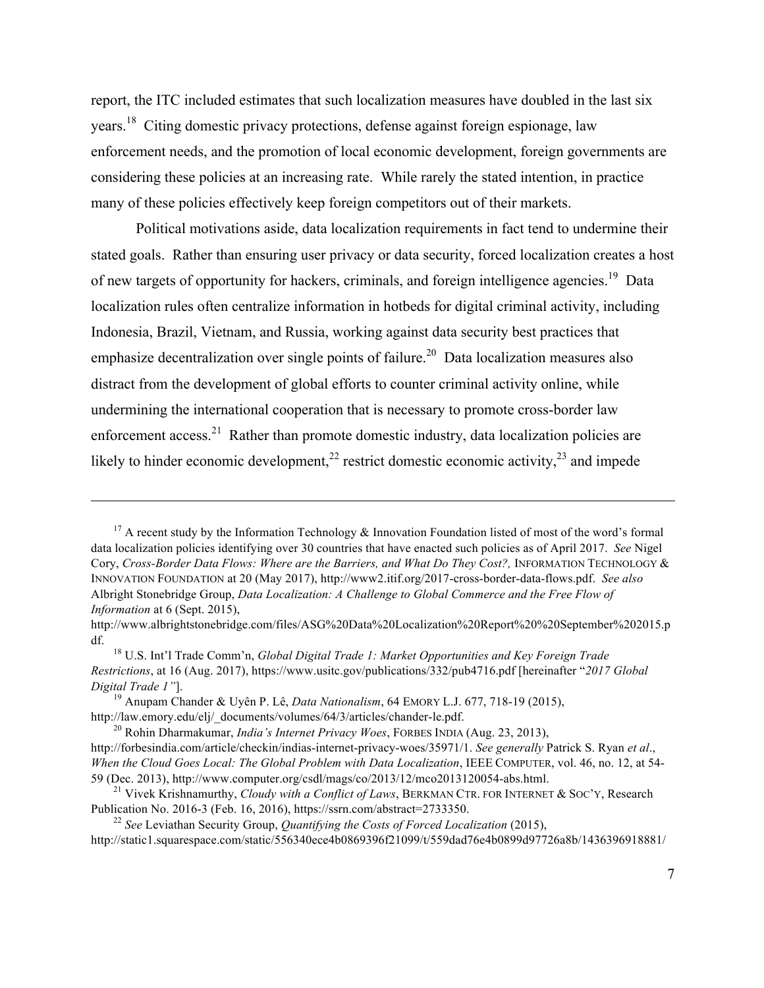report, the ITC included estimates that such localization measures have doubled in the last six years.18 Citing domestic privacy protections, defense against foreign espionage, law enforcement needs, and the promotion of local economic development, foreign governments are considering these policies at an increasing rate. While rarely the stated intention, in practice many of these policies effectively keep foreign competitors out of their markets.

Political motivations aside, data localization requirements in fact tend to undermine their stated goals. Rather than ensuring user privacy or data security, forced localization creates a host of new targets of opportunity for hackers, criminals, and foreign intelligence agencies.<sup>19</sup> Data localization rules often centralize information in hotbeds for digital criminal activity, including Indonesia, Brazil, Vietnam, and Russia, working against data security best practices that emphasize decentralization over single points of failure.<sup>20</sup> Data localization measures also distract from the development of global efforts to counter criminal activity online, while undermining the international cooperation that is necessary to promote cross-border law enforcement access.<sup>21</sup> Rather than promote domestic industry, data localization policies are likely to hinder economic development,<sup>22</sup> restrict domestic economic activity,<sup>23</sup> and impede

<sup>&</sup>lt;sup>17</sup> A recent study by the Information Technology  $\&$  Innovation Foundation listed of most of the word's formal data localization policies identifying over 30 countries that have enacted such policies as of April 2017. *See* Nigel Cory, *Cross-Border Data Flows: Where are the Barriers, and What Do They Cost?*, INFORMATION TECHNOLOGY & INNOVATION FOUNDATION at 20 (May 2017), http://www2.itif.org/2017-cross-border-data-flows.pdf. *See also*  Albright Stonebridge Group, *Data Localization: A Challenge to Global Commerce and the Free Flow of Information* at 6 (Sept. 2015),

http://www.albrightstonebridge.com/files/ASG%20Data%20Localization%20Report%20%20September%202015.p df.

<sup>18</sup> U.S. Int'l Trade Comm'n, *Global Digital Trade 1: Market Opportunities and Key Foreign Trade Restrictions*, at 16 (Aug. 2017), https://www.usitc.gov/publications/332/pub4716.pdf [hereinafter "*2017 Global Digital Trade 1"*]. 19 Anupam Chander & Uyên P. Lê, *Data Nationalism*, 64 EMORY L.J. 677, 718-19 (2015),

http://law.emory.edu/elj/\_documents/volumes/64/3/articles/chander-le.pdf.

<sup>20</sup> Rohin Dharmakumar, *India's Internet Privacy Woes*, FORBES INDIA (Aug. 23, 2013), http://forbesindia.com/article/checkin/indias-internet-privacy-woes/35971/1. *See generally* Patrick S. Ryan *et al*., *When the Cloud Goes Local: The Global Problem with Data Localization*, IEEE COMPUTER, vol. 46, no. 12, at 54- 59 (Dec. 2013), http://www.computer.org/csdl/mags/co/2013/12/mco2013120054-abs.html.

<sup>21</sup> Vivek Krishnamurthy, *Cloudy with a Conflict of Laws*, BERKMAN CTR. FOR INTERNET & SOC'Y, Research Publication No. 2016-3 (Feb. 16, 2016), https://ssrn.com/abstract=2733350.

<sup>22</sup> *See* Leviathan Security Group, *Quantifying the Costs of Forced Localization* (2015), http://static1.squarespace.com/static/556340ece4b0869396f21099/t/559dad76e4b0899d97726a8b/1436396918881/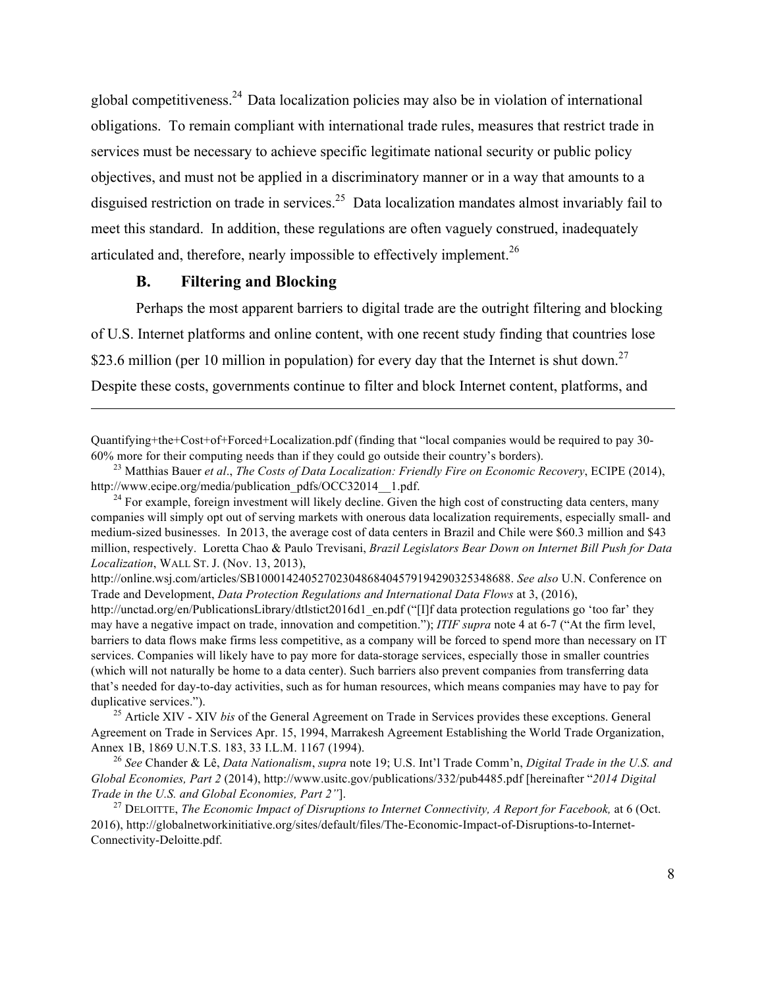global competitiveness.24 Data localization policies may also be in violation of international obligations. To remain compliant with international trade rules, measures that restrict trade in services must be necessary to achieve specific legitimate national security or public policy objectives, and must not be applied in a discriminatory manner or in a way that amounts to a disguised restriction on trade in services.<sup>25</sup> Data localization mandates almost invariably fail to meet this standard. In addition, these regulations are often vaguely construed, inadequately articulated and, therefore, nearly impossible to effectively implement.<sup>26</sup>

#### **B. Filtering and Blocking**

Perhaps the most apparent barriers to digital trade are the outright filtering and blocking of U.S. Internet platforms and online content, with one recent study finding that countries lose \$23.6 million (per 10 million in population) for every day that the Internet is shut down.<sup>27</sup> Despite these costs, governments continue to filter and block Internet content, platforms, and

http://unctad.org/en/PublicationsLibrary/dtlstict2016d1\_en.pdf ("[I]f data protection regulations go 'too far' they may have a negative impact on trade, innovation and competition."); *ITIF supra* note 4 at 6-7 ("At the firm level, barriers to data flows make firms less competitive, as a company will be forced to spend more than necessary on IT services. Companies will likely have to pay more for data-storage services, especially those in smaller countries (which will not naturally be home to a data center). Such barriers also prevent companies from transferring data that's needed for day-to-day activities, such as for human resources, which means companies may have to pay for duplicative services.").<br><sup>25</sup> Article XIV - XIV *bis* of the General Agreement on Trade in Services provides these exceptions. General

Agreement on Trade in Services Apr. 15, 1994, Marrakesh Agreement Establishing the World Trade Organization, Annex 1B, 1869 U.N.T.S. 183, 33 I.L.M. 1167 (1994). 26 *See* Chander & Lê, *Data Nationalism*, *supra* note 19; U.S. Int'l Trade Comm'n, *Digital Trade in the U.S. and* 

*Global Economies, Part 2* (2014), http://www.usitc.gov/publications/332/pub4485.pdf [hereinafter "*2014 Digital Trade in the U.S. and Global Economies, Part 2"*].

<sup>27</sup> DELOITTE, *The Economic Impact of Disruptions to Internet Connectivity, A Report for Facebook,* at 6 (Oct. 2016), http://globalnetworkinitiative.org/sites/default/files/The-Economic-Impact-of-Disruptions-to-Internet-Connectivity-Deloitte.pdf.

Quantifying+the+Cost+of+Forced+Localization.pdf (finding that "local companies would be required to pay 30- 60% more for their computing needs than if they could go outside their country's borders).

<sup>23</sup> Matthias Bauer *et al*., *The Costs of Data Localization: Friendly Fire on Economic Recovery*, ECIPE (2014), http://www.ecipe.org/media/publication\_pdfs/OCC32014\_\_1.pdf.

 $^{24}$  For example, foreign investment will likely decline. Given the high cost of constructing data centers, many companies will simply opt out of serving markets with onerous data localization requirements, especially small- and medium-sized businesses. In 2013, the average cost of data centers in Brazil and Chile were \$60.3 million and \$43 million, respectively. Loretta Chao & Paulo Trevisani, *Brazil Legislators Bear Down on Internet Bill Push for Data Localization*, WALL ST. J. (Nov. 13, 2013),

http://online.wsj.com/articles/SB10001424052702304868404579194290325348688. *See also* U.N. Conference on Trade and Development, *Data Protection Regulations and International Data Flows* at 3, (2016),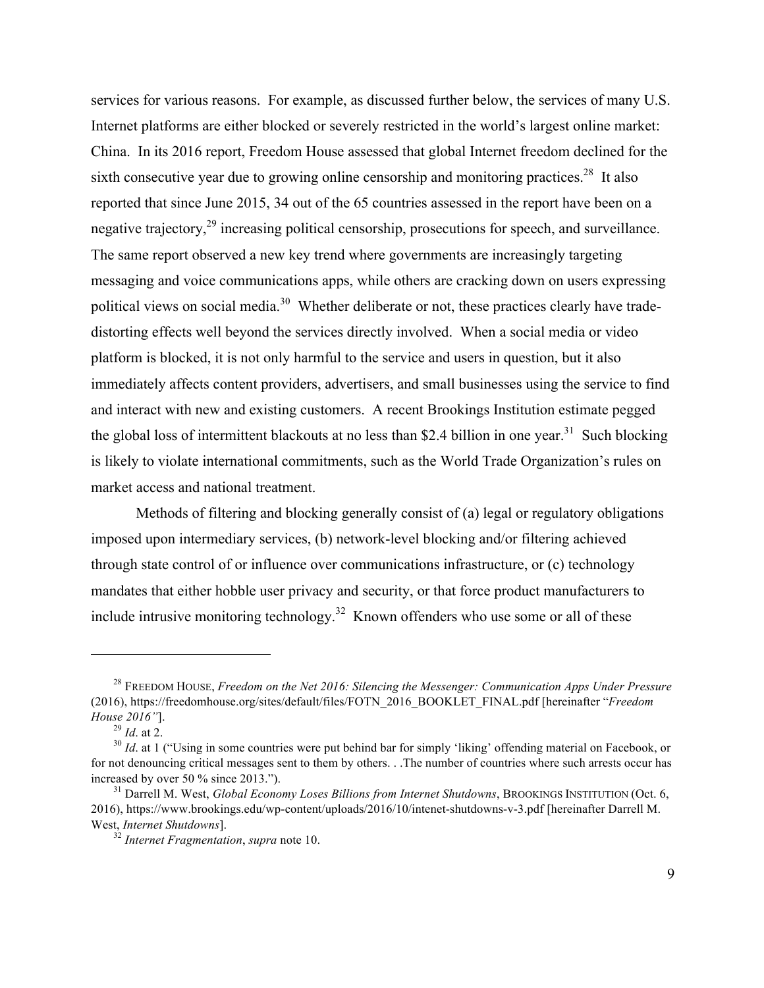services for various reasons. For example, as discussed further below, the services of many U.S. Internet platforms are either blocked or severely restricted in the world's largest online market: China. In its 2016 report, Freedom House assessed that global Internet freedom declined for the sixth consecutive year due to growing online censorship and monitoring practices.<sup>28</sup> It also reported that since June 2015, 34 out of the 65 countries assessed in the report have been on a negative trajectory,<sup>29</sup> increasing political censorship, prosecutions for speech, and surveillance. The same report observed a new key trend where governments are increasingly targeting messaging and voice communications apps, while others are cracking down on users expressing political views on social media.<sup>30</sup> Whether deliberate or not, these practices clearly have tradedistorting effects well beyond the services directly involved. When a social media or video platform is blocked, it is not only harmful to the service and users in question, but it also immediately affects content providers, advertisers, and small businesses using the service to find and interact with new and existing customers. A recent Brookings Institution estimate pegged the global loss of intermittent blackouts at no less than \$2.4 billion in one year.<sup>31</sup> Such blocking is likely to violate international commitments, such as the World Trade Organization's rules on market access and national treatment.

Methods of filtering and blocking generally consist of (a) legal or regulatory obligations imposed upon intermediary services, (b) network-level blocking and/or filtering achieved through state control of or influence over communications infrastructure, or (c) technology mandates that either hobble user privacy and security, or that force product manufacturers to include intrusive monitoring technology.<sup>32</sup> Known offenders who use some or all of these

<sup>28</sup> FREEDOM HOUSE, *Freedom on the Net 2016: Silencing the Messenger: Communication Apps Under Pressure*  (2016), https://freedomhouse.org/sites/default/files/FOTN\_2016\_BOOKLET\_FINAL.pdf [hereinafter "*Freedom House 2016"*].

<sup>29</sup> *Id*. at 2.

<sup>&</sup>lt;sup>30</sup> *Id.* at 1 ("Using in some countries were put behind bar for simply 'liking' offending material on Facebook, or for not denouncing critical messages sent to them by others. . .The number of countries where such arrests occur has increased by over 50 % since 2013.").<br><sup>31</sup> Darrell M. West, *Global Economy Loses Billions from Internet Shutdowns*, BROOKINGS INSTITUTION (Oct. 6,

<sup>2016),</sup> https://www.brookings.edu/wp-content/uploads/2016/10/intenet-shutdowns-v-3.pdf [hereinafter Darrell M. West, *Internet Shutdowns*].

<sup>32</sup> *Internet Fragmentation*, *supra* note 10.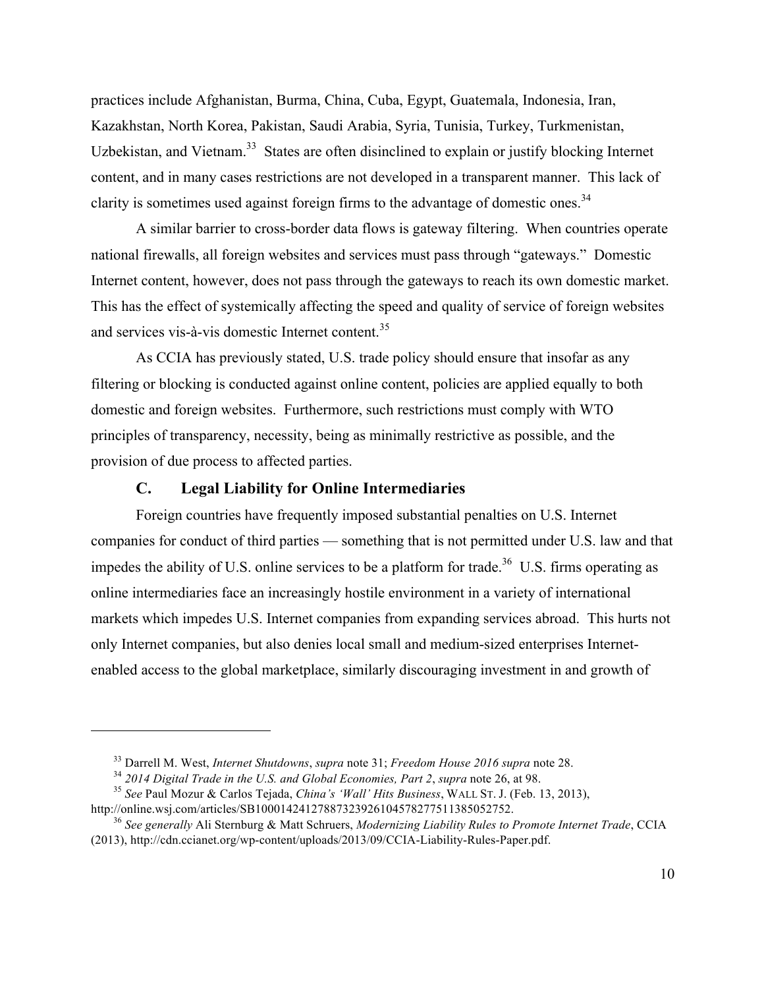practices include Afghanistan, Burma, China, Cuba, Egypt, Guatemala, Indonesia, Iran, Kazakhstan, North Korea, Pakistan, Saudi Arabia, Syria, Tunisia, Turkey, Turkmenistan, Uzbekistan, and Vietnam.<sup>33</sup> States are often disinclined to explain or justify blocking Internet content, and in many cases restrictions are not developed in a transparent manner. This lack of clarity is sometimes used against foreign firms to the advantage of domestic ones.<sup>34</sup>

A similar barrier to cross-border data flows is gateway filtering. When countries operate national firewalls, all foreign websites and services must pass through "gateways." Domestic Internet content, however, does not pass through the gateways to reach its own domestic market. This has the effect of systemically affecting the speed and quality of service of foreign websites and services vis-à-vis domestic Internet content.<sup>35</sup>

As CCIA has previously stated, U.S. trade policy should ensure that insofar as any filtering or blocking is conducted against online content, policies are applied equally to both domestic and foreign websites. Furthermore, such restrictions must comply with WTO principles of transparency, necessity, being as minimally restrictive as possible, and the provision of due process to affected parties.

# **C. Legal Liability for Online Intermediaries**

Foreign countries have frequently imposed substantial penalties on U.S. Internet companies for conduct of third parties — something that is not permitted under U.S. law and that impedes the ability of U.S. online services to be a platform for trade.<sup>36</sup> U.S. firms operating as online intermediaries face an increasingly hostile environment in a variety of international markets which impedes U.S. Internet companies from expanding services abroad. This hurts not only Internet companies, but also denies local small and medium-sized enterprises Internetenabled access to the global marketplace, similarly discouraging investment in and growth of

<sup>33</sup> Darrell M. West, *Internet Shutdowns*, *supra* note 31; *Freedom House 2016 supra* note 28. 34 *<sup>2014</sup> Digital Trade in the U.S. and Global Economies, Part 2*, *supra* note 26, at 98.

<sup>35</sup> *See* Paul Mozur & Carlos Tejada, *China's 'Wall' Hits Business*, WALL ST. J. (Feb. 13, 2013), http://online.wsj.com/articles/SB10001424127887323926104578277511385052752.

<sup>36</sup> *See generally* Ali Sternburg & Matt Schruers, *Modernizing Liability Rules to Promote Internet Trade*, CCIA (2013), http://cdn.ccianet.org/wp-content/uploads/2013/09/CCIA-Liability-Rules-Paper.pdf.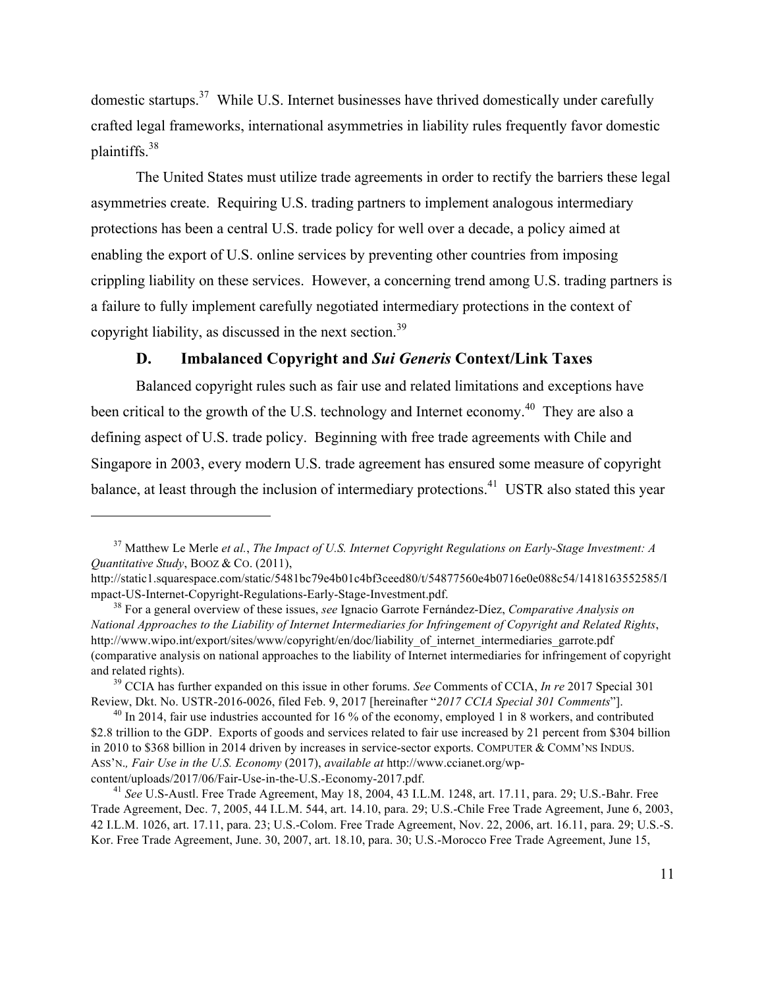domestic startups.37 While U.S. Internet businesses have thrived domestically under carefully crafted legal frameworks, international asymmetries in liability rules frequently favor domestic plaintiffs.38

The United States must utilize trade agreements in order to rectify the barriers these legal asymmetries create. Requiring U.S. trading partners to implement analogous intermediary protections has been a central U.S. trade policy for well over a decade, a policy aimed at enabling the export of U.S. online services by preventing other countries from imposing crippling liability on these services. However, a concerning trend among U.S. trading partners is a failure to fully implement carefully negotiated intermediary protections in the context of copyright liability, as discussed in the next section.<sup>39</sup>

# **D. Imbalanced Copyright and** *Sui Generis* **Context/Link Taxes**

Balanced copyright rules such as fair use and related limitations and exceptions have been critical to the growth of the U.S. technology and Internet economy.<sup>40</sup> They are also a defining aspect of U.S. trade policy. Beginning with free trade agreements with Chile and Singapore in 2003, every modern U.S. trade agreement has ensured some measure of copyright balance, at least through the inclusion of intermediary protections.<sup>41</sup> USTR also stated this year

<sup>37</sup> Matthew Le Merle *et al.*, *The Impact of U.S. Internet Copyright Regulations on Early-Stage Investment: A Quantitative Study*, BOOZ & CO. (2011),

http://static1.squarespace.com/static/5481bc79e4b01c4bf3ceed80/t/54877560e4b0716e0e088c54/1418163552585/I mpact-US-Internet-Copyright-Regulations-Early-Stage-Investment.pdf.

<sup>38</sup> For a general overview of these issues, *see* Ignacio Garrote Fernández-Díez, *Comparative Analysis on National Approaches to the Liability of Internet Intermediaries for Infringement of Copyright and Related Rights*, http://www.wipo.int/export/sites/www/copyright/en/doc/liability\_of\_internet\_intermediaries\_garrote.pdf (comparative analysis on national approaches to the liability of Internet intermediaries for infringement of copyright and related rights).

<sup>39</sup> CCIA has further expanded on this issue in other forums. *See* Comments of CCIA, *In re* 2017 Special 301 Review, Dkt. No. USTR-2016-0026, filed Feb. 9, 2017 [hereinafter "2017 CCIA Special 301 Comments"].<br><sup>40</sup> In 2014, fair use industries accounted for 16 % of the economy, employed 1 in 8 workers, and contributed

<sup>\$2.8</sup> trillion to the GDP. Exports of goods and services related to fair use increased by 21 percent from \$304 billion in 2010 to \$368 billion in 2014 driven by increases in service-sector exports. COMPUTER & COMM'NS INDUS. ASS'N.*, Fair Use in the U.S. Economy* (2017), *available at* http://www.ccianet.org/wpcontent/uploads/2017/06/Fair-Use-in-the-U.S.-Economy-2017.pdf.

<sup>41</sup> *See* U.S-Austl. Free Trade Agreement, May 18, 2004, 43 I.L.M. 1248, art. 17.11, para. 29; U.S.-Bahr. Free Trade Agreement, Dec. 7, 2005, 44 I.L.M. 544, art. 14.10, para. 29; U.S.-Chile Free Trade Agreement, June 6, 2003, 42 I.L.M. 1026, art. 17.11, para. 23; U.S.-Colom. Free Trade Agreement, Nov. 22, 2006, art. 16.11, para. 29; U.S.-S. Kor. Free Trade Agreement, June. 30, 2007, art. 18.10, para. 30; U.S.-Morocco Free Trade Agreement, June 15,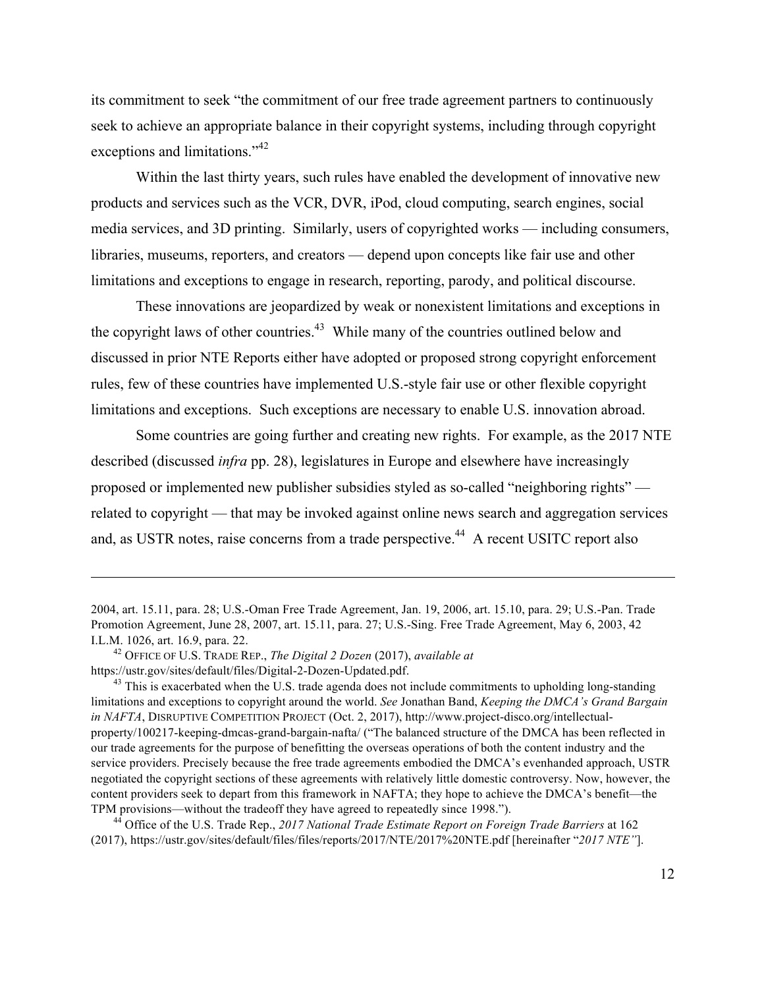its commitment to seek "the commitment of our free trade agreement partners to continuously seek to achieve an appropriate balance in their copyright systems, including through copyright exceptions and limitations."<sup>42</sup>

Within the last thirty years, such rules have enabled the development of innovative new products and services such as the VCR, DVR, iPod, cloud computing, search engines, social media services, and 3D printing. Similarly, users of copyrighted works — including consumers, libraries, museums, reporters, and creators — depend upon concepts like fair use and other limitations and exceptions to engage in research, reporting, parody, and political discourse.

These innovations are jeopardized by weak or nonexistent limitations and exceptions in the copyright laws of other countries.<sup>43</sup> While many of the countries outlined below and discussed in prior NTE Reports either have adopted or proposed strong copyright enforcement rules, few of these countries have implemented U.S.-style fair use or other flexible copyright limitations and exceptions. Such exceptions are necessary to enable U.S. innovation abroad.

Some countries are going further and creating new rights. For example, as the 2017 NTE described (discussed *infra* pp. 28), legislatures in Europe and elsewhere have increasingly proposed or implemented new publisher subsidies styled as so-called "neighboring rights" related to copyright — that may be invoked against online news search and aggregation services and, as USTR notes, raise concerns from a trade perspective.<sup>44</sup> A recent USITC report also

(2017), https://ustr.gov/sites/default/files/files/reports/2017/NTE/2017%20NTE.pdf [hereinafter "*2017 NTE"*].

<sup>2004,</sup> art. 15.11, para. 28; U.S.-Oman Free Trade Agreement, Jan. 19, 2006, art. 15.10, para. 29; U.S.-Pan. Trade Promotion Agreement, June 28, 2007, art. 15.11, para. 27; U.S.-Sing. Free Trade Agreement, May 6, 2003, 42 I.L.M. 1026, art. 16.9, para. 22. 42 OFFICE OF U.S. TRADE REP., *The Digital 2 Dozen* (2017), *available at*

https://ustr.gov/sites/default/files/Digital-2-Dozen-Updated.pdf.<br><sup>43</sup> This is exacerbated when the U.S. trade agenda does not include commitments to upholding long-standing limitations and exceptions to copyright around the world. *See* Jonathan Band, *Keeping the DMCA's Grand Bargain in NAFTA*, DISRUPTIVE COMPETITION PROJECT (Oct. 2, 2017), http://www.project-disco.org/intellectualproperty/100217-keeping-dmcas-grand-bargain-nafta/ ("The balanced structure of the DMCA has been reflected in our trade agreements for the purpose of benefitting the overseas operations of both the content industry and the service providers. Precisely because the free trade agreements embodied the DMCA's evenhanded approach, USTR negotiated the copyright sections of these agreements with relatively little domestic controversy. Now, however, the content providers seek to depart from this framework in NAFTA; they hope to achieve the DMCA's benefit—the TPM provisions—without the tradeoff they have agreed to repeatedly since 1998."). 44 Office of the U.S. Trade Rep., *2017 National Trade Estimate Report on Foreign Trade Barriers* at 162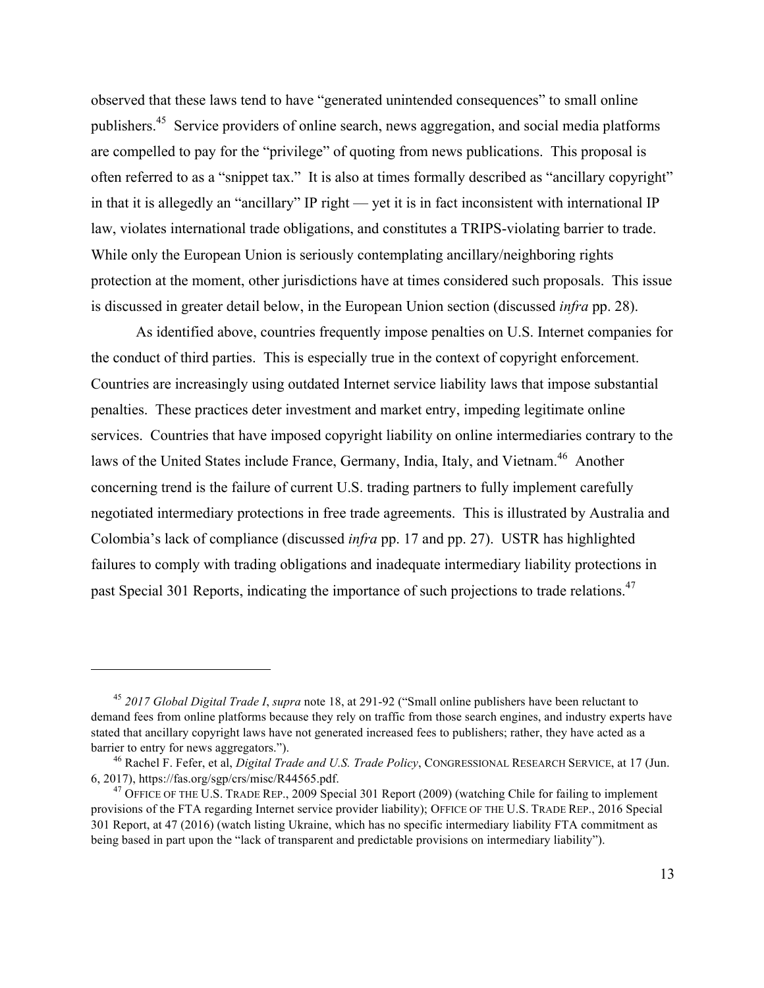observed that these laws tend to have "generated unintended consequences" to small online publishers.45 Service providers of online search, news aggregation, and social media platforms are compelled to pay for the "privilege" of quoting from news publications. This proposal is often referred to as a "snippet tax." It is also at times formally described as "ancillary copyright" in that it is allegedly an "ancillary" IP right — yet it is in fact inconsistent with international IP law, violates international trade obligations, and constitutes a TRIPS-violating barrier to trade. While only the European Union is seriously contemplating ancillary/neighboring rights protection at the moment, other jurisdictions have at times considered such proposals. This issue is discussed in greater detail below, in the European Union section (discussed *infra* pp. 28).

As identified above, countries frequently impose penalties on U.S. Internet companies for the conduct of third parties. This is especially true in the context of copyright enforcement. Countries are increasingly using outdated Internet service liability laws that impose substantial penalties. These practices deter investment and market entry, impeding legitimate online services. Countries that have imposed copyright liability on online intermediaries contrary to the laws of the United States include France, Germany, India, Italy, and Vietnam.<sup>46</sup> Another concerning trend is the failure of current U.S. trading partners to fully implement carefully negotiated intermediary protections in free trade agreements. This is illustrated by Australia and Colombia's lack of compliance (discussed *infra* pp. 17 and pp. 27). USTR has highlighted failures to comply with trading obligations and inadequate intermediary liability protections in past Special 301 Reports, indicating the importance of such projections to trade relations.<sup>47</sup>

<sup>45</sup> *2017 Global Digital Trade I*, *supra* note 18, at 291-92 ("Small online publishers have been reluctant to demand fees from online platforms because they rely on traffic from those search engines, and industry experts have stated that ancillary copyright laws have not generated increased fees to publishers; rather, they have acted as a barrier to entry for news aggregators."). 46 Rachel F. Fefer, et al, *Digital Trade and U.S. Trade Policy*, CONGRESSIONAL RESEARCH SERVICE, at 17 (Jun.

<sup>6, 2017),</sup> https://fas.org/sgp/crs/misc/R44565.pdf. 47 OFFICE OF THE U.S. TRADE REP., 2009 Special 301 Report (2009) (watching Chile for failing to implement

provisions of the FTA regarding Internet service provider liability); OFFICE OF THE U.S. TRADE REP., 2016 Special 301 Report, at 47 (2016) (watch listing Ukraine, which has no specific intermediary liability FTA commitment as being based in part upon the "lack of transparent and predictable provisions on intermediary liability").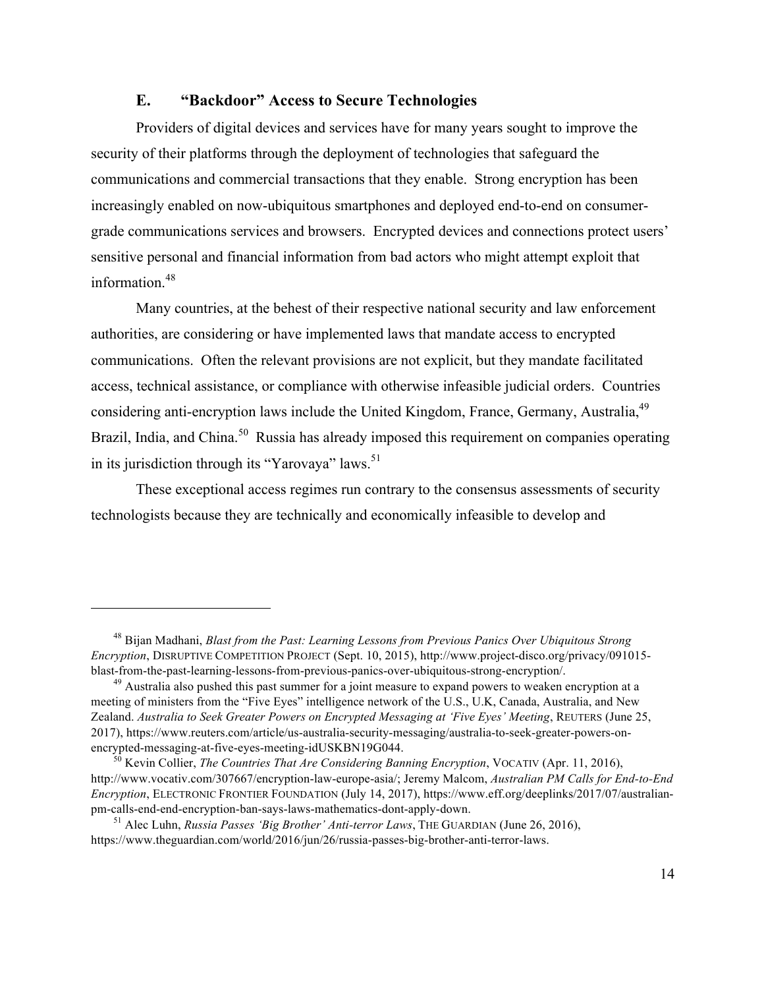#### **E. "Backdoor" Access to Secure Technologies**

Providers of digital devices and services have for many years sought to improve the security of their platforms through the deployment of technologies that safeguard the communications and commercial transactions that they enable. Strong encryption has been increasingly enabled on now-ubiquitous smartphones and deployed end-to-end on consumergrade communications services and browsers. Encrypted devices and connections protect users' sensitive personal and financial information from bad actors who might attempt exploit that information.<sup>48</sup>

Many countries, at the behest of their respective national security and law enforcement authorities, are considering or have implemented laws that mandate access to encrypted communications. Often the relevant provisions are not explicit, but they mandate facilitated access, technical assistance, or compliance with otherwise infeasible judicial orders. Countries considering anti-encryption laws include the United Kingdom, France, Germany, Australia.<sup>49</sup> Brazil, India, and China.<sup>50</sup> Russia has already imposed this requirement on companies operating in its jurisdiction through its "Yarovaya" laws. $51$ 

These exceptional access regimes run contrary to the consensus assessments of security technologists because they are technically and economically infeasible to develop and

<sup>48</sup> Bijan Madhani, *Blast from the Past: Learning Lessons from Previous Panics Over Ubiquitous Strong Encryption*, DISRUPTIVE COMPETITION PROJECT (Sept. 10, 2015), http://www.project-disco.org/privacy/091015 blast-from-the-past-learning-lessons-from-previous-panics-over-ubiquitous-strong-encryption/.

<sup>&</sup>lt;sup>49</sup> Australia also pushed this past summer for a joint measure to expand powers to weaken encryption at a meeting of ministers from the "Five Eyes" intelligence network of the U.S., U.K, Canada, Australia, and New Zealand. *Australia to Seek Greater Powers on Encrypted Messaging at 'Five Eyes' Meeting*, REUTERS (June 25, 2017), https://www.reuters.com/article/us-australia-security-messaging/australia-to-seek-greater-powers-onencrypted-messaging-at-five-eyes-meeting-idUSKBN19G044. 50 Kevin Collier, *The Countries That Are Considering Banning Encryption*, VOCATIV (Apr. 11, 2016),

http://www.vocativ.com/307667/encryption-law-europe-asia/; Jeremy Malcom, *Australian PM Calls for End-to-End Encryption*, ELECTRONIC FRONTIER FOUNDATION (July 14, 2017), https://www.eff.org/deeplinks/2017/07/australianpm-calls-end-end-encryption-ban-says-laws-mathematics-dont-apply-down. 51 Alec Luhn, *Russia Passes 'Big Brother' Anti-terror Laws*, THE GUARDIAN (June 26, 2016),

https://www.theguardian.com/world/2016/jun/26/russia-passes-big-brother-anti-terror-laws.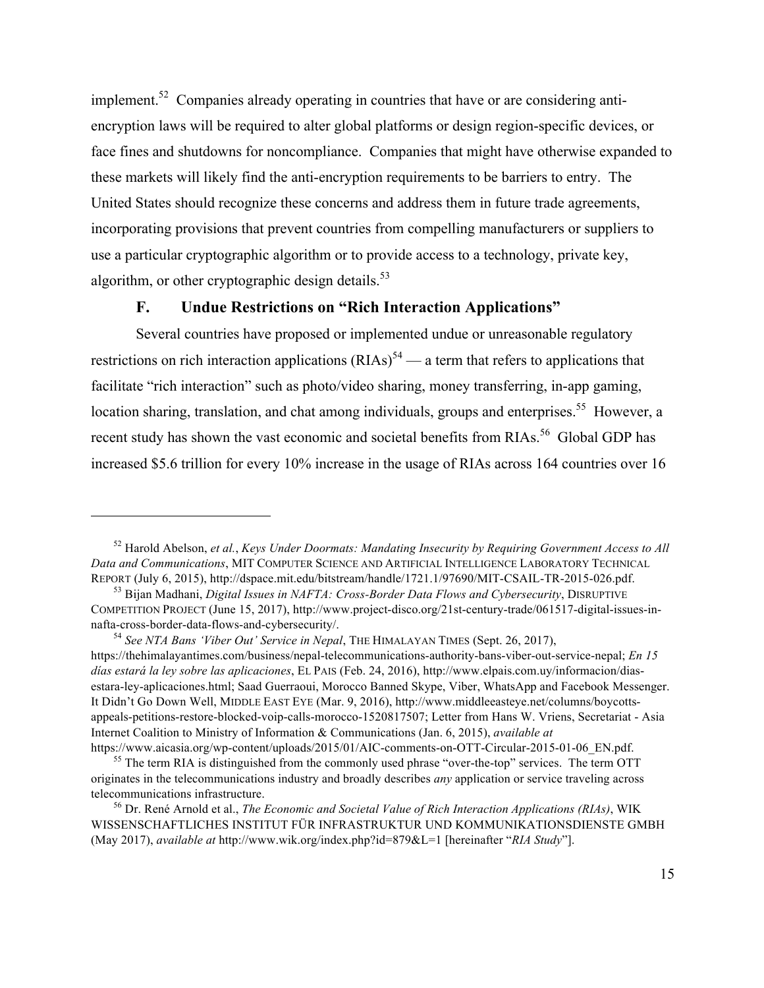implement.<sup>52</sup> Companies already operating in countries that have or are considering antiencryption laws will be required to alter global platforms or design region-specific devices, or face fines and shutdowns for noncompliance. Companies that might have otherwise expanded to these markets will likely find the anti-encryption requirements to be barriers to entry. The United States should recognize these concerns and address them in future trade agreements, incorporating provisions that prevent countries from compelling manufacturers or suppliers to use a particular cryptographic algorithm or to provide access to a technology, private key, algorithm, or other cryptographic design details. $53$ 

## **F. Undue Restrictions on "Rich Interaction Applications"**

Several countries have proposed or implemented undue or unreasonable regulatory restrictions on rich interaction applications  $(RIAS)^{54}$  — a term that refers to applications that facilitate "rich interaction" such as photo/video sharing, money transferring, in-app gaming, location sharing, translation, and chat among individuals, groups and enterprises.<sup>55</sup> However, a recent study has shown the vast economic and societal benefits from RIAs.<sup>56</sup> Global GDP has increased \$5.6 trillion for every 10% increase in the usage of RIAs across 164 countries over 16

<sup>52</sup> Harold Abelson, *et al.*, *Keys Under Doormats: Mandating Insecurity by Requiring Government Access to All Data and Communications*, MIT COMPUTER SCIENCE AND ARTIFICIAL INTELLIGENCE LABORATORY TECHNICAL REPORT (July 6, 2015), http://dspace.mit.edu/bitstream/handle/1721.1/97690/MIT-CSAIL-TR-2015-026.pdf.

<sup>53</sup> Bijan Madhani, *Digital Issues in NAFTA: Cross-Border Data Flows and Cybersecurity*, DISRUPTIVE COMPETITION PROJECT (June 15, 2017), http://www.project-disco.org/21st-century-trade/061517-digital-issues-innafta-cross-border-data-flows-and-cybersecurity/. 54 *See NTA Bans 'Viber Out' Service in Nepal*, THE HIMALAYAN TIMES (Sept. 26, 2017),

https://thehimalayantimes.com/business/nepal-telecommunications-authority-bans-viber-out-service-nepal; *En 15 días estará la ley sobre las aplicaciones*, EL PAIS (Feb. 24, 2016), http://www.elpais.com.uy/informacion/diasestara-ley-aplicaciones.html; Saad Guerraoui, Morocco Banned Skype, Viber, WhatsApp and Facebook Messenger. It Didn't Go Down Well, MIDDLE EAST EYE (Mar. 9, 2016), http://www.middleeasteye.net/columns/boycottsappeals-petitions-restore-blocked-voip-calls-morocco-1520817507; Letter from Hans W. Vriens, Secretariat - Asia Internet Coalition to Ministry of Information & Communications (Jan. 6, 2015), *available at* https://www.aicasia.org/wp-content/uploads/2015/01/AIC-comments-on-OTT-Circular-2015-01-06\_EN.pdf. <sup>55</sup> The term RIA is distinguished from the commonly used phrase "over-the-top" services. The term OTT

originates in the telecommunications industry and broadly describes *any* application or service traveling across telecommunications infrastructure. 56 Dr. René Arnold et al., *The Economic and Societal Value of Rich Interaction Applications (RIAs)*, WIK

WISSENSCHAFTLICHES INSTITUT FÜR INFRASTRUKTUR UND KOMMUNIKATIONSDIENSTE GMBH (May 2017), *available at* http://www.wik.org/index.php?id=879&L=1 [hereinafter "*RIA Study*"].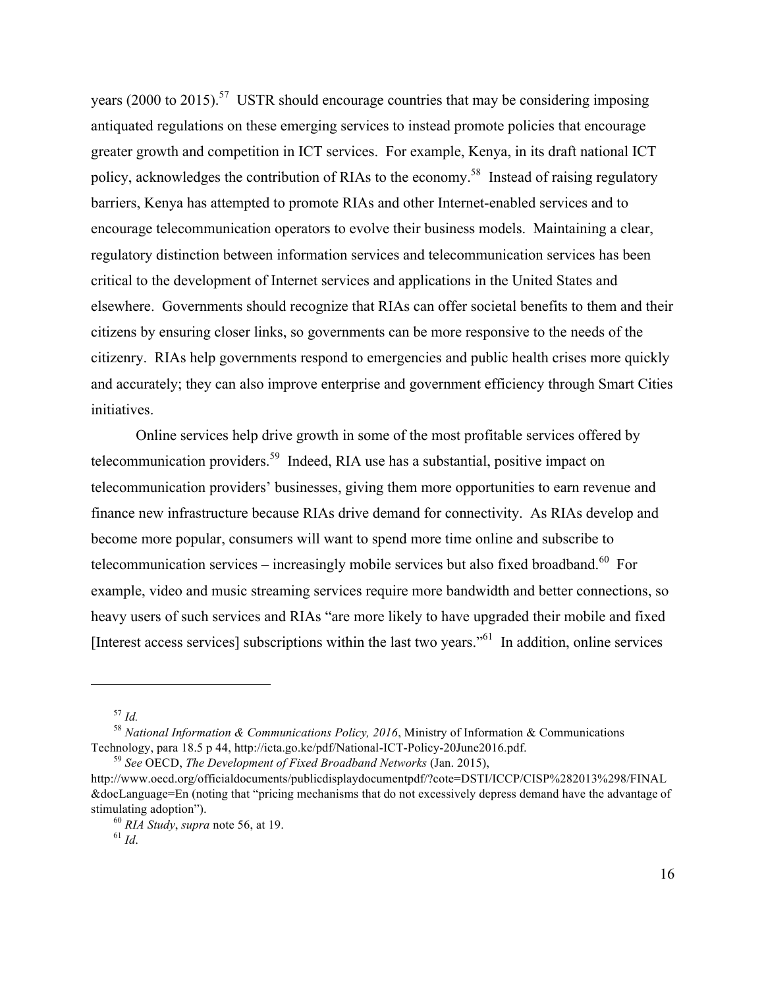years (2000 to 2015).<sup>57</sup> USTR should encourage countries that may be considering imposing antiquated regulations on these emerging services to instead promote policies that encourage greater growth and competition in ICT services. For example, Kenya, in its draft national ICT policy, acknowledges the contribution of RIAs to the economy.<sup>58</sup> Instead of raising regulatory barriers, Kenya has attempted to promote RIAs and other Internet-enabled services and to encourage telecommunication operators to evolve their business models. Maintaining a clear, regulatory distinction between information services and telecommunication services has been critical to the development of Internet services and applications in the United States and elsewhere. Governments should recognize that RIAs can offer societal benefits to them and their citizens by ensuring closer links, so governments can be more responsive to the needs of the citizenry. RIAs help governments respond to emergencies and public health crises more quickly and accurately; they can also improve enterprise and government efficiency through Smart Cities initiatives.

Online services help drive growth in some of the most profitable services offered by telecommunication providers.59 Indeed, RIA use has a substantial, positive impact on telecommunication providers' businesses, giving them more opportunities to earn revenue and finance new infrastructure because RIAs drive demand for connectivity. As RIAs develop and become more popular, consumers will want to spend more time online and subscribe to telecommunication services – increasingly mobile services but also fixed broadband.<sup>60</sup> For example, video and music streaming services require more bandwidth and better connections, so heavy users of such services and RIAs "are more likely to have upgraded their mobile and fixed [Interest access services] subscriptions within the last two years."61 In addition, online services

<sup>57</sup> *Id.*

<sup>58</sup> *National Information & Communications Policy, 2016*, Ministry of Information & Communications Technology, para 18.5 p 44, http://icta.go.ke/pdf/National-ICT-Policy-20June2016.pdf. 59 *See* OECD, *The Development of Fixed Broadband Networks* (Jan. 2015),

http://www.oecd.org/officialdocuments/publicdisplaydocumentpdf/?cote=DSTI/ICCP/CISP%282013%298/FINAL &docLanguage=En (noting that "pricing mechanisms that do not excessively depress demand have the advantage of stimulating adoption"). 60 *RIA Study*, *supra* note 56, at 19.

<sup>61</sup> *Id*.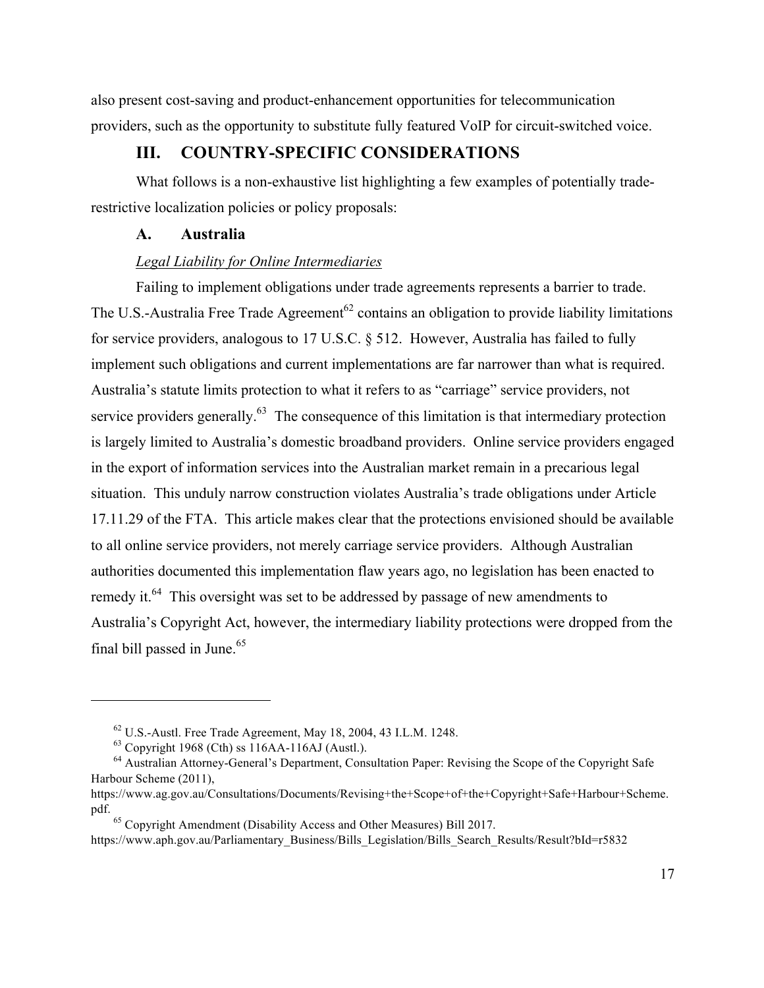also present cost-saving and product-enhancement opportunities for telecommunication providers, such as the opportunity to substitute fully featured VoIP for circuit-switched voice.

# **III. COUNTRY-SPECIFIC CONSIDERATIONS**

What follows is a non-exhaustive list highlighting a few examples of potentially traderestrictive localization policies or policy proposals:

# **A. Australia**

## *Legal Liability for Online Intermediaries*

Failing to implement obligations under trade agreements represents a barrier to trade. The U.S.-Australia Free Trade Agreement<sup>62</sup> contains an obligation to provide liability limitations for service providers, analogous to 17 U.S.C. § 512. However, Australia has failed to fully implement such obligations and current implementations are far narrower than what is required. Australia's statute limits protection to what it refers to as "carriage" service providers, not service providers generally. $^{63}$  The consequence of this limitation is that intermediary protection is largely limited to Australia's domestic broadband providers. Online service providers engaged in the export of information services into the Australian market remain in a precarious legal situation. This unduly narrow construction violates Australia's trade obligations under Article 17.11.29 of the FTA. This article makes clear that the protections envisioned should be available to all online service providers, not merely carriage service providers. Although Australian authorities documented this implementation flaw years ago, no legislation has been enacted to remedy it.<sup>64</sup> This oversight was set to be addressed by passage of new amendments to Australia's Copyright Act, however, the intermediary liability protections were dropped from the final bill passed in June.<sup>65</sup>

<sup>&</sup>lt;sup>62</sup> U.S.-Austl. Free Trade Agreement, May 18, 2004, 43 I.L.M. 1248.<br><sup>63</sup> Copyright 1968 (Cth) ss 116AA-116AJ (Austl.). <sup>64</sup> Australian Attorney-General's Department, Consultation Paper: Revising the Scope of the Copyrigh Harbour Scheme (2011),

https://www.ag.gov.au/Consultations/Documents/Revising+the+Scope+of+the+Copyright+Safe+Harbour+Scheme. pdf. 65 Copyright Amendment (Disability Access and Other Measures) Bill 2017.

https://www.aph.gov.au/Parliamentary\_Business/Bills\_Legislation/Bills\_Search\_Results/Result?bId=r5832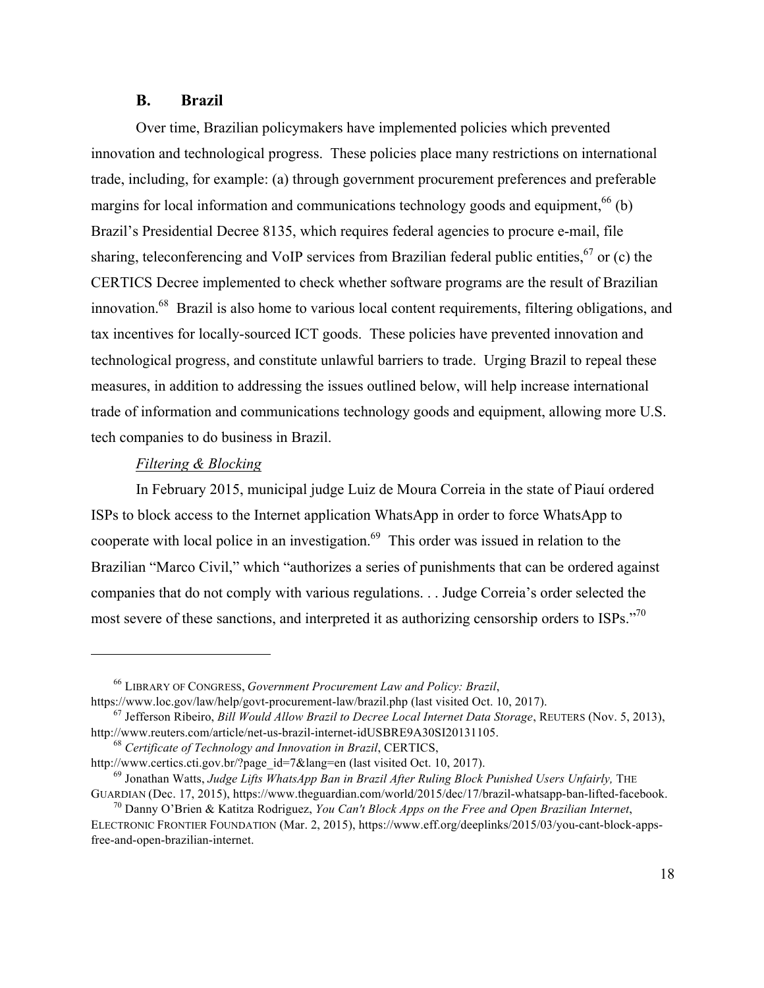#### **B. Brazil**

Over time, Brazilian policymakers have implemented policies which prevented innovation and technological progress. These policies place many restrictions on international trade, including, for example: (a) through government procurement preferences and preferable margins for local information and communications technology goods and equipment,<sup>66</sup> (b) Brazil's Presidential Decree 8135, which requires federal agencies to procure e-mail, file sharing, teleconferencing and VoIP services from Brazilian federal public entities,  $67$  or (c) the CERTICS Decree implemented to check whether software programs are the result of Brazilian innovation.68 Brazil is also home to various local content requirements, filtering obligations, and tax incentives for locally-sourced ICT goods. These policies have prevented innovation and technological progress, and constitute unlawful barriers to trade. Urging Brazil to repeal these measures, in addition to addressing the issues outlined below, will help increase international trade of information and communications technology goods and equipment, allowing more U.S. tech companies to do business in Brazil.

#### *Filtering & Blocking*

1

In February 2015, municipal judge Luiz de Moura Correia in the state of Piauí ordered ISPs to block access to the Internet application WhatsApp in order to force WhatsApp to cooperate with local police in an investigation.<sup>69</sup> This order was issued in relation to the Brazilian "Marco Civil," which "authorizes a series of punishments that can be ordered against companies that do not comply with various regulations. . . Judge Correia's order selected the most severe of these sanctions, and interpreted it as authorizing censorship orders to ISPs."<sup>70</sup>

<sup>66</sup> LIBRARY OF CONGRESS, *Government Procurement Law and Policy: Brazil*, https://www.loc.gov/law/help/govt-procurement-law/brazil.php (last visited Oct. 10, 2017).

<sup>67</sup> Jefferson Ribeiro, *Bill Would Allow Brazil to Decree Local Internet Data Storage*, REUTERS (Nov. 5, 2013), http://www.reuters.com/article/net-us-brazil-internet-idUSBRE9A30SI20131105.

<sup>68</sup> *Certificate of Technology and Innovation in Brazil*, CERTICS,

http://www.certics.cti.gov.br/?page\_id=7&lang=en (last visited Oct. 10, 2017). <sup>69</sup> Jonathan Watts, *Judge Lifts WhatsApp Ban in Brazil After Ruling Block Punished Users Unfairly*, THE GUARDIAN (Dec. 17, 2015), https://www.theguardian.com/world/2015/dec/17/brazil-whatsapp-ban-lifted-facebook.

<sup>70</sup> Danny O'Brien & Katitza Rodriguez, *You Can't Block Apps on the Free and Open Brazilian Internet*, ELECTRONIC FRONTIER FOUNDATION (Mar. 2, 2015), https://www.eff.org/deeplinks/2015/03/you-cant-block-appsfree-and-open-brazilian-internet.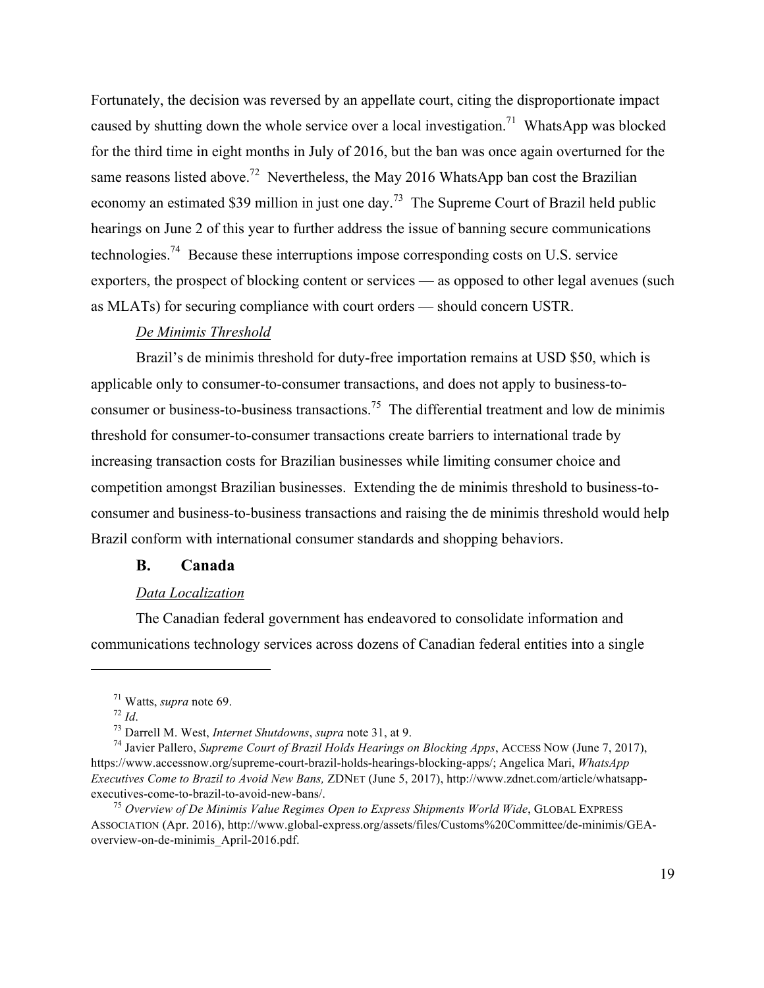Fortunately, the decision was reversed by an appellate court, citing the disproportionate impact caused by shutting down the whole service over a local investigation.<sup>71</sup> WhatsApp was blocked for the third time in eight months in July of 2016, but the ban was once again overturned for the same reasons listed above.<sup>72</sup> Nevertheless, the May 2016 WhatsApp ban cost the Brazilian economy an estimated \$39 million in just one day.<sup>73</sup> The Supreme Court of Brazil held public hearings on June 2 of this year to further address the issue of banning secure communications technologies.74 Because these interruptions impose corresponding costs on U.S. service exporters, the prospect of blocking content or services — as opposed to other legal avenues (such as MLATs) for securing compliance with court orders — should concern USTR.

#### *De Minimis Threshold*

Brazil's de minimis threshold for duty-free importation remains at USD \$50, which is applicable only to consumer-to-consumer transactions, and does not apply to business-toconsumer or business-to-business transactions.<sup>75</sup> The differential treatment and low de minimis threshold for consumer-to-consumer transactions create barriers to international trade by increasing transaction costs for Brazilian businesses while limiting consumer choice and competition amongst Brazilian businesses. Extending the de minimis threshold to business-toconsumer and business-to-business transactions and raising the de minimis threshold would help Brazil conform with international consumer standards and shopping behaviors.

## **B. Canada**

#### *Data Localization*

The Canadian federal government has endeavored to consolidate information and communications technology services across dozens of Canadian federal entities into a single

<sup>71</sup> Watts, *supra* note 69. 72 *Id*.

<sup>73</sup> Darrell M. West, *Internet Shutdowns*, *supra* note 31, at 9.

<sup>74</sup> Javier Pallero, *Supreme Court of Brazil Holds Hearings on Blocking Apps*, ACCESS NOW (June 7, 2017), https://www.accessnow.org/supreme-court-brazil-holds-hearings-blocking-apps/; Angelica Mari, *WhatsApp Executives Come to Brazil to Avoid New Bans,* ZDNET (June 5, 2017), http://www.zdnet.com/article/whatsappexecutives-come-to-brazil-to-avoid-new-bans/. 75 *Overview of De Minimis Value Regimes Open to Express Shipments World Wide*, GLOBAL EXPRESS

ASSOCIATION (Apr. 2016), http://www.global-express.org/assets/files/Customs%20Committee/de-minimis/GEAoverview-on-de-minimis\_April-2016.pdf.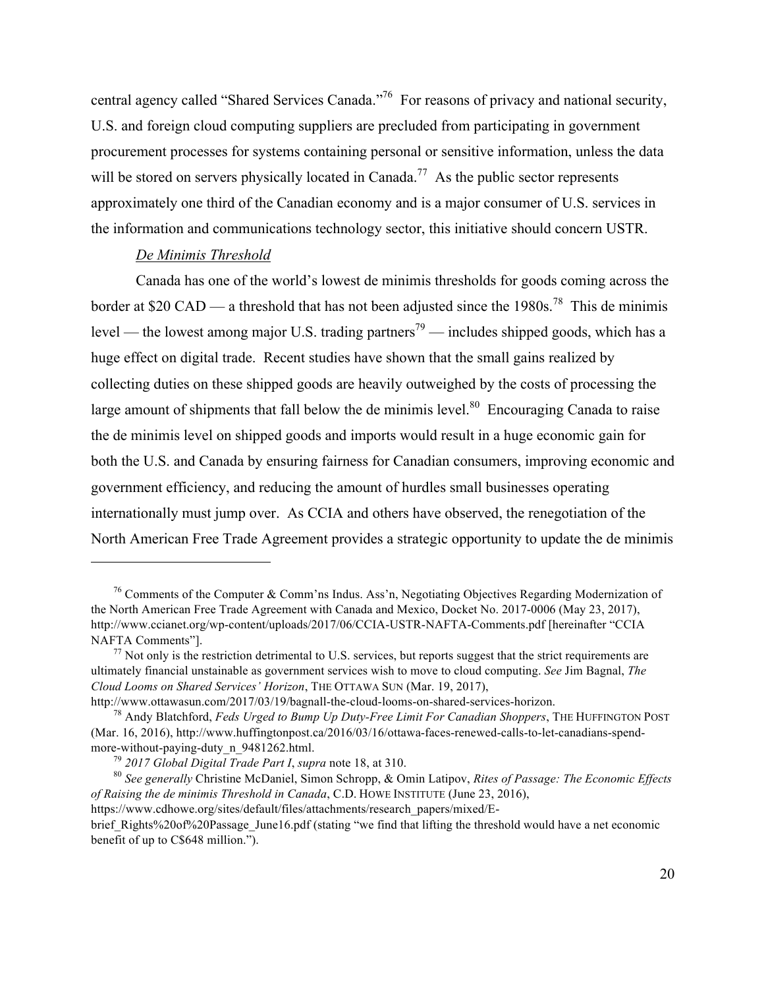central agency called "Shared Services Canada."76 For reasons of privacy and national security, U.S. and foreign cloud computing suppliers are precluded from participating in government procurement processes for systems containing personal or sensitive information, unless the data will be stored on servers physically located in Canada.<sup>77</sup> As the public sector represents approximately one third of the Canadian economy and is a major consumer of U.S. services in the information and communications technology sector, this initiative should concern USTR.

#### *De Minimis Threshold*

1

Canada has one of the world's lowest de minimis thresholds for goods coming across the border at \$20 CAD — a threshold that has not been adjusted since the 1980s.<sup>78</sup> This de minimis level — the lowest among major U.S. trading partners<sup>79</sup> — includes shipped goods, which has a huge effect on digital trade. Recent studies have shown that the small gains realized by collecting duties on these shipped goods are heavily outweighed by the costs of processing the large amount of shipments that fall below the de minimis level. $80$  Encouraging Canada to raise the de minimis level on shipped goods and imports would result in a huge economic gain for both the U.S. and Canada by ensuring fairness for Canadian consumers, improving economic and government efficiency, and reducing the amount of hurdles small businesses operating internationally must jump over. As CCIA and others have observed, the renegotiation of the North American Free Trade Agreement provides a strategic opportunity to update the de minimis

https://www.cdhowe.org/sites/default/files/attachments/research\_papers/mixed/E-

<sup>&</sup>lt;sup>76</sup> Comments of the Computer & Comm'ns Indus. Ass'n, Negotiating Objectives Regarding Modernization of the North American Free Trade Agreement with Canada and Mexico, Docket No. 2017-0006 (May 23, 2017), http://www.ccianet.org/wp-content/uploads/2017/06/CCIA-USTR-NAFTA-Comments.pdf [hereinafter "CCIA NAFTA Comments"].<br><sup>77</sup> Not only is the restriction detrimental to U.S. services, but reports suggest that the strict requirements are

ultimately financial unstainable as government services wish to move to cloud computing. *See* Jim Bagnal, *The Cloud Looms on Shared Services' Horizon*, THE OTTAWA SUN (Mar. 19, 2017),

http://www.ottawasun.com/2017/03/19/bagnall-the-cloud-looms-on-shared-services-horizon. 78 Andy Blatchford, *Feds Urged to Bump Up Duty-Free Limit For Canadian Shoppers*, THE HUFFINGTON POST

<sup>(</sup>Mar. 16, 2016), http://www.huffingtonpost.ca/2016/03/16/ottawa-faces-renewed-calls-to-let-canadians-spendmore-without-paying-duty\_n\_9481262.html.<br><sup>79</sup> 2017 Global Digital Trade Part I, supra note 18, at 310.

<sup>79</sup> *2017 Global Digital Trade Part I*, *supra* note 18, at 310. 80 *See generally* Christine McDaniel, Simon Schropp, & Omin Latipov, *Rites of Passage: The Economic Effects of Raising the de minimis Threshold in Canada*, C.D. HOWE INSTITUTE (June 23, 2016),

brief Rights%20of%20Passage June16.pdf (stating "we find that lifting the threshold would have a net economic benefit of up to C\$648 million.").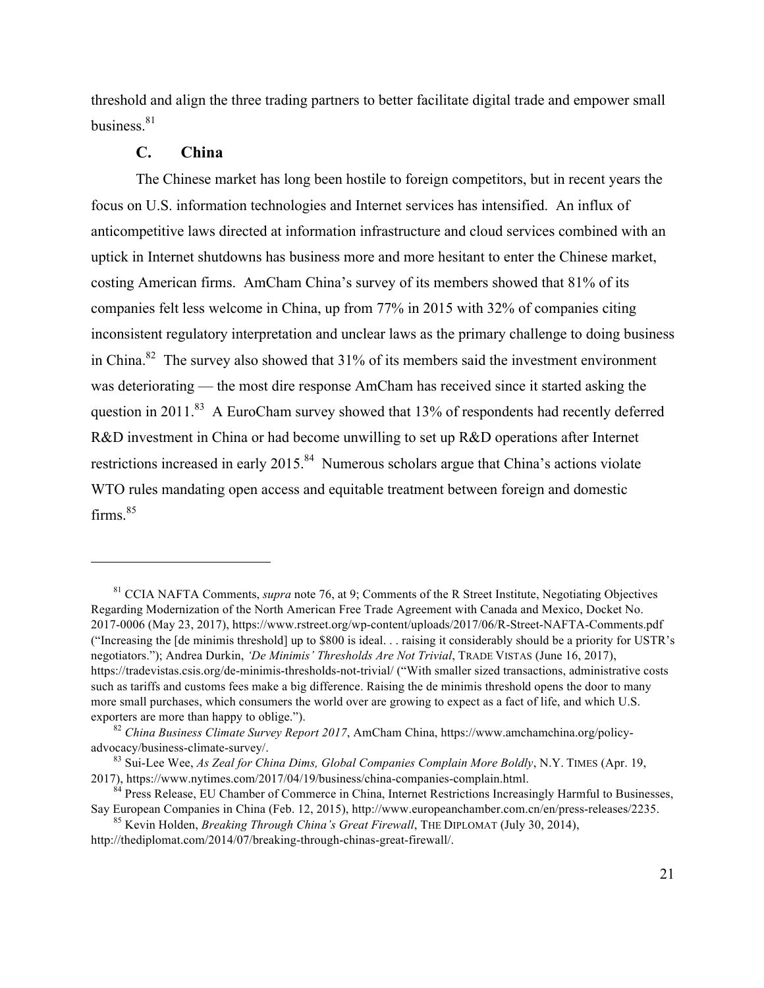threshold and align the three trading partners to better facilitate digital trade and empower small business. $81$ 

# **C. China**

1

The Chinese market has long been hostile to foreign competitors, but in recent years the focus on U.S. information technologies and Internet services has intensified. An influx of anticompetitive laws directed at information infrastructure and cloud services combined with an uptick in Internet shutdowns has business more and more hesitant to enter the Chinese market, costing American firms. AmCham China's survey of its members showed that 81% of its companies felt less welcome in China, up from 77% in 2015 with 32% of companies citing inconsistent regulatory interpretation and unclear laws as the primary challenge to doing business in China.<sup>82</sup> The survey also showed that 31% of its members said the investment environment was deteriorating — the most dire response AmCham has received since it started asking the question in 2011.<sup>83</sup> A EuroCham survey showed that 13% of respondents had recently deferred R&D investment in China or had become unwilling to set up R&D operations after Internet restrictions increased in early  $2015$ .<sup>84</sup> Numerous scholars argue that China's actions violate WTO rules mandating open access and equitable treatment between foreign and domestic  $firms$ <sup>85</sup>

<sup>81</sup> CCIA NAFTA Comments, *supra* note 76, at 9; Comments of the R Street Institute, Negotiating Objectives Regarding Modernization of the North American Free Trade Agreement with Canada and Mexico, Docket No. 2017-0006 (May 23, 2017), https://www.rstreet.org/wp-content/uploads/2017/06/R-Street-NAFTA-Comments.pdf ("Increasing the [de minimis threshold] up to \$800 is ideal. . . raising it considerably should be a priority for USTR's negotiators."); Andrea Durkin, *'De Minimis' Thresholds Are Not Trivial*, TRADE VISTAS (June 16, 2017), https://tradevistas.csis.org/de-minimis-thresholds-not-trivial/ ("With smaller sized transactions, administrative costs such as tariffs and customs fees make a big difference. Raising the de minimis threshold opens the door to many more small purchases, which consumers the world over are growing to expect as a fact of life, and which U.S. exporters are more than happy to oblige."). 82 *China Business Climate Survey Report 2017*, AmCham China, https://www.amchamchina.org/policy-

advocacy/business-climate-survey/. 83 Sui-Lee Wee, *As Zeal for China Dims, Global Companies Complain More Boldly*, N.Y. TIMES (Apr. 19,

<sup>2017),</sup> https://www.nytimes.com/2017/04/19/business/china-companies-complain.html. 84 Press Release, EU Chamber of Commerce in China, Internet Restrictions Increasingly Harmful to Businesses,

Say European Companies in China (Feb. 12, 2015), http://www.europeanchamber.com.cn/en/press-releases/2235.

<sup>85</sup> Kevin Holden, *Breaking Through China's Great Firewall*, THE DIPLOMAT (July 30, 2014), http://thediplomat.com/2014/07/breaking-through-chinas-great-firewall/.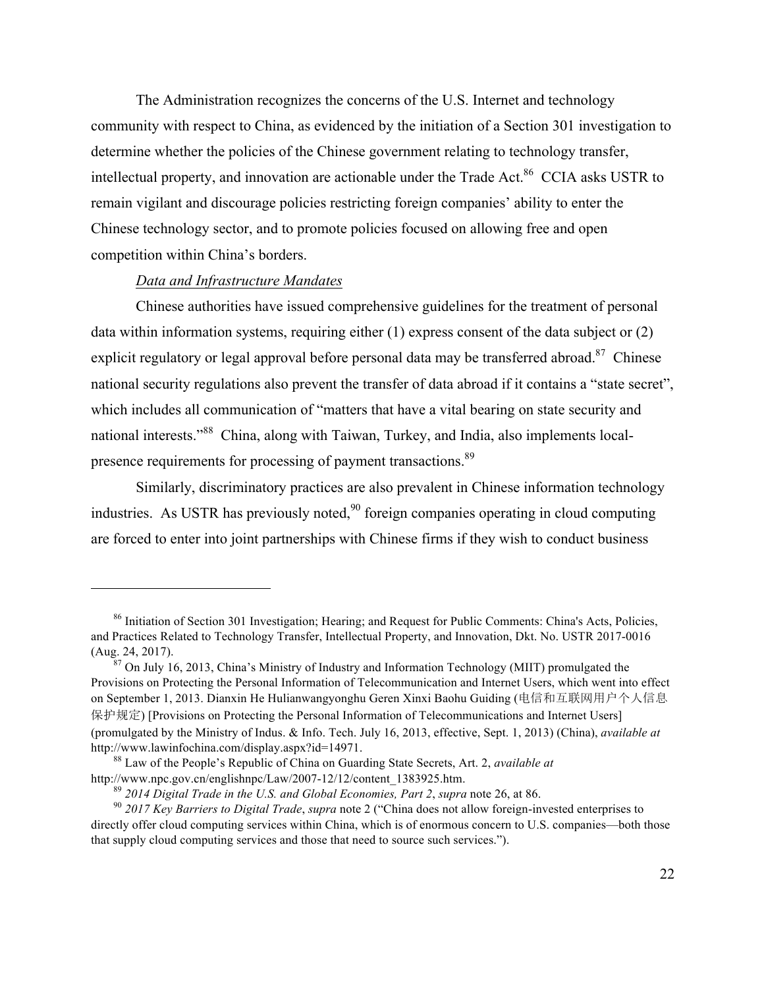The Administration recognizes the concerns of the U.S. Internet and technology community with respect to China, as evidenced by the initiation of a Section 301 investigation to determine whether the policies of the Chinese government relating to technology transfer, intellectual property, and innovation are actionable under the Trade Act.<sup>86</sup> CCIA asks USTR to remain vigilant and discourage policies restricting foreign companies' ability to enter the Chinese technology sector, and to promote policies focused on allowing free and open competition within China's borders.

#### *Data and Infrastructure Mandates*

1

Chinese authorities have issued comprehensive guidelines for the treatment of personal data within information systems, requiring either (1) express consent of the data subject or (2) explicit regulatory or legal approval before personal data may be transferred abroad.<sup>87</sup> Chinese national security regulations also prevent the transfer of data abroad if it contains a "state secret", which includes all communication of "matters that have a vital bearing on state security and national interests."88 China, along with Taiwan, Turkey, and India, also implements localpresence requirements for processing of payment transactions.<sup>89</sup>

Similarly, discriminatory practices are also prevalent in Chinese information technology industries. As USTR has previously noted,<sup>90</sup> foreign companies operating in cloud computing are forced to enter into joint partnerships with Chinese firms if they wish to conduct business

<sup>86</sup> Initiation of Section 301 Investigation; Hearing; and Request for Public Comments: China's Acts, Policies, and Practices Related to Technology Transfer, Intellectual Property, and Innovation, Dkt. No. USTR 2017-0016 (Aug. 24, 2017). 87 On July 16, 2013, China's Ministry of Industry and Information Technology (MIIT) promulgated the

Provisions on Protecting the Personal Information of Telecommunication and Internet Users, which went into effect on September 1, 2013. Dianxin He Hulianwangyonghu Geren Xinxi Baohu Guiding (电信和互联网用户个人信息 保护规定) [Provisions on Protecting the Personal Information of Telecommunications and Internet Users] (promulgated by the Ministry of Indus. & Info. Tech. July 16, 2013, effective, Sept. 1, 2013) (China), *available at* http://www.lawinfochina.com/display.aspx?id=14971.

<sup>88</sup> Law of the People's Republic of China on Guarding State Secrets, Art. 2, *available at* http://www.npc.gov.cn/englishnpc/Law/2007-12/12/content\_1383925.htm.

<sup>89</sup> *2014 Digital Trade in the U.S. and Global Economies, Part 2*, *supra* note 26, at 86.

<sup>90</sup> *2017 Key Barriers to Digital Trade*, *supra* note 2 ("China does not allow foreign-invested enterprises to directly offer cloud computing services within China, which is of enormous concern to U.S. companies—both those that supply cloud computing services and those that need to source such services.").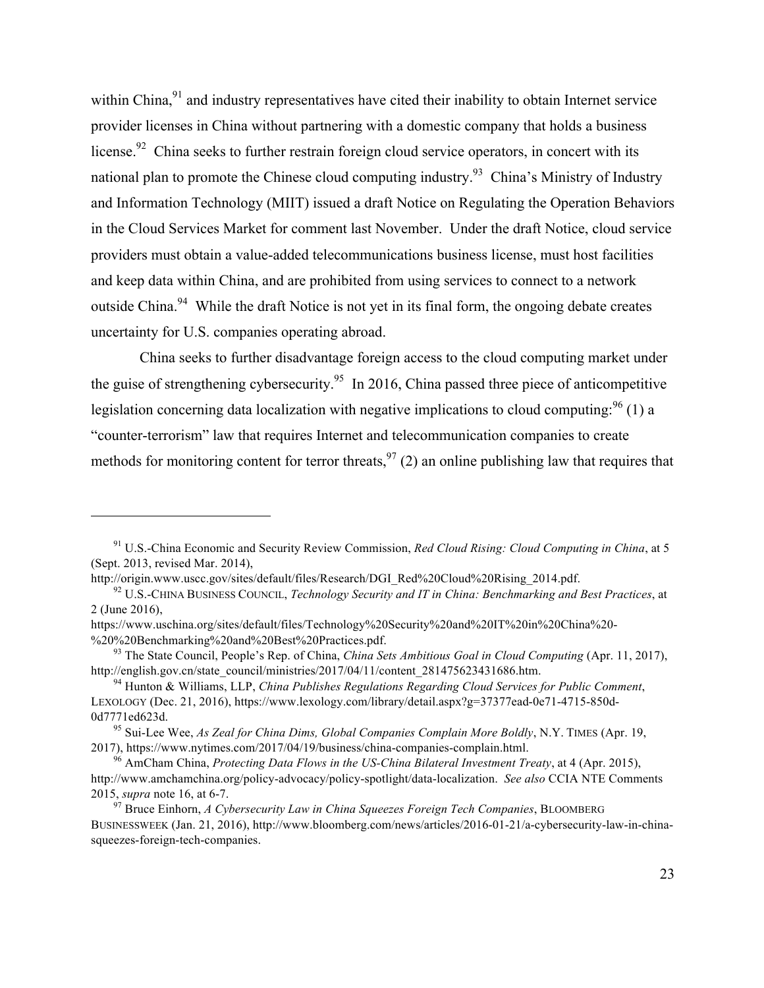within China,<sup>91</sup> and industry representatives have cited their inability to obtain Internet service provider licenses in China without partnering with a domestic company that holds a business license.<sup>92</sup> China seeks to further restrain foreign cloud service operators, in concert with its national plan to promote the Chinese cloud computing industry.<sup>93</sup> China's Ministry of Industry and Information Technology (MIIT) issued a draft Notice on Regulating the Operation Behaviors in the Cloud Services Market for comment last November. Under the draft Notice, cloud service providers must obtain a value-added telecommunications business license, must host facilities and keep data within China, and are prohibited from using services to connect to a network outside China.<sup>94</sup> While the draft Notice is not yet in its final form, the ongoing debate creates uncertainty for U.S. companies operating abroad.

China seeks to further disadvantage foreign access to the cloud computing market under the guise of strengthening cybersecurity.<sup>95</sup> In 2016, China passed three piece of anticompetitive legislation concerning data localization with negative implications to cloud computing:  $96(1)$  a "counter-terrorism" law that requires Internet and telecommunication companies to create methods for monitoring content for terror threats,  $97$  (2) an online publishing law that requires that

<sup>91</sup> U.S.-China Economic and Security Review Commission, *Red Cloud Rising: Cloud Computing in China*, at 5 (Sept. 2013, revised Mar. 2014),<br>http://origin.www.uscc.gov/sites/default/files/Research/DGI Red%20Cloud%20Rising 2014.pdf.

<sup>&</sup>lt;sup>92</sup> U.S.-CHINA BUSINESS COUNCIL, *Technology Security and IT in China: Benchmarking and Best Practices*, at 2 (June 2016),

https://www.uschina.org/sites/default/files/Technology%20Security%20and%20IT%20in%20China%20- %20%20Benchmarking%20and%20Best%20Practices.pdf.

<sup>93</sup> The State Council, People's Rep. of China, *China Sets Ambitious Goal in Cloud Computing* (Apr. 11, 2017), http://english.gov.cn/state\_council/ministries/2017/04/11/content\_281475623431686.htm. 94 Hunton & Williams, LLP, *China Publishes Regulations Regarding Cloud Services for Public Comment*,

LEXOLOGY (Dec. 21, 2016), https://www.lexology.com/library/detail.aspx?g=37377ead-0e71-4715-850d-

<sup>0</sup>d7771ed623d. <sup>95</sup> Sui-Lee Wee, *As Zeal for China Dims, Global Companies Complain More Boldly*, N.Y. TIMES (Apr. 19, 2017), https://www.nytimes.com/2017/04/19/business/china-companies-complain.html.

<sup>&</sup>lt;sup>96</sup> AmCham China, *Protecting Data Flows in the US-China Bilateral Investment Treaty*, at 4 (Apr. 2015), http://www.amchamchina.org/policy-advocacy/policy-spotlight/data-localization. *See also* CCIA NTE Comments 2015, *supra* note 16, at 6-7. 97 Bruce Einhorn, *A Cybersecurity Law in China Squeezes Foreign Tech Companies*, BLOOMBERG

BUSINESSWEEK (Jan. 21, 2016), http://www.bloomberg.com/news/articles/2016-01-21/a-cybersecurity-law-in-chinasqueezes-foreign-tech-companies.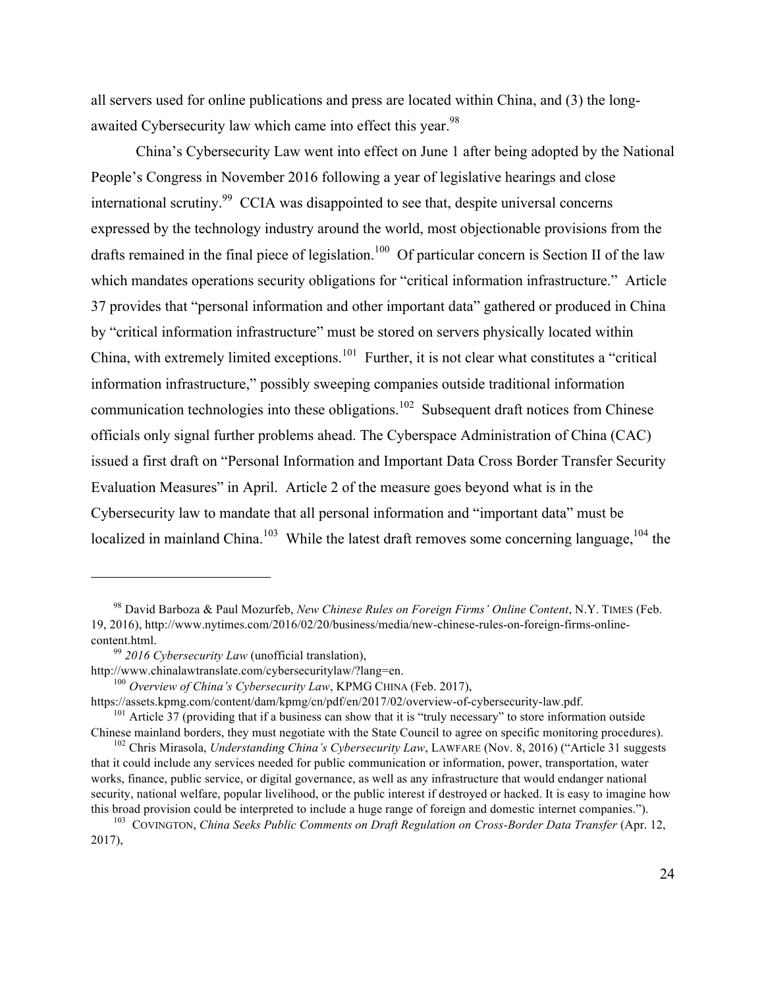all servers used for online publications and press are located within China, and (3) the longawaited Cybersecurity law which came into effect this year.<sup>98</sup>

China's Cybersecurity Law went into effect on June 1 after being adopted by the National People's Congress in November 2016 following a year of legislative hearings and close international scrutiny.<sup>99</sup> CCIA was disappointed to see that, despite universal concerns expressed by the technology industry around the world, most objectionable provisions from the drafts remained in the final piece of legislation.<sup>100</sup> Of particular concern is Section II of the law which mandates operations security obligations for "critical information infrastructure." Article 37 provides that "personal information and other important data" gathered or produced in China by "critical information infrastructure" must be stored on servers physically located within China, with extremely limited exceptions.<sup>101</sup> Further, it is not clear what constitutes a "critical" information infrastructure," possibly sweeping companies outside traditional information communication technologies into these obligations.<sup>102</sup> Subsequent draft notices from Chinese officials only signal further problems ahead. The Cyberspace Administration of China (CAC) issued a first draft on "Personal Information and Important Data Cross Border Transfer Security Evaluation Measures" in April. Article 2 of the measure goes beyond what is in the Cybersecurity law to mandate that all personal information and "important data" must be localized in mainland China.<sup>103</sup> While the latest draft removes some concerning language,  $104$  the

<sup>98</sup> David Barboza & Paul Mozurfeb, *New Chinese Rules on Foreign Firms' Online Content*, N.Y. TIMES (Feb. 19, 2016), http://www.nytimes.com/2016/02/20/business/media/new-chinese-rules-on-foreign-firms-onlinecontent.html.

<sup>99</sup> *2016 Cybersecurity Law* (unofficial translation),

http://www.chinalawtranslate.com/cybersecuritylaw/?lang=en. 100 *Overview of China's Cybersecurity Law*, KPMG CHINA (Feb. 2017),

https://assets.kpmg.com/content/dam/kpmg/cn/pdf/en/2017/02/overview-of-cybersecurity-law.pdf.

 $101$  Article 37 (providing that if a business can show that it is "truly necessary" to store information outside<br>Chinese mainland borders, they must negotiate with the State Council to agree on specific monitoring proced

<sup>&</sup>lt;sup>102</sup> Chris Mirasola, *Understanding China's Cybersecurity Law*, LAWFARE (Nov. 8, 2016) ("Article 31 suggests that it could include any services needed for public communication or information, power, transportation, water works, finance, public service, or digital governance, as well as any infrastructure that would endanger national security, national welfare, popular livelihood, or the public interest if destroyed or hacked. It is easy to imagine how this broad provision could be interpreted to include a huge range of foreign and domestic internet companies."). 103 COVINGTON, *China Seeks Public Comments on Draft Regulation on Cross-Border Data Transfer* (Apr. 12,

<sup>2017),</sup>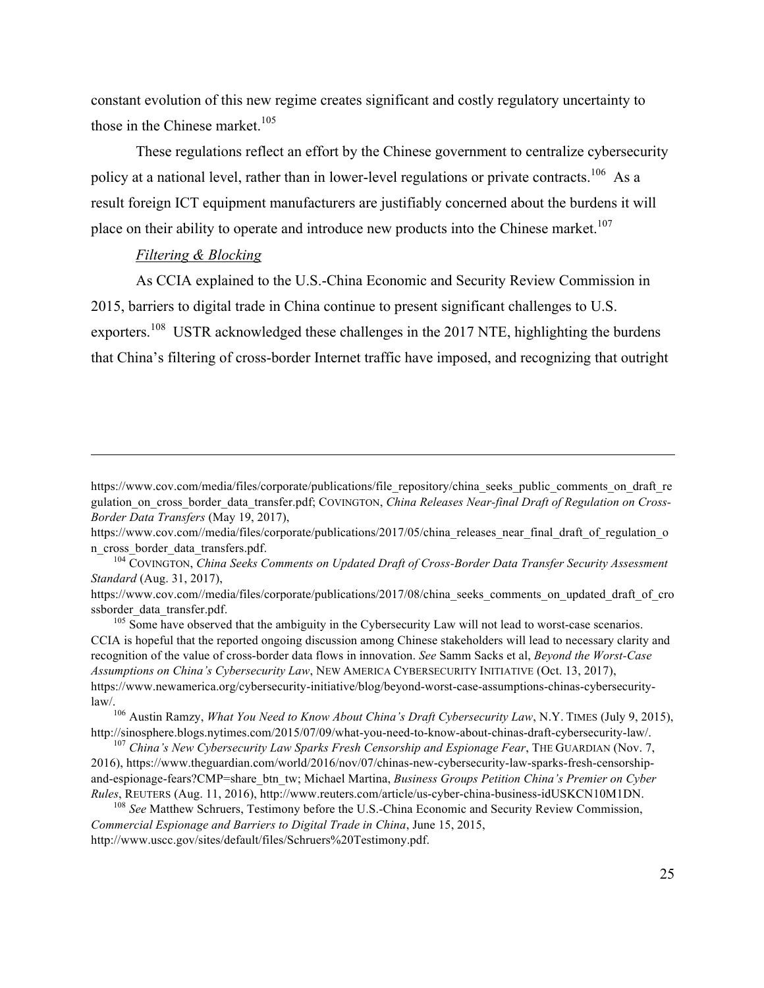constant evolution of this new regime creates significant and costly regulatory uncertainty to those in the Chinese market. $105$ 

These regulations reflect an effort by the Chinese government to centralize cybersecurity policy at a national level, rather than in lower-level regulations or private contracts.<sup>106</sup> As a result foreign ICT equipment manufacturers are justifiably concerned about the burdens it will place on their ability to operate and introduce new products into the Chinese market.<sup>107</sup>

#### *Filtering & Blocking*

 $\overline{a}$ 

As CCIA explained to the U.S.-China Economic and Security Review Commission in 2015, barriers to digital trade in China continue to present significant challenges to U.S. exporters.<sup>108</sup> USTR acknowledged these challenges in the 2017 NTE, highlighting the burdens that China's filtering of cross-border Internet traffic have imposed, and recognizing that outright

*Standard* (Aug. 31, 2017),

https://www.cov.com//media/files/corporate/publications/2017/08/china\_seeks\_comments\_on\_updated\_draft\_of\_cro ssborder\_data\_transfer.pdf. 105 Some have observed that the ambiguity in the Cybersecurity Law will not lead to worst-case scenarios.

CCIA is hopeful that the reported ongoing discussion among Chinese stakeholders will lead to necessary clarity and recognition of the value of cross-border data flows in innovation. *See* Samm Sacks et al, *Beyond the Worst-Case Assumptions on China's Cybersecurity Law*, NEW AMERICA CYBERSECURITY INITIATIVE (Oct. 13, 2017), https://www.newamerica.org/cybersecurity-initiative/blog/beyond-worst-case-assumptions-chinas-cybersecurity-

law/. 106 Austin Ramzy, *What You Need to Know About China's Draft Cybersecurity Law*, N.Y. TIMES (July 9, 2015), http://sinosphere.blogs.nytimes.com/2015/07/09/what-you-need-to-know-about-chinas-draft-cybersecurity-law/.

<sup>107</sup> *China's New Cybersecurity Law Sparks Fresh Censorship and Espionage Fear*, THE GUARDIAN (Nov. 7, 2016), https://www.theguardian.com/world/2016/nov/07/chinas-new-cybersecurity-law-sparks-fresh-censorshipand-espionage-fears?CMP=share\_btn\_tw; Michael Martina, *Business Groups Petition China's Premier on Cyber Rules*, REUTERS (Aug. 11, 2016), http://www.reuters.com/article/us-cyber-china-business-idUSKCN10M1DN. 108 *See* Matthew Schruers, Testimony before the U.S.-China Economic and Security Review Commission,

*Commercial Espionage and Barriers to Digital Trade in China*, June 15, 2015, http://www.uscc.gov/sites/default/files/Schruers%20Testimony.pdf.

https://www.cov.com/media/files/corporate/publications/file\_repository/china\_seeks\_public\_comments\_on\_draft\_re gulation\_on\_cross\_border\_data\_transfer.pdf; COVINGTON, *China Releases Near-final Draft of Regulation on Cross-Border Data Transfers* (May 19, 2017),

https://www.cov.com//media/files/corporate/publications/2017/05/china\_releases\_near\_final\_draft\_of\_regulation\_o n\_cross\_border\_data\_transfers.pdf. 104 COVINGTON, *China Seeks Comments on Updated Draft of Cross-Border Data Transfer Security Assessment*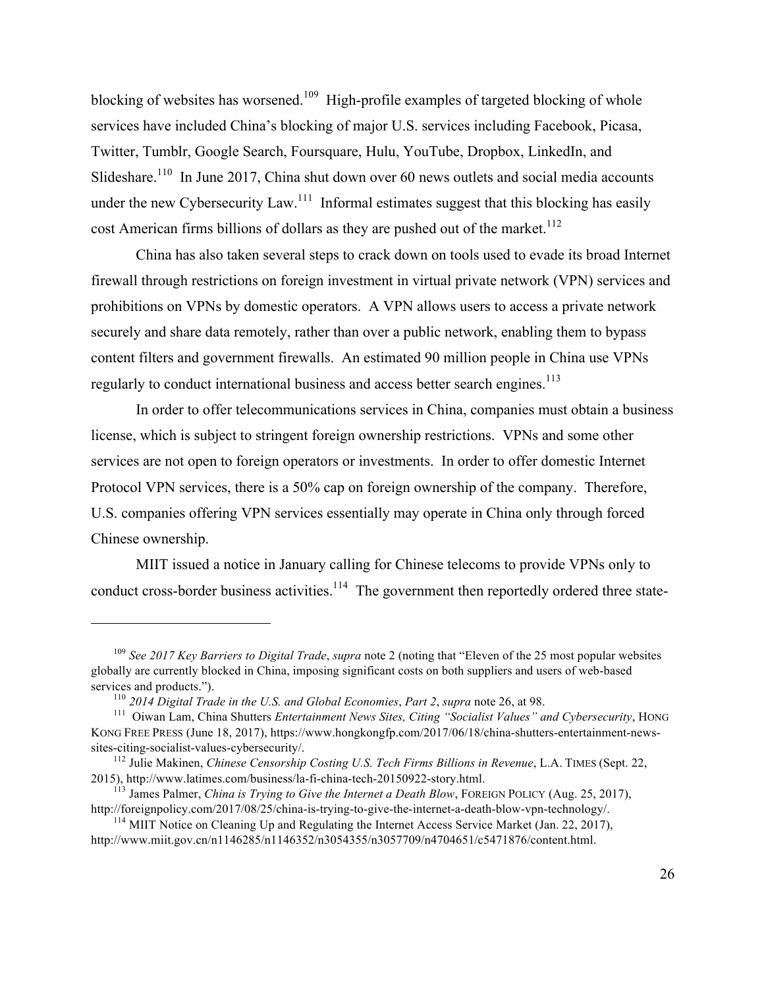blocking of websites has worsened.<sup>109</sup> High-profile examples of targeted blocking of whole services have included China's blocking of major U.S. services including Facebook, Picasa, Twitter, Tumblr, Google Search, Foursquare, Hulu, YouTube, Dropbox, LinkedIn, and Slideshare.<sup>110</sup> In June 2017, China shut down over 60 news outlets and social media accounts under the new Cybersecurity Law.<sup>111</sup> Informal estimates suggest that this blocking has easily cost American firms billions of dollars as they are pushed out of the market.<sup>112</sup>

China has also taken several steps to crack down on tools used to evade its broad Internet firewall through restrictions on foreign investment in virtual private network (VPN) services and prohibitions on VPNs by domestic operators. A VPN allows users to access a private network securely and share data remotely, rather than over a public network, enabling them to bypass content filters and government firewalls. An estimated 90 million people in China use VPNs regularly to conduct international business and access better search engines.<sup>113</sup>

In order to offer telecommunications services in China, companies must obtain a business license, which is subject to stringent foreign ownership restrictions. VPNs and some other services are not open to foreign operators or investments. In order to offer domestic Internet Protocol VPN services, there is a 50% cap on foreign ownership of the company. Therefore, U.S. companies offering VPN services essentially may operate in China only through forced Chinese ownership.

MIIT issued a notice in January calling for Chinese telecoms to provide VPNs only to conduct cross-border business activities.<sup>114</sup> The government then reportedly ordered three state-

<sup>109</sup> *See 2017 Key Barriers to Digital Trade*, *supra* note 2 (noting that "Eleven of the 25 most popular websites globally are currently blocked in China, imposing significant costs on both suppliers and users of web-based services and products."). 110 *<sup>2014</sup> Digital Trade in the U.S. and Global Economies*, *Part 2*, *supra* note 26, at 98.

<sup>111</sup> Oiwan Lam, China Shutters *Entertainment News Sites, Citing "Socialist Values" and Cybersecurity*, HONG KONG FREE PRESS (June 18, 2017), https://www.hongkongfp.com/2017/06/18/china-shutters-entertainment-newssites-citing-socialist-values-cybersecurity/. 112 Julie Makinen, *Chinese Censorship Costing U.S. Tech Firms Billions in Revenue*, L.A. TIMES (Sept. 22,

<sup>2015),</sup> http://www.latimes.com/business/la-fi-china-tech-20150922-story.html.

<sup>113</sup> James Palmer, *China is Trying to Give the Internet a Death Blow*, FOREIGN POLICY (Aug. 25, 2017), http://foreignpolicy.com/2017/08/25/china-is-trying-to-give-the-internet-a-death-blow-vpn-technology/. 114 MIIT Notice on Cleaning Up and Regulating the Internet Access Service Market (Jan. 22, 2017),

http://www.miit.gov.cn/n1146285/n1146352/n3054355/n3057709/n4704651/c5471876/content.html.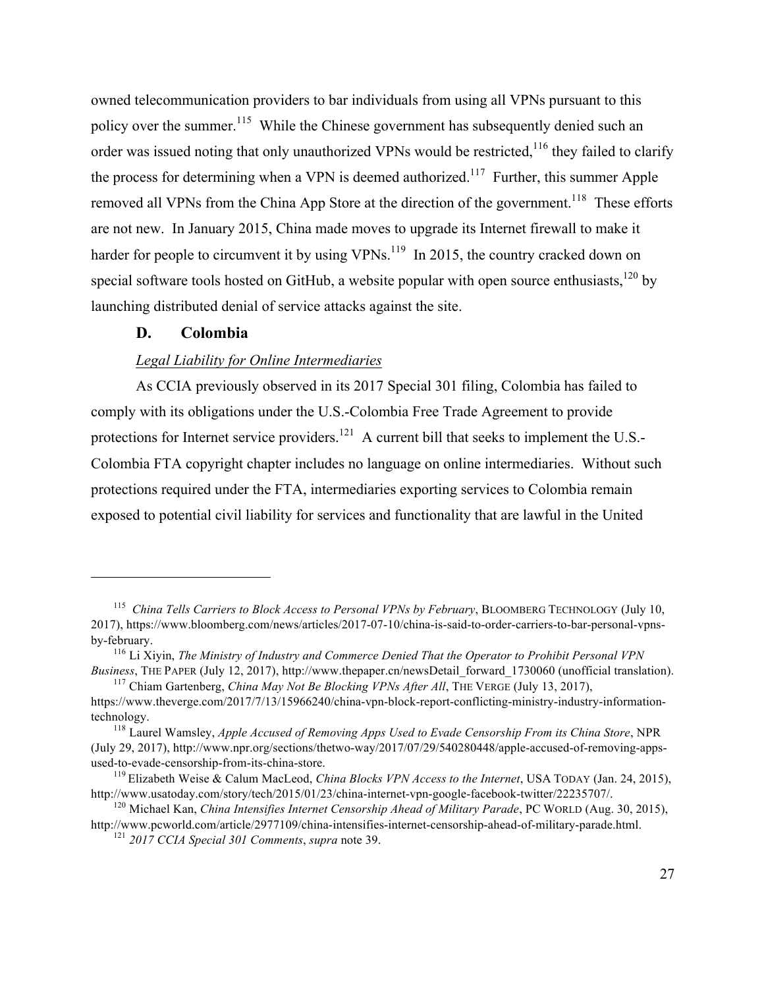owned telecommunication providers to bar individuals from using all VPNs pursuant to this policy over the summer.<sup>115</sup> While the Chinese government has subsequently denied such an order was issued noting that only unauthorized VPNs would be restricted,<sup>116</sup> they failed to clarify the process for determining when a VPN is deemed authorized.<sup>117</sup> Further, this summer Apple removed all VPNs from the China App Store at the direction of the government.<sup>118</sup> These efforts are not new. In January 2015, China made moves to upgrade its Internet firewall to make it harder for people to circumvent it by using VPNs.<sup>119</sup> In 2015, the country cracked down on special software tools hosted on GitHub, a website popular with open source enthusiasts, $120$  by launching distributed denial of service attacks against the site.

#### **D. Colombia**

1

## *Legal Liability for Online Intermediaries*

As CCIA previously observed in its 2017 Special 301 filing, Colombia has failed to comply with its obligations under the U.S.-Colombia Free Trade Agreement to provide protections for Internet service providers.<sup>121</sup> A current bill that seeks to implement the U.S.-Colombia FTA copyright chapter includes no language on online intermediaries. Without such protections required under the FTA, intermediaries exporting services to Colombia remain exposed to potential civil liability for services and functionality that are lawful in the United

<sup>115</sup> *China Tells Carriers to Block Access to Personal VPNs by February*, BLOOMBERG TECHNOLOGY (July 10, 2017), https://www.bloomberg.com/news/articles/2017-07-10/china-is-said-to-order-carriers-to-bar-personal-vpnsby-february.

<sup>116</sup> Li Xiyin, *The Ministry of Industry and Commerce Denied That the Operator to Prohibit Personal VPN Business*, THE PAPER (July 12, 2017), http://www.thepaper.cn/newsDetail\_forward\_1730060 (unofficial translation). <sup>117</sup> Chiam Gartenberg, *China May Not Be Blocking VPNs After All*, THE VERGE (July 13, 2017),

https://www.theverge.com/2017/7/13/15966240/china-vpn-block-report-conflicting-ministry-industry-informationtechnology. 118 Laurel Wamsley, *Apple Accused of Removing Apps Used to Evade Censorship From its China Store*, NPR

<sup>(</sup>July 29, 2017), http://www.npr.org/sections/thetwo-way/2017/07/29/540280448/apple-accused-of-removing-appsused-to-evade-censorship-from-its-china-store. 119 Elizabeth Weise & Calum MacLeod, *China Blocks VPN Access to the Internet*, USA TODAY (Jan. 24, 2015),

http://www.usatoday.com/story/tech/2015/01/23/china-internet-vpn-google-facebook-twitter/22235707/.

<sup>120</sup> Michael Kan, *China Intensifies Internet Censorship Ahead of Military Parade*, PC WORLD (Aug. 30, 2015), http://www.pcworld.com/article/2977109/china-intensifies-internet-censorship-ahead-of-military-parade.html.

<sup>121</sup> *2017 CCIA Special 301 Comments*, *supra* note 39.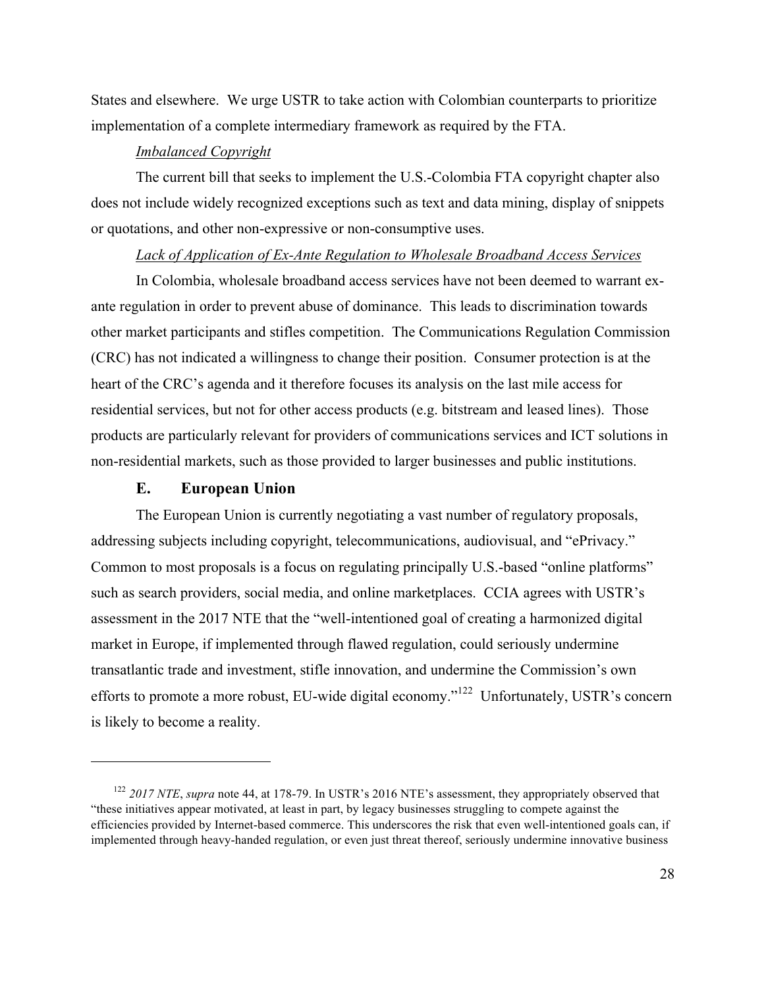States and elsewhere. We urge USTR to take action with Colombian counterparts to prioritize implementation of a complete intermediary framework as required by the FTA.

## *Imbalanced Copyright*

The current bill that seeks to implement the U.S.-Colombia FTA copyright chapter also does not include widely recognized exceptions such as text and data mining, display of snippets or quotations, and other non-expressive or non-consumptive uses.

#### *Lack of Application of Ex-Ante Regulation to Wholesale Broadband Access Services*

In Colombia, wholesale broadband access services have not been deemed to warrant exante regulation in order to prevent abuse of dominance. This leads to discrimination towards other market participants and stifles competition. The Communications Regulation Commission (CRC) has not indicated a willingness to change their position. Consumer protection is at the heart of the CRC's agenda and it therefore focuses its analysis on the last mile access for residential services, but not for other access products (e.g. bitstream and leased lines). Those products are particularly relevant for providers of communications services and ICT solutions in non-residential markets, such as those provided to larger businesses and public institutions.

## **E. European Union**

1

The European Union is currently negotiating a vast number of regulatory proposals, addressing subjects including copyright, telecommunications, audiovisual, and "ePrivacy." Common to most proposals is a focus on regulating principally U.S.-based "online platforms" such as search providers, social media, and online marketplaces. CCIA agrees with USTR's assessment in the 2017 NTE that the "well-intentioned goal of creating a harmonized digital market in Europe, if implemented through flawed regulation, could seriously undermine transatlantic trade and investment, stifle innovation, and undermine the Commission's own efforts to promote a more robust, EU-wide digital economy."122 Unfortunately, USTR's concern is likely to become a reality.

<sup>&</sup>lt;sup>122</sup> 2017 NTE, supra note 44, at 178-79. In USTR's 2016 NTE's assessment, they appropriately observed that "these initiatives appear motivated, at least in part, by legacy businesses struggling to compete against the efficiencies provided by Internet-based commerce. This underscores the risk that even well-intentioned goals can, if implemented through heavy-handed regulation, or even just threat thereof, seriously undermine innovative business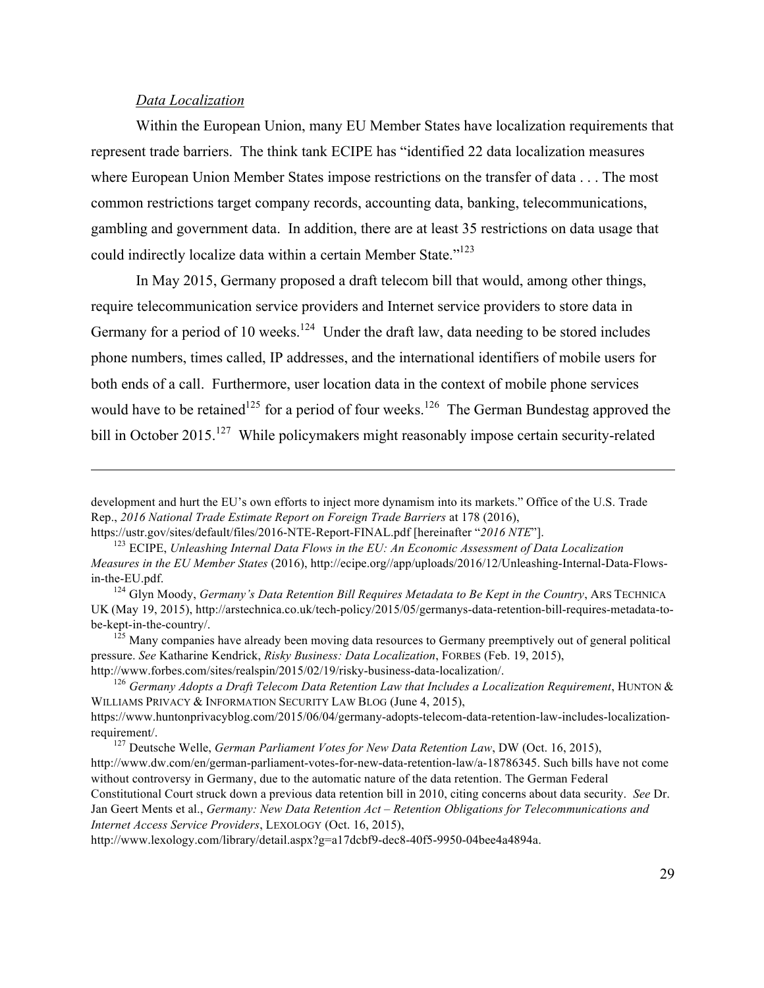#### *Data Localization*

Within the European Union, many EU Member States have localization requirements that represent trade barriers. The think tank ECIPE has "identified 22 data localization measures where European Union Member States impose restrictions on the transfer of data . . . The most common restrictions target company records, accounting data, banking, telecommunications, gambling and government data. In addition, there are at least 35 restrictions on data usage that could indirectly localize data within a certain Member State."<sup>123</sup>

In May 2015, Germany proposed a draft telecom bill that would, among other things, require telecommunication service providers and Internet service providers to store data in Germany for a period of 10 weeks.<sup>124</sup> Under the draft law, data needing to be stored includes phone numbers, times called, IP addresses, and the international identifiers of mobile users for both ends of a call. Furthermore, user location data in the context of mobile phone services would have to be retained<sup>125</sup> for a period of four weeks.<sup>126</sup> The German Bundestag approved the bill in October 2015.<sup>127</sup> While policymakers might reasonably impose certain security-related

 $125$  Many companies have already been moving data resources to Germany preemptively out of general political pressure. *See* Katharine Kendrick, *Risky Business: Data Localization*, FORBES (Feb. 19, 2015), http://www.forbes.com/sites/realspin/2015/02/19/risky-business-data-localization/.

<sup>126</sup> Germany Adopts a Draft Telecom Data Retention Law that Includes a Localization Requirement, HUNTON & WILLIAMS PRIVACY & INFORMATION SECURITY LAW BLOG (June 4, 2015), https://www.huntonprivacyblog.com/2015/06/04/germany-adopts-telecom-data-retention-law-includes-localizationrequirement/.

<sup>127</sup> Deutsche Welle, *German Parliament Votes for New Data Retention Law*, DW (Oct. 16, 2015), http://www.dw.com/en/german-parliament-votes-for-new-data-retention-law/a-18786345. Such bills have not come without controversy in Germany, due to the automatic nature of the data retention. The German Federal Constitutional Court struck down a previous data retention bill in 2010, citing concerns about data security. *See* Dr. Jan Geert Ments et al., *Germany: New Data Retention Act – Retention Obligations for Telecommunications and Internet Access Service Providers*, LEXOLOGY (Oct. 16, 2015),

http://www.lexology.com/library/detail.aspx?g=a17dcbf9-dec8-40f5-9950-04bee4a4894a.

development and hurt the EU's own efforts to inject more dynamism into its markets." Office of the U.S. Trade Rep., *2016 National Trade Estimate Report on Foreign Trade Barriers* at 178 (2016),

https://ustr.gov/sites/default/files/2016-NTE-Report-FINAL.pdf [hereinafter "*2016 NTE*"]. 123 ECIPE, *Unleashing Internal Data Flows in the EU: An Economic Assessment of Data Localization Measures in the EU Member States* (2016), http://ecipe.org//app/uploads/2016/12/Unleashing-Internal-Data-Flowsin-the-EU.pdf.

<sup>&</sup>lt;sup>124</sup> Glyn Moody, *Germany's Data Retention Bill Requires Metadata to Be Kept in the Country*, ARS TECHNICA UK (May 19, 2015), http://arstechnica.co.uk/tech-policy/2015/05/germanys-data-retention-bill-requires-metadata-tobe-kept-in-the-country/.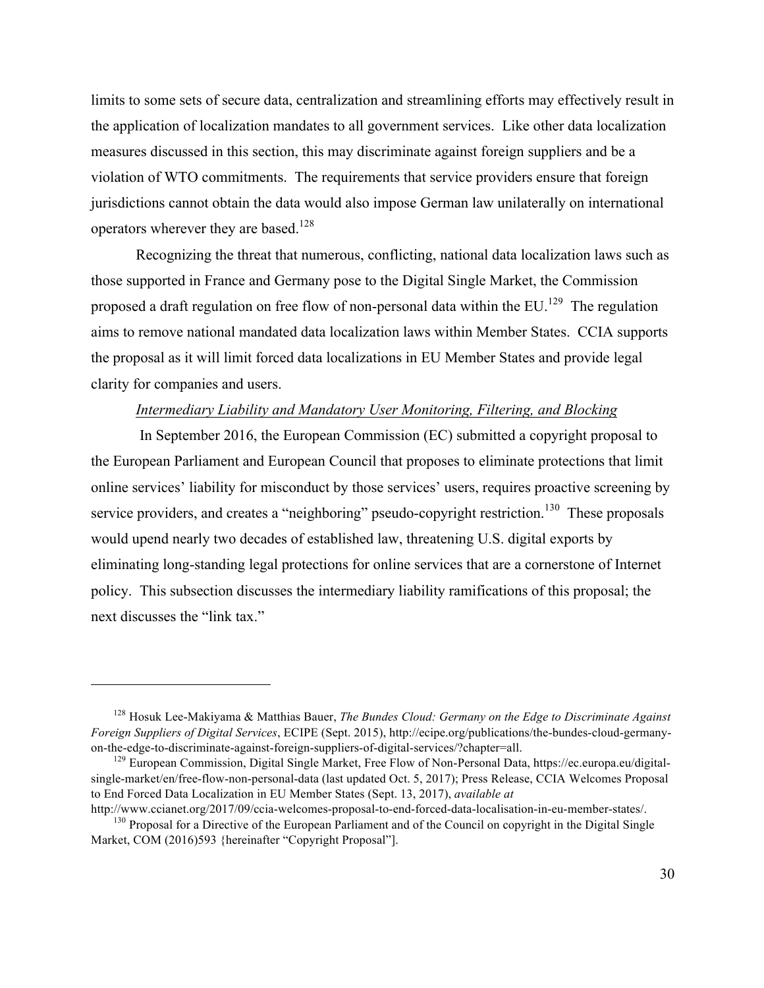limits to some sets of secure data, centralization and streamlining efforts may effectively result in the application of localization mandates to all government services. Like other data localization measures discussed in this section, this may discriminate against foreign suppliers and be a violation of WTO commitments. The requirements that service providers ensure that foreign jurisdictions cannot obtain the data would also impose German law unilaterally on international operators wherever they are based.<sup>128</sup>

Recognizing the threat that numerous, conflicting, national data localization laws such as those supported in France and Germany pose to the Digital Single Market, the Commission proposed a draft regulation on free flow of non-personal data within the EU.<sup>129</sup> The regulation aims to remove national mandated data localization laws within Member States. CCIA supports the proposal as it will limit forced data localizations in EU Member States and provide legal clarity for companies and users.

#### *Intermediary Liability and Mandatory User Monitoring, Filtering, and Blocking*

In September 2016, the European Commission (EC) submitted a copyright proposal to the European Parliament and European Council that proposes to eliminate protections that limit online services' liability for misconduct by those services' users, requires proactive screening by service providers, and creates a "neighboring" pseudo-copyright restriction.<sup>130</sup> These proposals would upend nearly two decades of established law, threatening U.S. digital exports by eliminating long-standing legal protections for online services that are a cornerstone of Internet policy. This subsection discusses the intermediary liability ramifications of this proposal; the next discusses the "link tax."

1

http://www.ccianet.org/2017/09/ccia-welcomes-proposal-to-end-forced-data-localisation-in-eu-member-states/.<br><sup>130</sup> Proposal for a Directive of the European Parliament and of the Council on copyright in the Digital Single

<sup>128</sup> Hosuk Lee-Makiyama & Matthias Bauer, *The Bundes Cloud: Germany on the Edge to Discriminate Against Foreign Suppliers of Digital Services*, ECIPE (Sept. 2015), http://ecipe.org/publications/the-bundes-cloud-germanyon-the-edge-to-discriminate-against-foreign-suppliers-of-digital-services/?chapter=all.

<sup>&</sup>lt;sup>129</sup> European Commission, Digital Single Market, Free Flow of Non-Personal Data, https://ec.europa.eu/digitalsingle-market/en/free-flow-non-personal-data (last updated Oct. 5, 2017); Press Release, CCIA Welcomes Proposal to End Forced Data Localization in EU Member States (Sept. 13, 2017), *available at*

Market, COM (2016)593 {hereinafter "Copyright Proposal"].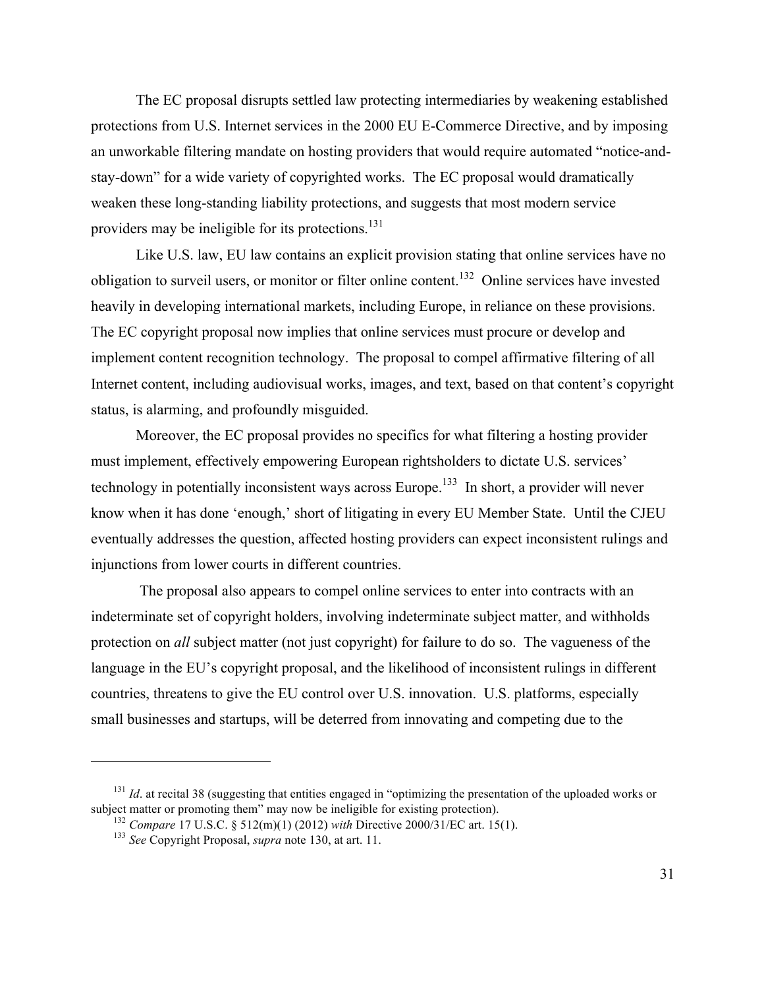The EC proposal disrupts settled law protecting intermediaries by weakening established protections from U.S. Internet services in the 2000 EU E-Commerce Directive, and by imposing an unworkable filtering mandate on hosting providers that would require automated "notice-andstay-down" for a wide variety of copyrighted works. The EC proposal would dramatically weaken these long-standing liability protections, and suggests that most modern service providers may be ineligible for its protections.<sup>131</sup>

Like U.S. law, EU law contains an explicit provision stating that online services have no obligation to surveil users, or monitor or filter online content.<sup>132</sup> Online services have invested heavily in developing international markets, including Europe, in reliance on these provisions. The EC copyright proposal now implies that online services must procure or develop and implement content recognition technology. The proposal to compel affirmative filtering of all Internet content, including audiovisual works, images, and text, based on that content's copyright status, is alarming, and profoundly misguided.

Moreover, the EC proposal provides no specifics for what filtering a hosting provider must implement, effectively empowering European rightsholders to dictate U.S. services' technology in potentially inconsistent ways across Europe.<sup>133</sup> In short, a provider will never know when it has done 'enough,' short of litigating in every EU Member State. Until the CJEU eventually addresses the question, affected hosting providers can expect inconsistent rulings and injunctions from lower courts in different countries.

The proposal also appears to compel online services to enter into contracts with an indeterminate set of copyright holders, involving indeterminate subject matter, and withholds protection on *all* subject matter (not just copyright) for failure to do so. The vagueness of the language in the EU's copyright proposal, and the likelihood of inconsistent rulings in different countries, threatens to give the EU control over U.S. innovation. U.S. platforms, especially small businesses and startups, will be deterred from innovating and competing due to the

<sup>&</sup>lt;sup>131</sup> *Id.* at recital 38 (suggesting that entities engaged in "optimizing the presentation of the uploaded works or subject matter or promoting them" may now be ineligible for existing protection).

<sup>132</sup> *Compare* 17 U.S.C. § 512(m)(1) (2012) *with* Directive 2000/31/EC art. 15(1).

<sup>133</sup> *See* Copyright Proposal, *supra* note 130, at art. 11.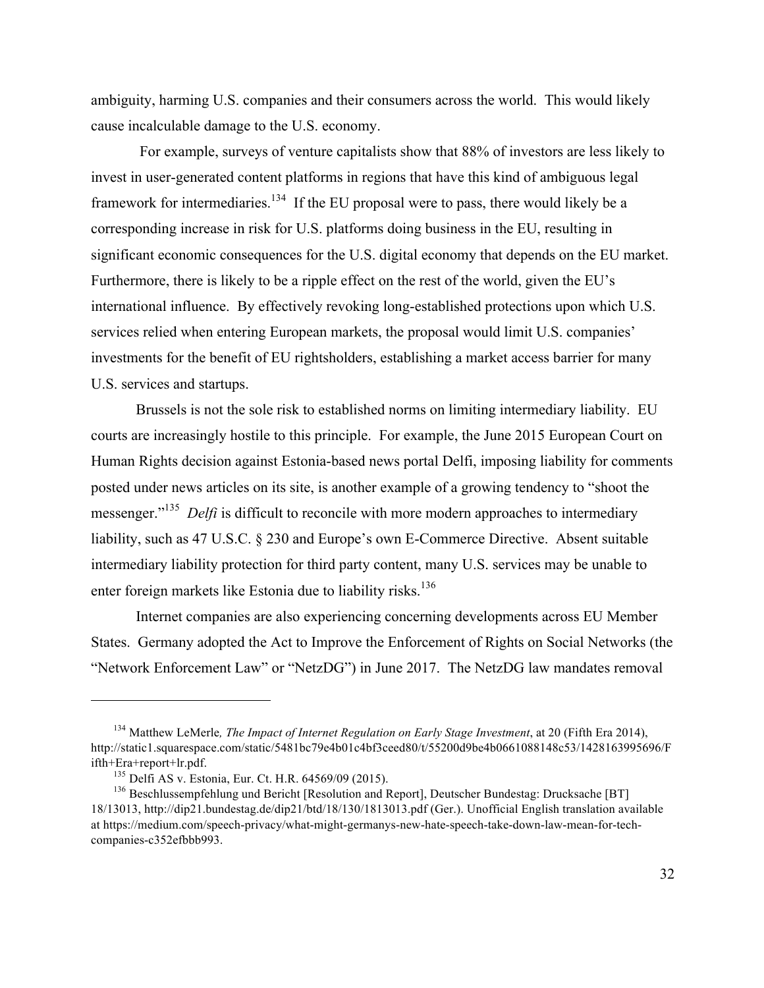ambiguity, harming U.S. companies and their consumers across the world. This would likely cause incalculable damage to the U.S. economy.

For example, surveys of venture capitalists show that 88% of investors are less likely to invest in user-generated content platforms in regions that have this kind of ambiguous legal framework for intermediaries.<sup>134</sup> If the EU proposal were to pass, there would likely be a corresponding increase in risk for U.S. platforms doing business in the EU, resulting in significant economic consequences for the U.S. digital economy that depends on the EU market. Furthermore, there is likely to be a ripple effect on the rest of the world, given the EU's international influence. By effectively revoking long-established protections upon which U.S. services relied when entering European markets, the proposal would limit U.S. companies' investments for the benefit of EU rightsholders, establishing a market access barrier for many U.S. services and startups.

Brussels is not the sole risk to established norms on limiting intermediary liability. EU courts are increasingly hostile to this principle. For example, the June 2015 European Court on Human Rights decision against Estonia-based news portal Delfi, imposing liability for comments posted under news articles on its site, is another example of a growing tendency to "shoot the messenger.<sup>"135</sup> *Delfi* is difficult to reconcile with more modern approaches to intermediary liability, such as 47 U.S.C. § 230 and Europe's own E-Commerce Directive. Absent suitable intermediary liability protection for third party content, many U.S. services may be unable to enter foreign markets like Estonia due to liability risks.<sup>136</sup>

Internet companies are also experiencing concerning developments across EU Member States. Germany adopted the Act to Improve the Enforcement of Rights on Social Networks (the "Network Enforcement Law" or "NetzDG") in June 2017. The NetzDG law mandates removal

<sup>134</sup> Matthew LeMerle*, The Impact of Internet Regulation on Early Stage Investment*, at 20 (Fifth Era 2014), http://static1.squarespace.com/static/5481bc79e4b01c4bf3ceed80/t/55200d9be4b0661088148c53/1428163995696/F ifth+Era+report+lr.pdf.

<sup>135</sup> Delfi AS v. Estonia, Eur. Ct. H.R. 64569/09 (2015).

 $136$  Beschlussempfehlung und Bericht [Resolution and Report], Deutscher Bundestag: Drucksache [BT] 18/13013, http://dip21.bundestag.de/dip21/btd/18/130/1813013.pdf (Ger.). Unofficial English translation available at https://medium.com/speech-privacy/what-might-germanys-new-hate-speech-take-down-law-mean-for-techcompanies-c352efbbb993.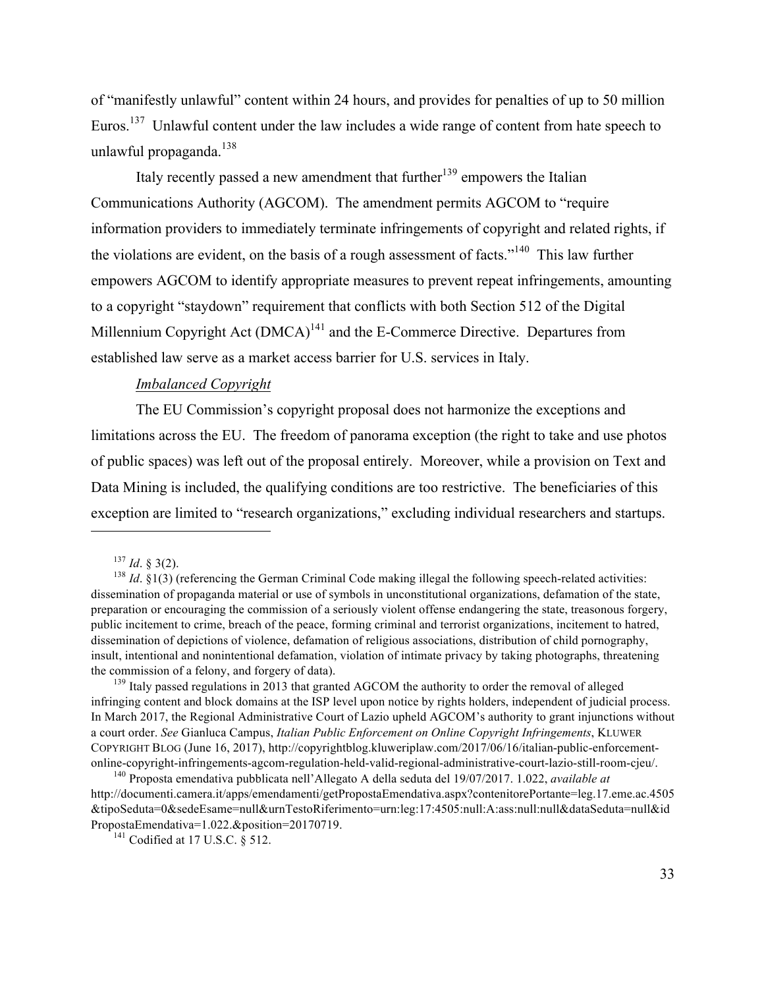of "manifestly unlawful" content within 24 hours, and provides for penalties of up to 50 million Euros.<sup>137</sup> Unlawful content under the law includes a wide range of content from hate speech to unlawful propaganda.<sup>138</sup>

Italy recently passed a new amendment that further<sup>139</sup> empowers the Italian Communications Authority (AGCOM). The amendment permits AGCOM to "require information providers to immediately terminate infringements of copyright and related rights, if the violations are evident, on the basis of a rough assessment of facts."<sup>140</sup> This law further empowers AGCOM to identify appropriate measures to prevent repeat infringements, amounting to a copyright "staydown" requirement that conflicts with both Section 512 of the Digital Millennium Copyright Act  $(DMCA)^{141}$  and the E-Commerce Directive. Departures from established law serve as a market access barrier for U.S. services in Italy.

# *Imbalanced Copyright*

The EU Commission's copyright proposal does not harmonize the exceptions and limitations across the EU. The freedom of panorama exception (the right to take and use photos of public spaces) was left out of the proposal entirely. Moreover, while a provision on Text and Data Mining is included, the qualifying conditions are too restrictive. The beneficiaries of this exception are limited to "research organizations," excluding individual researchers and startups.

<sup>&</sup>lt;sup>137</sup> *Id.* § 3(2).<br><sup>138</sup> *Id.* §1(3) (referencing the German Criminal Code making illegal the following speech-related activities: dissemination of propaganda material or use of symbols in unconstitutional organizations, defamation of the state, preparation or encouraging the commission of a seriously violent offense endangering the state, treasonous forgery, public incitement to crime, breach of the peace, forming criminal and terrorist organizations, incitement to hatred, dissemination of depictions of violence, defamation of religious associations, distribution of child pornography, insult, intentional and nonintentional defamation, violation of intimate privacy by taking photographs, threatening the commission of a felony, and forgery of data).<br><sup>139</sup> Italy passed regulations in 2013 that granted AGCOM the authority to order the removal of alleged

infringing content and block domains at the ISP level upon notice by rights holders, independent of judicial process. In March 2017, the Regional Administrative Court of Lazio upheld AGCOM's authority to grant injunctions without a court order. *See* Gianluca Campus, *Italian Public Enforcement on Online Copyright Infringements*, KLUWER COPYRIGHT BLOG (June 16, 2017), http://copyrightblog.kluweriplaw.com/2017/06/16/italian-public-enforcementonline-copyright-infringements-agcom-regulation-held-valid-regional-administrative-court-lazio-still-room-cjeu/. 140 Proposta emendativa pubblicata nell'Allegato A della seduta del 19/07/2017. 1.022, *available at*

http://documenti.camera.it/apps/emendamenti/getPropostaEmendativa.aspx?contenitorePortante=leg.17.eme.ac.4505 &tipoSeduta=0&sedeEsame=null&urnTestoRiferimento=urn:leg:17:4505:null:A:ass:null:null&dataSeduta=null&id PropostaEmendativa=1.022.&position=20170719. 141 Codified at 17 U.S.C. § 512.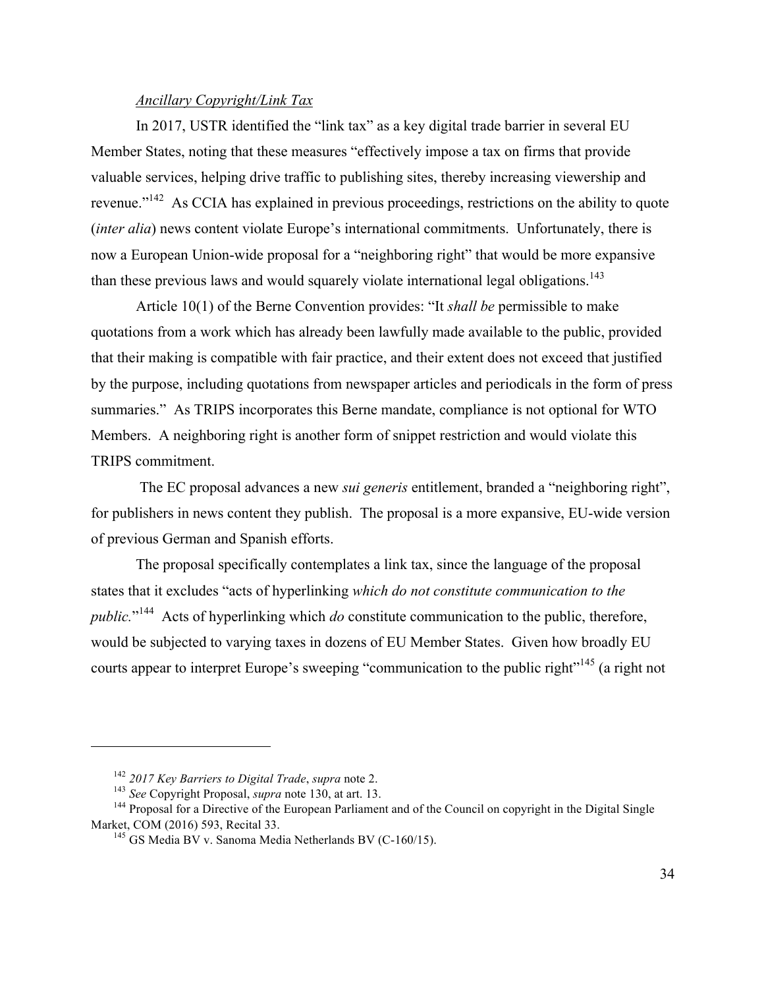### *Ancillary Copyright/Link Tax*

In 2017, USTR identified the "link tax" as a key digital trade barrier in several EU Member States, noting that these measures "effectively impose a tax on firms that provide valuable services, helping drive traffic to publishing sites, thereby increasing viewership and revenue."142 As CCIA has explained in previous proceedings, restrictions on the ability to quote (*inter alia*) news content violate Europe's international commitments. Unfortunately, there is now a European Union-wide proposal for a "neighboring right" that would be more expansive than these previous laws and would squarely violate international legal obligations.<sup>143</sup>

Article 10(1) of the Berne Convention provides: "It *shall be* permissible to make quotations from a work which has already been lawfully made available to the public, provided that their making is compatible with fair practice, and their extent does not exceed that justified by the purpose, including quotations from newspaper articles and periodicals in the form of press summaries." As TRIPS incorporates this Berne mandate, compliance is not optional for WTO Members. A neighboring right is another form of snippet restriction and would violate this TRIPS commitment.

The EC proposal advances a new *sui generis* entitlement, branded a "neighboring right", for publishers in news content they publish. The proposal is a more expansive, EU-wide version of previous German and Spanish efforts.

The proposal specifically contemplates a link tax, since the language of the proposal states that it excludes "acts of hyperlinking *which do not constitute communication to the public.*" 144 Acts of hyperlinking which *do* constitute communication to the public, therefore, would be subjected to varying taxes in dozens of EU Member States. Given how broadly EU courts appear to interpret Europe's sweeping "communication to the public right"<sup>145</sup> (a right not

<u>.</u>

<sup>142</sup> *2017 Key Barriers to Digital Trade*, *supra* note 2. 143 *See* Copyright Proposal, *supra* note 130, at art. 13.

<sup>&</sup>lt;sup>144</sup> Proposal for a Directive of the European Parliament and of the Council on copyright in the Digital Single Market, COM (2016) 593, Recital 33.

<sup>145</sup> GS Media BV v. Sanoma Media Netherlands BV (C-160/15).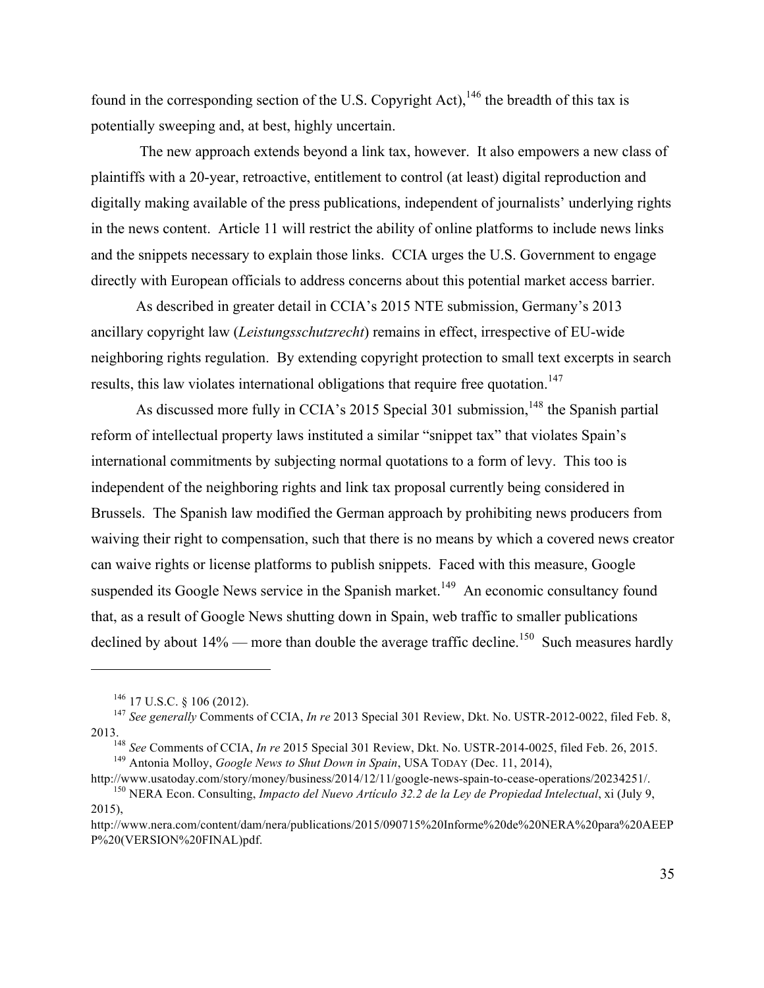found in the corresponding section of the U.S. Copyright Act),<sup>146</sup> the breadth of this tax is potentially sweeping and, at best, highly uncertain.

The new approach extends beyond a link tax, however. It also empowers a new class of plaintiffs with a 20-year, retroactive, entitlement to control (at least) digital reproduction and digitally making available of the press publications, independent of journalists' underlying rights in the news content. Article 11 will restrict the ability of online platforms to include news links and the snippets necessary to explain those links. CCIA urges the U.S. Government to engage directly with European officials to address concerns about this potential market access barrier.

As described in greater detail in CCIA's 2015 NTE submission, Germany's 2013 ancillary copyright law (*Leistungsschutzrecht*) remains in effect, irrespective of EU-wide neighboring rights regulation. By extending copyright protection to small text excerpts in search results, this law violates international obligations that require free quotation.<sup>147</sup>

As discussed more fully in CCIA's 2015 Special 301 submission,<sup>148</sup> the Spanish partial reform of intellectual property laws instituted a similar "snippet tax" that violates Spain's international commitments by subjecting normal quotations to a form of levy. This too is independent of the neighboring rights and link tax proposal currently being considered in Brussels. The Spanish law modified the German approach by prohibiting news producers from waiving their right to compensation, such that there is no means by which a covered news creator can waive rights or license platforms to publish snippets. Faced with this measure, Google suspended its Google News service in the Spanish market.<sup>149</sup> An economic consultancy found that, as a result of Google News shutting down in Spain, web traffic to smaller publications declined by about  $14\%$  — more than double the average traffic decline.<sup>150</sup> Such measures hardly

 $146$  17 U.S.C. § 106 (2012).

<sup>&</sup>lt;sup>147</sup> See generally Comments of CCIA, *In re* 2013 Special 301 Review, Dkt. No. USTR-2012-0022, filed Feb. 8,

<sup>2013.148</sup> *See* Comments of CCIA, *In re* 2015 Special 301 Review, Dkt. No. USTR-2014-0025, filed Feb. 26, 2015. <sup>149</sup> Antonia Molloy, *Google News to Shut Down in Spain*, USA TODAY (Dec. 11, 2014),

http://www.usatoday.com/story/money/business/2014/12/11/google-news-spain-to-cease-operations/20234251/. <sup>150</sup> NERA Econ. Consulting, *Impacto del Nuevo Artículo 32.2 de la Ley de Propiedad Intelectual*, xi (July 9, 2015),

http://www.nera.com/content/dam/nera/publications/2015/090715%20Informe%20de%20NERA%20para%20AEEP P%20(VERSION%20FINAL)pdf.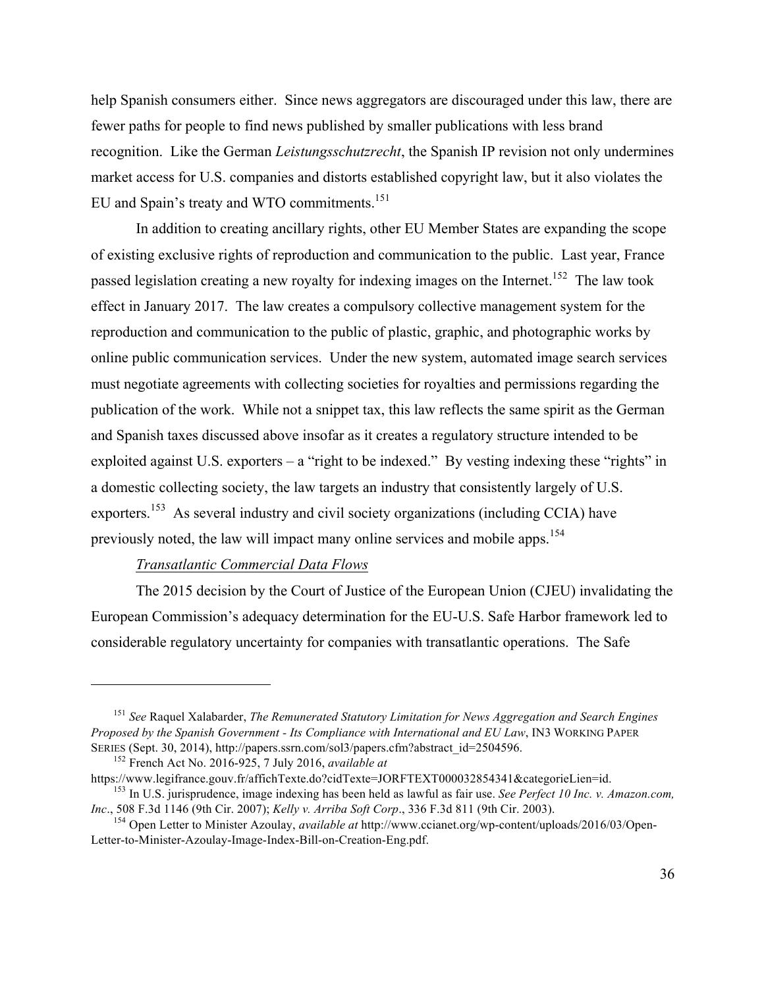help Spanish consumers either. Since news aggregators are discouraged under this law, there are fewer paths for people to find news published by smaller publications with less brand recognition. Like the German *Leistungsschutzrecht*, the Spanish IP revision not only undermines market access for U.S. companies and distorts established copyright law, but it also violates the EU and Spain's treaty and WTO commitments.<sup>151</sup>

In addition to creating ancillary rights, other EU Member States are expanding the scope of existing exclusive rights of reproduction and communication to the public. Last year, France passed legislation creating a new royalty for indexing images on the Internet.<sup>152</sup> The law took effect in January 2017. The law creates a compulsory collective management system for the reproduction and communication to the public of plastic, graphic, and photographic works by online public communication services. Under the new system, automated image search services must negotiate agreements with collecting societies for royalties and permissions regarding the publication of the work. While not a snippet tax, this law reflects the same spirit as the German and Spanish taxes discussed above insofar as it creates a regulatory structure intended to be exploited against U.S. exporters  $-$  a "right to be indexed." By vesting indexing these "rights" in a domestic collecting society, the law targets an industry that consistently largely of U.S. exporters.<sup>153</sup> As several industry and civil society organizations (including CCIA) have previously noted, the law will impact many online services and mobile apps.<sup>154</sup>

## *Transatlantic Commercial Data Flows*

The 2015 decision by the Court of Justice of the European Union (CJEU) invalidating the European Commission's adequacy determination for the EU-U.S. Safe Harbor framework led to considerable regulatory uncertainty for companies with transatlantic operations. The Safe

<sup>151</sup> *See* Raquel Xalabarder, *The Remunerated Statutory Limitation for News Aggregation and Search Engines Proposed by the Spanish Government - Its Compliance with International and EU Law*, IN3 WORKING PAPER SERIES (Sept. 30, 2014), http://papers.ssrn.com/sol3/papers.cfm?abstract\_id=2504596.

<sup>&</sup>lt;sup>152</sup> French Act No. 2016-925, 7 July 2016, *available at*<br>https://www.legifrance.gouv.fr/affichTexte.do?cidTexte=JORFTEXT000032854341&categorieLien=id. <sup>153</sup> In U.S. jurisprudence, image indexing has been held as lawful as fair use. *See Perfect 10 Inc. v. Amazon.com*,

*Inc.*, 508 F.3d 1146 (9th Cir. 2007); *Kelly v. Arriba Soft Corp.*, 336 F.3d 811 (9th Cir. 2003).<br><sup>154</sup> Open Letter to Minister Azoulay, *available at* http://www.ccianet.org/wp-content/uploads/2016/03/Open-

Letter-to-Minister-Azoulay-Image-Index-Bill-on-Creation-Eng.pdf.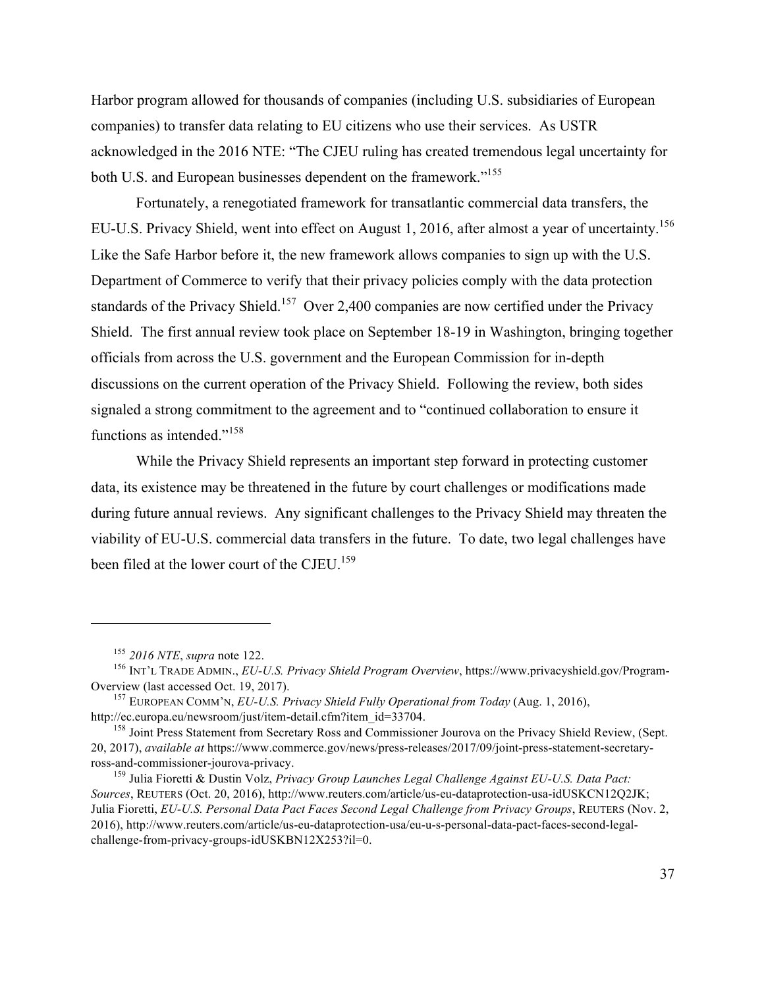Harbor program allowed for thousands of companies (including U.S. subsidiaries of European companies) to transfer data relating to EU citizens who use their services. As USTR acknowledged in the 2016 NTE: "The CJEU ruling has created tremendous legal uncertainty for both U.S. and European businesses dependent on the framework."<sup>155</sup>

Fortunately, a renegotiated framework for transatlantic commercial data transfers, the EU-U.S. Privacy Shield, went into effect on August 1, 2016, after almost a year of uncertainty.<sup>156</sup> Like the Safe Harbor before it, the new framework allows companies to sign up with the U.S. Department of Commerce to verify that their privacy policies comply with the data protection standards of the Privacy Shield.<sup>157</sup> Over 2,400 companies are now certified under the Privacy Shield. The first annual review took place on September 18-19 in Washington, bringing together officials from across the U.S. government and the European Commission for in-depth discussions on the current operation of the Privacy Shield. Following the review, both sides signaled a strong commitment to the agreement and to "continued collaboration to ensure it functions as intended."<sup>158</sup>

While the Privacy Shield represents an important step forward in protecting customer data, its existence may be threatened in the future by court challenges or modifications made during future annual reviews. Any significant challenges to the Privacy Shield may threaten the viability of EU-U.S. commercial data transfers in the future. To date, two legal challenges have been filed at the lower court of the CJEU.<sup>159</sup>

<sup>155</sup> *2016 NTE*, *supra* note 122.

<sup>156</sup> INT'L TRADE ADMIN., *EU-U.S. Privacy Shield Program Overview*, https://www.privacyshield.gov/Program-Overview (last accessed Oct. 19, 2017).

<sup>157</sup> EUROPEAN COMM'N, *EU-U.S. Privacy Shield Fully Operational from Today* (Aug. 1, 2016), http://ec.europa.eu/newsroom/just/item-detail.cfm?item\_id=33704.

<sup>&</sup>lt;sup>158</sup> Joint Press Statement from Secretary Ross and Commissioner Jourova on the Privacy Shield Review, (Sept. 20, 2017), *available at* https://www.commerce.gov/news/press-releases/2017/09/joint-press-statement-secretaryross-and-commissioner-jourova-privacy. 159 Julia Fioretti & Dustin Volz, *Privacy Group Launches Legal Challenge Against EU-U.S. Data Pact:* 

*Sources*, REUTERS (Oct. 20, 2016), http://www.reuters.com/article/us-eu-dataprotection-usa-idUSKCN12Q2JK; Julia Fioretti, *EU-U.S. Personal Data Pact Faces Second Legal Challenge from Privacy Groups*, REUTERS (Nov. 2, 2016), http://www.reuters.com/article/us-eu-dataprotection-usa/eu-u-s-personal-data-pact-faces-second-legalchallenge-from-privacy-groups-idUSKBN12X253?il=0.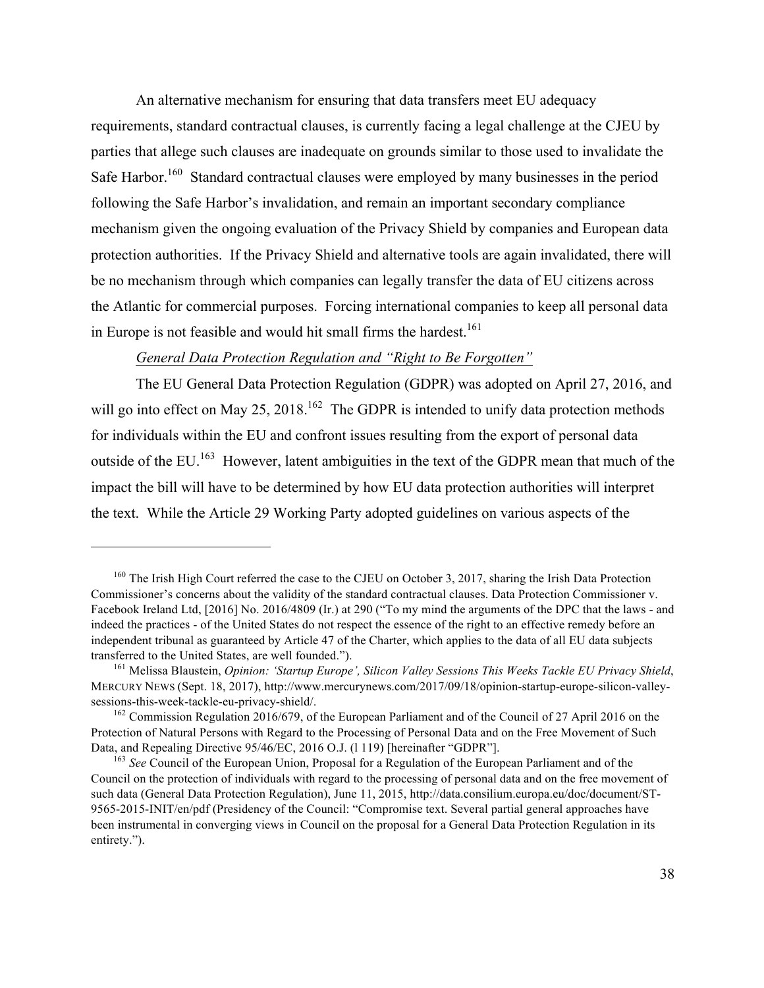An alternative mechanism for ensuring that data transfers meet EU adequacy requirements, standard contractual clauses, is currently facing a legal challenge at the CJEU by parties that allege such clauses are inadequate on grounds similar to those used to invalidate the Safe Harbor.<sup>160</sup> Standard contractual clauses were employed by many businesses in the period following the Safe Harbor's invalidation, and remain an important secondary compliance mechanism given the ongoing evaluation of the Privacy Shield by companies and European data protection authorities. If the Privacy Shield and alternative tools are again invalidated, there will be no mechanism through which companies can legally transfer the data of EU citizens across the Atlantic for commercial purposes. Forcing international companies to keep all personal data in Europe is not feasible and would hit small firms the hardest.<sup>161</sup>

## *General Data Protection Regulation and "Right to Be Forgotten"*

1

The EU General Data Protection Regulation (GDPR) was adopted on April 27, 2016, and will go into effect on May 25, 2018.<sup>162</sup> The GDPR is intended to unify data protection methods for individuals within the EU and confront issues resulting from the export of personal data outside of the EU.<sup>163</sup> However, latent ambiguities in the text of the GDPR mean that much of the impact the bill will have to be determined by how EU data protection authorities will interpret the text. While the Article 29 Working Party adopted guidelines on various aspects of the

<sup>&</sup>lt;sup>160</sup> The Irish High Court referred the case to the CJEU on October 3, 2017, sharing the Irish Data Protection Commissioner's concerns about the validity of the standard contractual clauses. Data Protection Commissioner v. Facebook Ireland Ltd, [2016] No. 2016/4809 (Ir.) at 290 ("To my mind the arguments of the DPC that the laws - and indeed the practices - of the United States do not respect the essence of the right to an effective remedy before an independent tribunal as guaranteed by Article 47 of the Charter, which applies to the data of all EU data subjects transferred to the United States, are well founded."). 161 Melissa Blaustein, *Opinion: 'Startup Europe', Silicon Valley Sessions This Weeks Tackle EU Privacy Shield*,

MERCURY NEWS (Sept. 18, 2017), http://www.mercurynews.com/2017/09/18/opinion-startup-europe-silicon-valleysessions-this-week-tackle-eu-privacy-shield/. 162 Commission Regulation 2016/679, of the European Parliament and of the Council of 27 April 2016 on the

Protection of Natural Persons with Regard to the Processing of Personal Data and on the Free Movement of Such Data, and Repealing Directive 95/46/EC, 2016 O.J. (l 119) [hereinafter "GDPR"].<br><sup>163</sup> *See* Council of the European Union, Proposal for a Regulation of the European Parliament and of the

Council on the protection of individuals with regard to the processing of personal data and on the free movement of such data (General Data Protection Regulation), June 11, 2015, http://data.consilium.europa.eu/doc/document/ST-9565-2015-INIT/en/pdf (Presidency of the Council: "Compromise text. Several partial general approaches have been instrumental in converging views in Council on the proposal for a General Data Protection Regulation in its entirety.").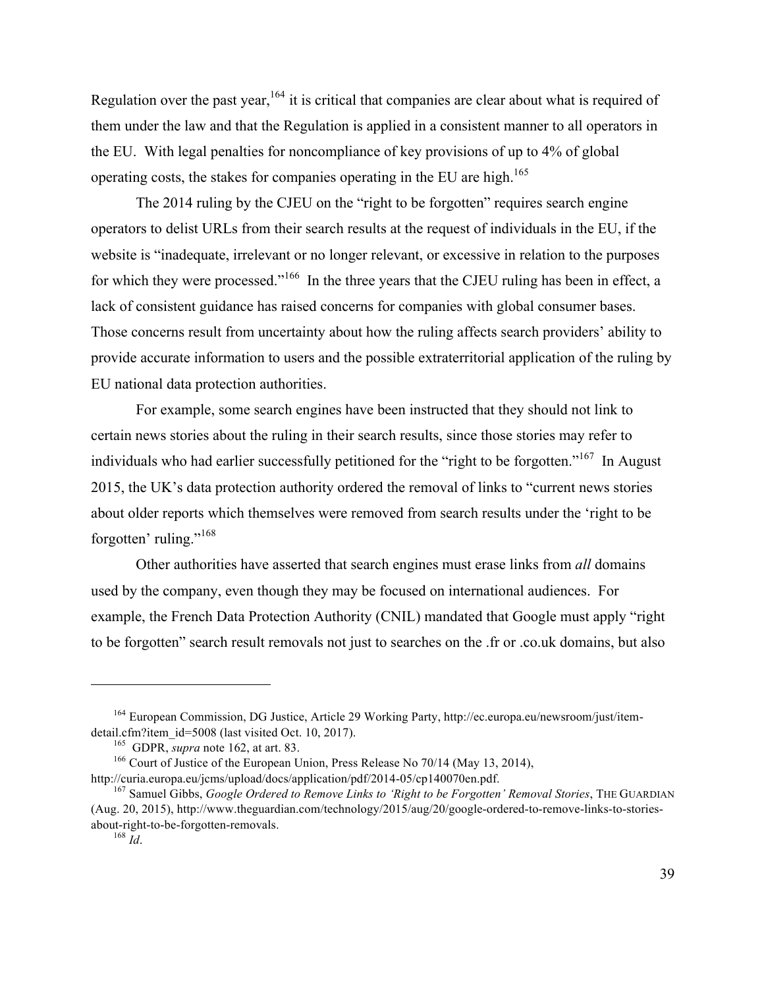Regulation over the past year,  $164$  it is critical that companies are clear about what is required of them under the law and that the Regulation is applied in a consistent manner to all operators in the EU. With legal penalties for noncompliance of key provisions of up to 4% of global operating costs, the stakes for companies operating in the EU are high.<sup>165</sup>

The 2014 ruling by the CJEU on the "right to be forgotten" requires search engine operators to delist URLs from their search results at the request of individuals in the EU, if the website is "inadequate, irrelevant or no longer relevant, or excessive in relation to the purposes for which they were processed."<sup>166</sup> In the three years that the CJEU ruling has been in effect, a lack of consistent guidance has raised concerns for companies with global consumer bases. Those concerns result from uncertainty about how the ruling affects search providers' ability to provide accurate information to users and the possible extraterritorial application of the ruling by EU national data protection authorities.

For example, some search engines have been instructed that they should not link to certain news stories about the ruling in their search results, since those stories may refer to individuals who had earlier successfully petitioned for the "right to be forgotten."<sup>167</sup> In August 2015, the UK's data protection authority ordered the removal of links to "current news stories about older reports which themselves were removed from search results under the 'right to be forgotten' ruling."<sup>168</sup>

Other authorities have asserted that search engines must erase links from *all* domains used by the company, even though they may be focused on international audiences. For example, the French Data Protection Authority (CNIL) mandated that Google must apply "right to be forgotten" search result removals not just to searches on the .fr or .co.uk domains, but also

<sup>164</sup> European Commission, DG Justice, Article 29 Working Party, http://ec.europa.eu/newsroom/just/itemdetail.cfm?item\_id=5008 (last visited Oct. 10, 2017).

<sup>165</sup> GDPR, *supra* note 162, at art. 83.

<sup>&</sup>lt;sup>166</sup> Court of Justice of the European Union, Press Release No 70/14 (May 13, 2014), http://curia.europa.eu/jcms/upload/docs/application/pdf/2014-05/cp140070en.pdf.

<sup>167</sup> Samuel Gibbs, *Google Ordered to Remove Links to 'Right to be Forgotten' Removal Stories*, THE GUARDIAN (Aug. 20, 2015), http://www.theguardian.com/technology/2015/aug/20/google-ordered-to-remove-links-to-storiesabout-right-to-be-forgotten-removals.

 $^{168}$  *Id.*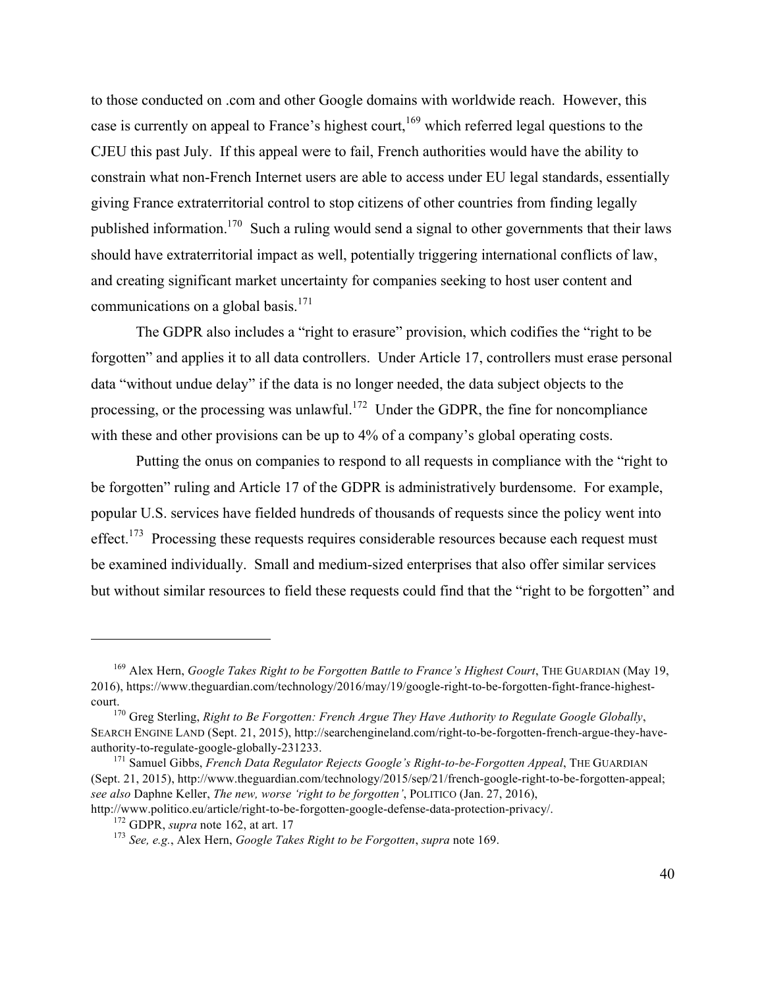to those conducted on .com and other Google domains with worldwide reach. However, this case is currently on appeal to France's highest court,<sup>169</sup> which referred legal questions to the CJEU this past July. If this appeal were to fail, French authorities would have the ability to constrain what non-French Internet users are able to access under EU legal standards, essentially giving France extraterritorial control to stop citizens of other countries from finding legally published information.170 Such a ruling would send a signal to other governments that their laws should have extraterritorial impact as well, potentially triggering international conflicts of law, and creating significant market uncertainty for companies seeking to host user content and communications on a global basis. $171$ 

The GDPR also includes a "right to erasure" provision, which codifies the "right to be forgotten" and applies it to all data controllers. Under Article 17, controllers must erase personal data "without undue delay" if the data is no longer needed, the data subject objects to the processing, or the processing was unlawful.<sup>172</sup> Under the GDPR, the fine for noncompliance with these and other provisions can be up to 4% of a company's global operating costs.

Putting the onus on companies to respond to all requests in compliance with the "right to be forgotten" ruling and Article 17 of the GDPR is administratively burdensome. For example, popular U.S. services have fielded hundreds of thousands of requests since the policy went into effect.<sup>173</sup> Processing these requests requires considerable resources because each request must be examined individually. Small and medium-sized enterprises that also offer similar services but without similar resources to field these requests could find that the "right to be forgotten" and

http://www.politico.eu/article/right-to-be-forgotten-google-defense-data-protection-privacy/.

<sup>&</sup>lt;sup>169</sup> Alex Hern, *Google Takes Right to be Forgotten Battle to France's Highest Court*, THE GUARDIAN (May 19, 2016), https://www.theguardian.com/technology/2016/may/19/google-right-to-be-forgotten-fight-france-highestcourt.170 Greg Sterling, *Right to Be Forgotten: French Argue They Have Authority to Regulate Google Globally*,

SEARCH ENGINE LAND (Sept. 21, 2015), http://searchengineland.com/right-to-be-forgotten-french-argue-they-haveauthority-to-regulate-google-globally-231233.

<sup>171</sup> Samuel Gibbs, *French Data Regulator Rejects Google's Right-to-be-Forgotten Appeal*, THE GUARDIAN (Sept. 21, 2015), http://www.theguardian.com/technology/2015/sep/21/french-google-right-to-be-forgotten-appeal; *see also* Daphne Keller, *The new, worse 'right to be forgotten'*, POLITICO (Jan. 27, 2016),

<sup>172</sup> GDPR, *supra* note 162, at art. 17

<sup>173</sup> *See, e.g.*, Alex Hern, *Google Takes Right to be Forgotten*, *supra* note 169.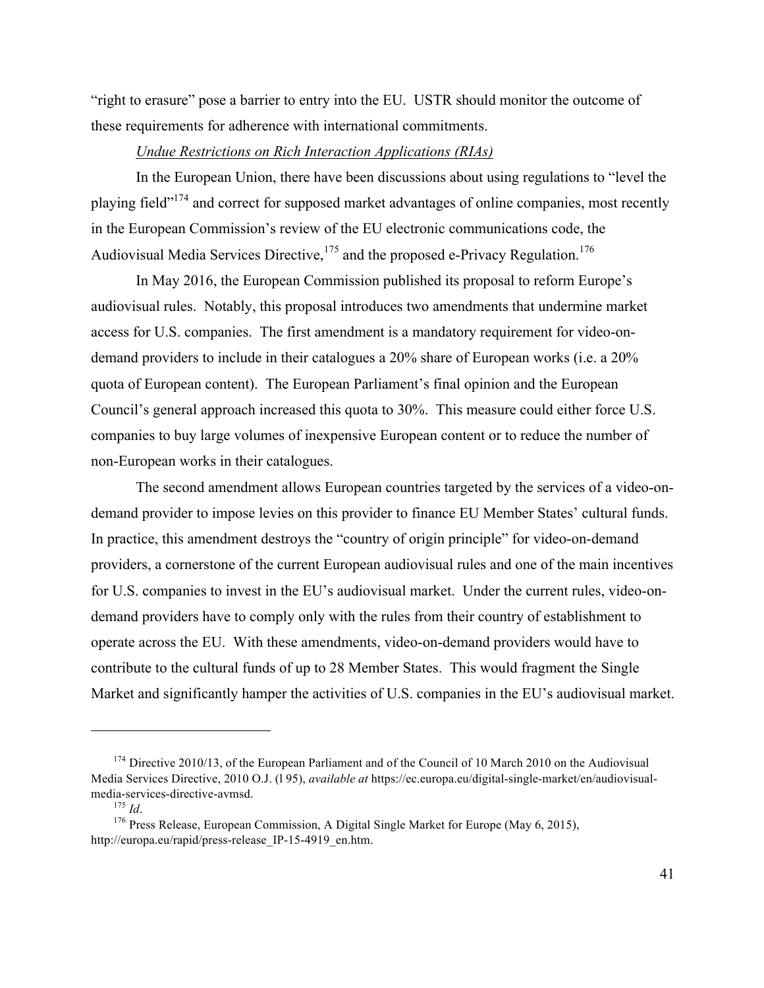"right to erasure" pose a barrier to entry into the EU. USTR should monitor the outcome of these requirements for adherence with international commitments.

## *Undue Restrictions on Rich Interaction Applications (RIAs)*

In the European Union, there have been discussions about using regulations to "level the playing field"174 and correct for supposed market advantages of online companies, most recently in the European Commission's review of the EU electronic communications code, the Audiovisual Media Services Directive, <sup>175</sup> and the proposed e-Privacy Regulation.<sup>176</sup>

In May 2016, the European Commission published its proposal to reform Europe's audiovisual rules. Notably, this proposal introduces two amendments that undermine market access for U.S. companies. The first amendment is a mandatory requirement for video-ondemand providers to include in their catalogues a 20% share of European works (i.e. a 20% quota of European content). The European Parliament's final opinion and the European Council's general approach increased this quota to 30%. This measure could either force U.S. companies to buy large volumes of inexpensive European content or to reduce the number of non-European works in their catalogues.

The second amendment allows European countries targeted by the services of a video-ondemand provider to impose levies on this provider to finance EU Member States' cultural funds. In practice, this amendment destroys the "country of origin principle" for video-on-demand providers, a cornerstone of the current European audiovisual rules and one of the main incentives for U.S. companies to invest in the EU's audiovisual market. Under the current rules, video-ondemand providers have to comply only with the rules from their country of establishment to operate across the EU. With these amendments, video-on-demand providers would have to contribute to the cultural funds of up to 28 Member States. This would fragment the Single Market and significantly hamper the activities of U.S. companies in the EU's audiovisual market.

<sup>&</sup>lt;sup>174</sup> Directive 2010/13, of the European Parliament and of the Council of 10 March 2010 on the Audiovisual Media Services Directive, 2010 O.J. (l 95), *available at* https://ec.europa.eu/digital-single-market/en/audiovisualmedia-services-directive-avmsd.

<sup>175</sup> *Id*.

<sup>&</sup>lt;sup>176</sup> Press Release, European Commission, A Digital Single Market for Europe (May 6, 2015), http://europa.eu/rapid/press-release IP-15-4919 en.htm.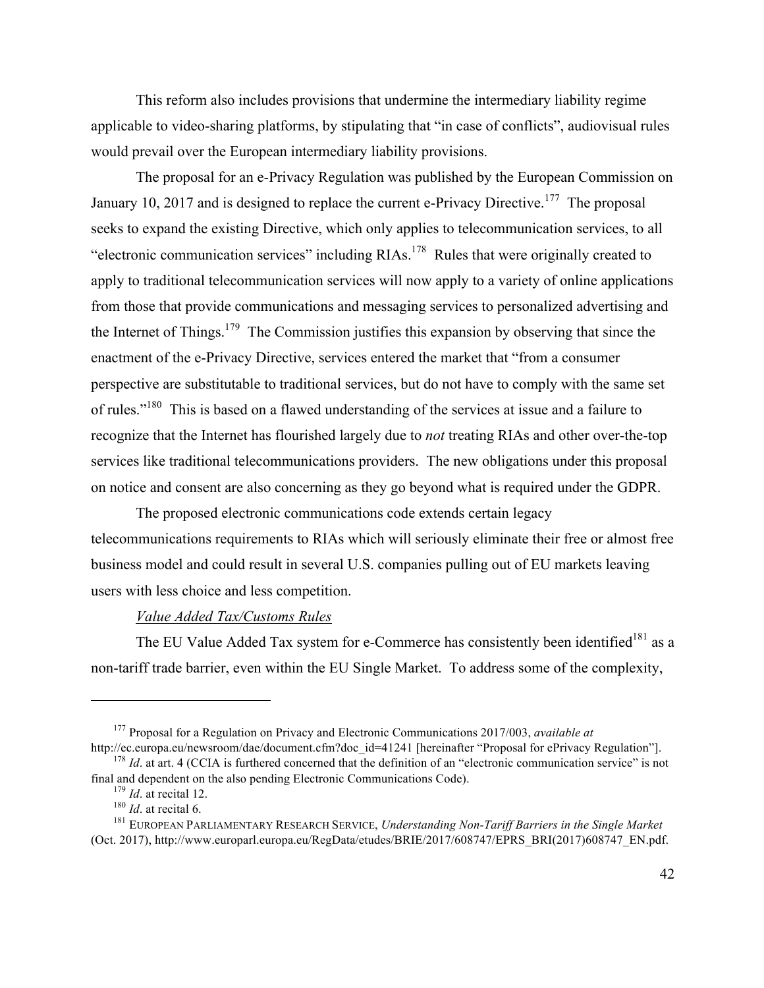This reform also includes provisions that undermine the intermediary liability regime applicable to video-sharing platforms, by stipulating that "in case of conflicts", audiovisual rules would prevail over the European intermediary liability provisions.

The proposal for an e-Privacy Regulation was published by the European Commission on January 10, 2017 and is designed to replace the current e-Privacy Directive.<sup>177</sup> The proposal seeks to expand the existing Directive, which only applies to telecommunication services, to all "electronic communication services" including RIAs.<sup>178</sup> Rules that were originally created to apply to traditional telecommunication services will now apply to a variety of online applications from those that provide communications and messaging services to personalized advertising and the Internet of Things.<sup>179</sup> The Commission justifies this expansion by observing that since the enactment of the e-Privacy Directive, services entered the market that "from a consumer perspective are substitutable to traditional services, but do not have to comply with the same set of rules."180 This is based on a flawed understanding of the services at issue and a failure to recognize that the Internet has flourished largely due to *not* treating RIAs and other over-the-top services like traditional telecommunications providers. The new obligations under this proposal on notice and consent are also concerning as they go beyond what is required under the GDPR.

The proposed electronic communications code extends certain legacy telecommunications requirements to RIAs which will seriously eliminate their free or almost free business model and could result in several U.S. companies pulling out of EU markets leaving users with less choice and less competition.

#### *Value Added Tax/Customs Rules*

The EU Value Added Tax system for e-Commerce has consistently been identified<sup>181</sup> as a non-tariff trade barrier, even within the EU Single Market. To address some of the complexity,

<sup>177</sup> Proposal for a Regulation on Privacy and Electronic Communications 2017/003, *available at* 

http://ec.europa.eu/newsroom/dae/document.cfm?doc\_id=41241 [hereinafter "Proposal for ePrivacy Regulation"].<br><sup>178</sup> *Id.* at art. 4 (CCIA is furthered concerned that the definition of an "electronic communication service" i

final and dependent on the also pending Electronic Communications Code).<br><sup>179</sup> *Id.* at recital 12.<br><sup>180</sup> *Id.* at recital 6.<br><sup>181</sup> EUROPEAN PARLIAMENTARY RESEARCH SERVICE, *Understanding Non-Tariff Barriers in the Single* (Oct. 2017), http://www.europarl.europa.eu/RegData/etudes/BRIE/2017/608747/EPRS\_BRI(2017)608747\_EN.pdf.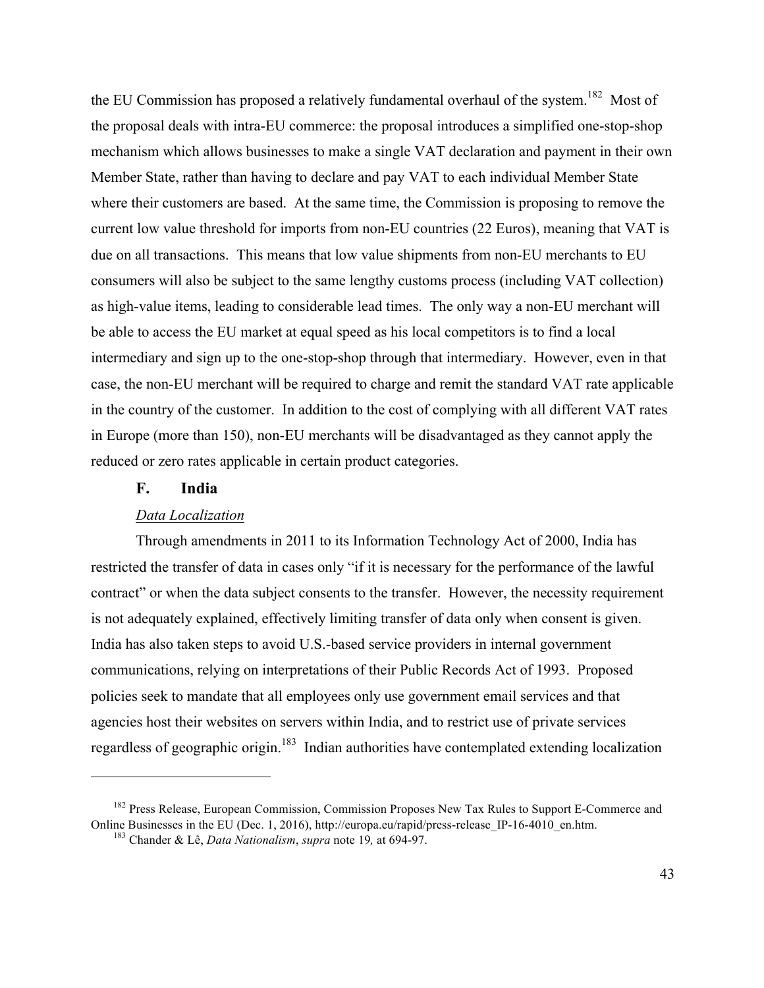the EU Commission has proposed a relatively fundamental overhaul of the system.<sup>182</sup> Most of the proposal deals with intra-EU commerce: the proposal introduces a simplified one-stop-shop mechanism which allows businesses to make a single VAT declaration and payment in their own Member State, rather than having to declare and pay VAT to each individual Member State where their customers are based. At the same time, the Commission is proposing to remove the current low value threshold for imports from non-EU countries (22 Euros), meaning that VAT is due on all transactions. This means that low value shipments from non-EU merchants to EU consumers will also be subject to the same lengthy customs process (including VAT collection) as high-value items, leading to considerable lead times. The only way a non-EU merchant will be able to access the EU market at equal speed as his local competitors is to find a local intermediary and sign up to the one-stop-shop through that intermediary. However, even in that case, the non-EU merchant will be required to charge and remit the standard VAT rate applicable in the country of the customer. In addition to the cost of complying with all different VAT rates in Europe (more than 150), non-EU merchants will be disadvantaged as they cannot apply the reduced or zero rates applicable in certain product categories.

## **F. India**

1

# *Data Localization*

Through amendments in 2011 to its Information Technology Act of 2000, India has restricted the transfer of data in cases only "if it is necessary for the performance of the lawful contract" or when the data subject consents to the transfer. However, the necessity requirement is not adequately explained, effectively limiting transfer of data only when consent is given. India has also taken steps to avoid U.S.-based service providers in internal government communications, relying on interpretations of their Public Records Act of 1993. Proposed policies seek to mandate that all employees only use government email services and that agencies host their websites on servers within India, and to restrict use of private services regardless of geographic origin.<sup>183</sup> Indian authorities have contemplated extending localization

<sup>&</sup>lt;sup>182</sup> Press Release, European Commission, Commission Proposes New Tax Rules to Support E-Commerce and Online Businesses in the EU (Dec. 1, 2016), http://europa.eu/rapid/press-release\_IP-16-4010\_en.htm. 183 Chander & Lê, *Data Nationalism*, *supra* note 19*,* at 694-97.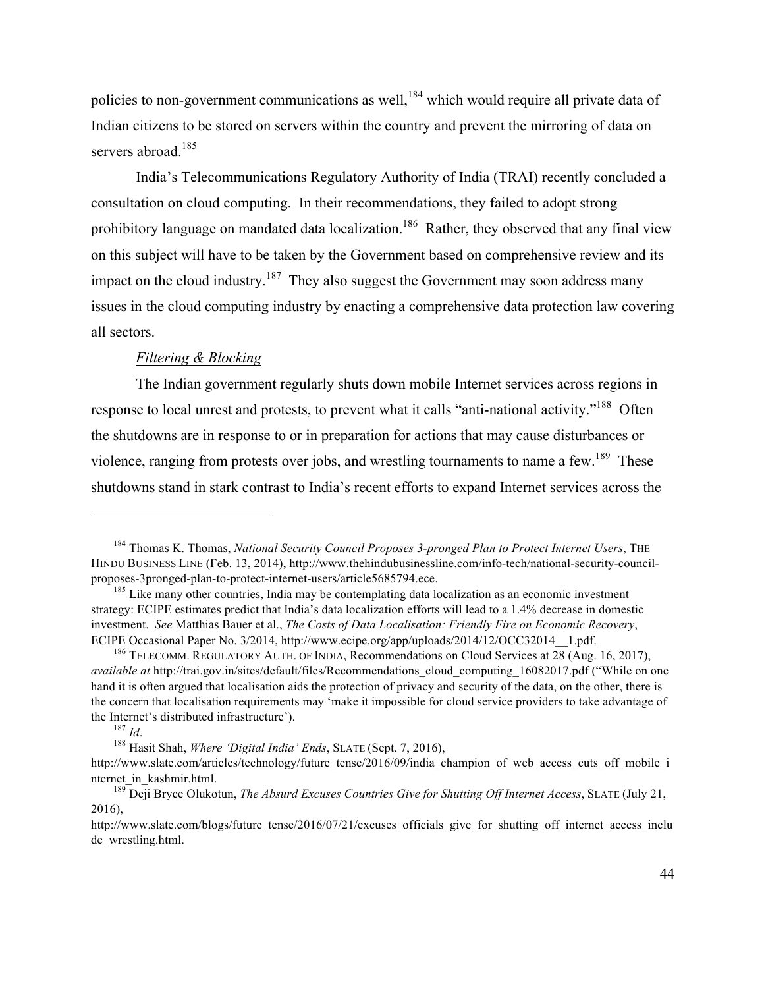policies to non-government communications as well,<sup>184</sup> which would require all private data of Indian citizens to be stored on servers within the country and prevent the mirroring of data on servers abroad.<sup>185</sup>

India's Telecommunications Regulatory Authority of India (TRAI) recently concluded a consultation on cloud computing. In their recommendations, they failed to adopt strong prohibitory language on mandated data localization.<sup>186</sup> Rather, they observed that any final view on this subject will have to be taken by the Government based on comprehensive review and its impact on the cloud industry.<sup>187</sup> They also suggest the Government may soon address many issues in the cloud computing industry by enacting a comprehensive data protection law covering all sectors.

# *Filtering & Blocking*

The Indian government regularly shuts down mobile Internet services across regions in response to local unrest and protests, to prevent what it calls "anti-national activity."188 Often the shutdowns are in response to or in preparation for actions that may cause disturbances or violence, ranging from protests over jobs, and wrestling tournaments to name a few.<sup>189</sup> These shutdowns stand in stark contrast to India's recent efforts to expand Internet services across the

<sup>184</sup> Thomas K. Thomas, *National Security Council Proposes 3-pronged Plan to Protect Internet Users*, THE HINDU BUSINESS LINE (Feb. 13, 2014), http://www.thehindubusinessline.com/info-tech/national-security-councilproposes-3pronged-plan-to-protect-internet-users/article5685794.ece.

<sup>&</sup>lt;sup>185</sup> Like many other countries, India may be contemplating data localization as an economic investment strategy: ECIPE estimates predict that India's data localization efforts will lead to a 1.4% decrease in domestic investment. *See* Matthias Bauer et al., *The Costs of Data Localisation: Friendly Fire on Economic Recovery*, ECIPE Occasional Paper No. 3/2014, http://www.ecipe.org/app/uploads/2014/12/OCC32014\_\_1.pdf.

<sup>186</sup> TELECOMM. REGULATORY AUTH. OF INDIA, Recommendations on Cloud Services at 28 (Aug. 16, 2017), *available at* http://trai.gov.in/sites/default/files/Recommendations\_cloud\_computing\_16082017.pdf ("While on one hand it is often argued that localisation aids the protection of privacy and security of the data, on the other, there is the concern that localisation requirements may 'make it impossible for cloud service providers to take advantage of the Internet's distributed infrastructure').<br><sup>187</sup> *Id*. <sup>188</sup> Hasit Shah, *Where 'Digital India' Ends*, SLATE (Sept. 7, 2016),

http://www.slate.com/articles/technology/future\_tense/2016/09/india\_champion\_of\_web\_access\_cuts\_off\_mobile\_i nternet\_in\_kashmir.html.

<sup>189</sup> Deji Bryce Olukotun, *The Absurd Excuses Countries Give for Shutting Off Internet Access*, SLATE (July 21, 2016),

http://www.slate.com/blogs/future\_tense/2016/07/21/excuses\_officials\_give\_for\_shutting\_off\_internet\_access\_inclu de\_wrestling.html.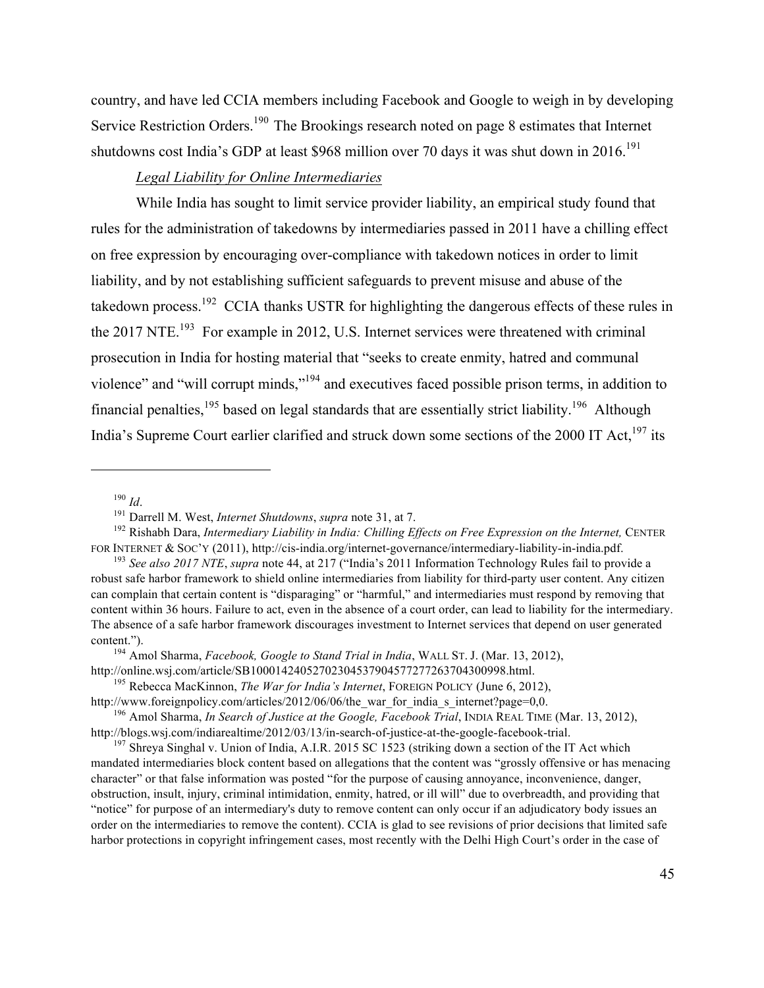country, and have led CCIA members including Facebook and Google to weigh in by developing Service Restriction Orders.<sup>190</sup> The Brookings research noted on page 8 estimates that Internet shutdowns cost India's GDP at least \$968 million over 70 days it was shut down in  $2016$ .<sup>191</sup>

# *Legal Liability for Online Intermediaries*

While India has sought to limit service provider liability, an empirical study found that rules for the administration of takedowns by intermediaries passed in 2011 have a chilling effect on free expression by encouraging over-compliance with takedown notices in order to limit liability, and by not establishing sufficient safeguards to prevent misuse and abuse of the takedown process.<sup>192</sup> CCIA thanks USTR for highlighting the dangerous effects of these rules in the 2017 NTE.<sup>193</sup> For example in 2012, U.S. Internet services were threatened with criminal prosecution in India for hosting material that "seeks to create enmity, hatred and communal violence" and "will corrupt minds,"194 and executives faced possible prison terms, in addition to financial penalties,  $195$  based on legal standards that are essentially strict liability.<sup>196</sup> Although India's Supreme Court earlier clarified and struck down some sections of the 2000 IT Act, $^{197}$  its

<sup>190</sup> *Id*.

<sup>191</sup> Darrell M. West, *Internet Shutdowns*, *supra* note 31, at 7.

<sup>&</sup>lt;sup>192</sup> Rishabh Dara, *Intermediary Liability in India: Chilling Effects on Free Expression on the Internet, CENTER* FOR INTERNET & SOC'Y (2011), http://cis-india.org/internet-governance/intermediary-liability-in-india.pdf.<br><sup>193</sup> See also 2017 NTE, supra note 44, at 217 ("India's 2011 Information Technology Rules fail to provide a

robust safe harbor framework to shield online intermediaries from liability for third-party user content. Any citizen can complain that certain content is "disparaging" or "harmful," and intermediaries must respond by removing that content within 36 hours. Failure to act, even in the absence of a court order, can lead to liability for the intermediary. The absence of a safe harbor framework discourages investment to Internet services that depend on user generated content.").

<sup>194</sup> Amol Sharma, *Facebook, Google to Stand Trial in India*, WALL ST. J. (Mar. 13, 2012), http://online.wsj.com/article/SB10001424052702304537904577277263704300998.html.

<sup>195</sup> Rebecca MacKinnon, *The War for India's Internet*, FOREIGN POLICY (June 6, 2012), http://www.foreignpolicy.com/articles/2012/06/06/the war for india s internet?page=0,0.

<sup>196</sup> Amol Sharma, *In Search of Justice at the Google, Facebook Trial*, INDIA REAL TIME (Mar. 13, 2012), http://blogs.wsj.com/indiarealtime/2012/03/13/in-search-of-justice-at-the-google-facebook-trial.

<sup>&</sup>lt;sup>197</sup> Shreya Singhal v. Union of India, A.I.R. 2015 SC 1523 (striking down a section of the IT Act which mandated intermediaries block content based on allegations that the content was "grossly offensive or has menacing character" or that false information was posted "for the purpose of causing annoyance, inconvenience, danger, obstruction, insult, injury, criminal intimidation, enmity, hatred, or ill will" due to overbreadth, and providing that "notice" for purpose of an intermediary's duty to remove content can only occur if an adjudicatory body issues an order on the intermediaries to remove the content). CCIA is glad to see revisions of prior decisions that limited safe harbor protections in copyright infringement cases, most recently with the Delhi High Court's order in the case of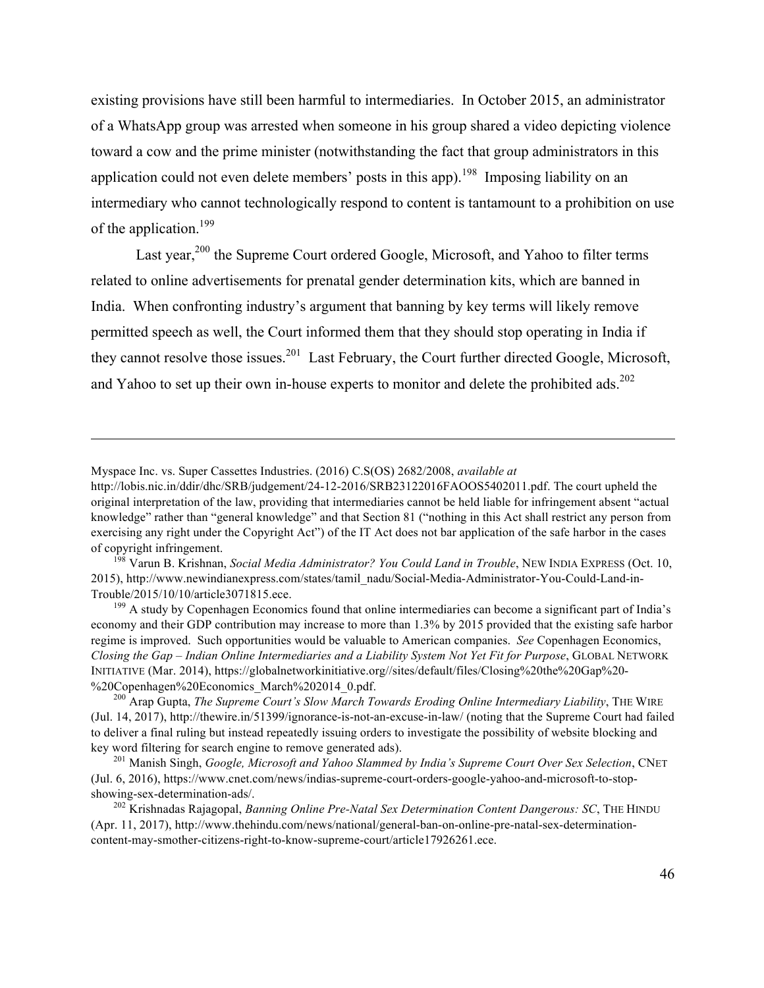existing provisions have still been harmful to intermediaries. In October 2015, an administrator of a WhatsApp group was arrested when someone in his group shared a video depicting violence toward a cow and the prime minister (notwithstanding the fact that group administrators in this application could not even delete members' posts in this app).<sup>198</sup> Imposing liability on an intermediary who cannot technologically respond to content is tantamount to a prohibition on use of the application.<sup>199</sup>

Last year,<sup>200</sup> the Supreme Court ordered Google, Microsoft, and Yahoo to filter terms related to online advertisements for prenatal gender determination kits, which are banned in India. When confronting industry's argument that banning by key terms will likely remove permitted speech as well, the Court informed them that they should stop operating in India if they cannot resolve those issues.<sup>201</sup> Last February, the Court further directed Google, Microsoft, and Yahoo to set up their own in-house experts to monitor and delete the prohibited ads.<sup>202</sup>

Myspace Inc. vs. Super Cassettes Industries. (2016) C.S(OS) 2682/2008, *available at* 

<sup>199</sup> A study by Copenhagen Economics found that online intermediaries can become a significant part of India's economy and their GDP contribution may increase to more than 1.3% by 2015 provided that the existing safe harbor regime is improved. Such opportunities would be valuable to American companies. *See* Copenhagen Economics, *Closing the Gap – Indian Online Intermediaries and a Liability System Not Yet Fit for Purpose*, GLOBAL NETWORK INITIATIVE (Mar. 2014), https://globalnetworkinitiative.org//sites/default/files/Closing%20the%20Gap%20- %20Copenhagen%20Economics\_March%202014\_0.pdf.

<sup>200</sup> Arap Gupta, *The Supreme Court's Slow March Towards Eroding Online Intermediary Liability*, THE WIRE (Jul. 14, 2017), http://thewire.in/51399/ignorance-is-not-an-excuse-in-law/ (noting that the Supreme Court had failed to deliver a final ruling but instead repeatedly issuing orders to investigate the possibility of website blocking and key word filtering for search engine to remove generated ads). 201 Manish Singh, *Google, Microsoft and Yahoo Slammed by India's Supreme Court Over Sex Selection*, CNET

(Jul. 6, 2016), https://www.cnet.com/news/indias-supreme-court-orders-google-yahoo-and-microsoft-to-stopshowing-sex-determination-ads/. 202 Krishnadas Rajagopal, *Banning Online Pre-Natal Sex Determination Content Dangerous: SC*, THE HINDU

(Apr. 11, 2017), http://www.thehindu.com/news/national/general-ban-on-online-pre-natal-sex-determinationcontent-may-smother-citizens-right-to-know-supreme-court/article17926261.ece.

http://lobis.nic.in/ddir/dhc/SRB/judgement/24-12-2016/SRB23122016FAOOS5402011.pdf. The court upheld the original interpretation of the law, providing that intermediaries cannot be held liable for infringement absent "actual knowledge" rather than "general knowledge" and that Section 81 ("nothing in this Act shall restrict any person from exercising any right under the Copyright Act") of the IT Act does not bar application of the safe harbor in the cases of copyright infringement.

<sup>198</sup> Varun B. Krishnan, *Social Media Administrator? You Could Land in Trouble*, NEW INDIA EXPRESS (Oct. 10, 2015), http://www.newindianexpress.com/states/tamil\_nadu/Social-Media-Administrator-You-Could-Land-in-Trouble/2015/10/10/article3071815.ece.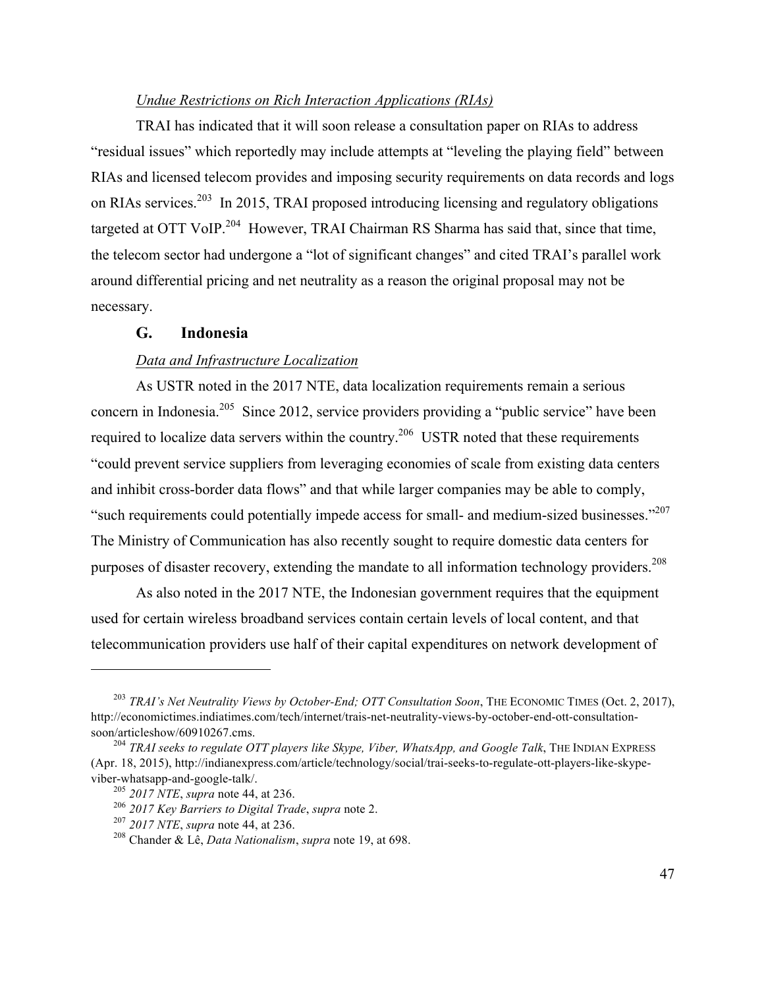#### *Undue Restrictions on Rich Interaction Applications (RIAs)*

TRAI has indicated that it will soon release a consultation paper on RIAs to address "residual issues" which reportedly may include attempts at "leveling the playing field" between RIAs and licensed telecom provides and imposing security requirements on data records and logs on RIAs services.<sup>203</sup> In 2015, TRAI proposed introducing licensing and regulatory obligations targeted at OTT VoIP.<sup>204</sup> However, TRAI Chairman RS Sharma has said that, since that time, the telecom sector had undergone a "lot of significant changes" and cited TRAI's parallel work around differential pricing and net neutrality as a reason the original proposal may not be necessary.

#### **G. Indonesia**

#### *Data and Infrastructure Localization*

As USTR noted in the 2017 NTE, data localization requirements remain a serious concern in Indonesia.205 Since 2012, service providers providing a "public service" have been required to localize data servers within the country.<sup>206</sup> USTR noted that these requirements "could prevent service suppliers from leveraging economies of scale from existing data centers and inhibit cross-border data flows" and that while larger companies may be able to comply, "such requirements could potentially impede access for small- and medium-sized businesses."<sup>207</sup> The Ministry of Communication has also recently sought to require domestic data centers for purposes of disaster recovery, extending the mandate to all information technology providers.<sup>208</sup>

As also noted in the 2017 NTE, the Indonesian government requires that the equipment used for certain wireless broadband services contain certain levels of local content, and that telecommunication providers use half of their capital expenditures on network development of

<sup>203</sup> *TRAI's Net Neutrality Views by October-End; OTT Consultation Soon*, THE ECONOMIC TIMES (Oct. 2, 2017), http://economictimes.indiatimes.com/tech/internet/trais-net-neutrality-views-by-october-end-ott-consultationsoon/articleshow/60910267.cms. 204 *TRAI seeks to regulate OTT players like Skype, Viber, WhatsApp, and Google Talk*, THE INDIAN EXPRESS

<sup>(</sup>Apr. 18, 2015), http://indianexpress.com/article/technology/social/trai-seeks-to-regulate-ott-players-like-skypeviber-whatsapp-and-google-talk/.<br><sup>205</sup> 2017 NTE, supra note 44, at 236.

<sup>&</sup>lt;sup>206</sup> 2017 Key Barriers to Digital Trade, *supra* note 2.

<sup>207</sup> *2017 NTE*, *supra* note 44, at 236.

<sup>208</sup> Chander & Lê, *Data Nationalism*, *supra* note 19, at 698.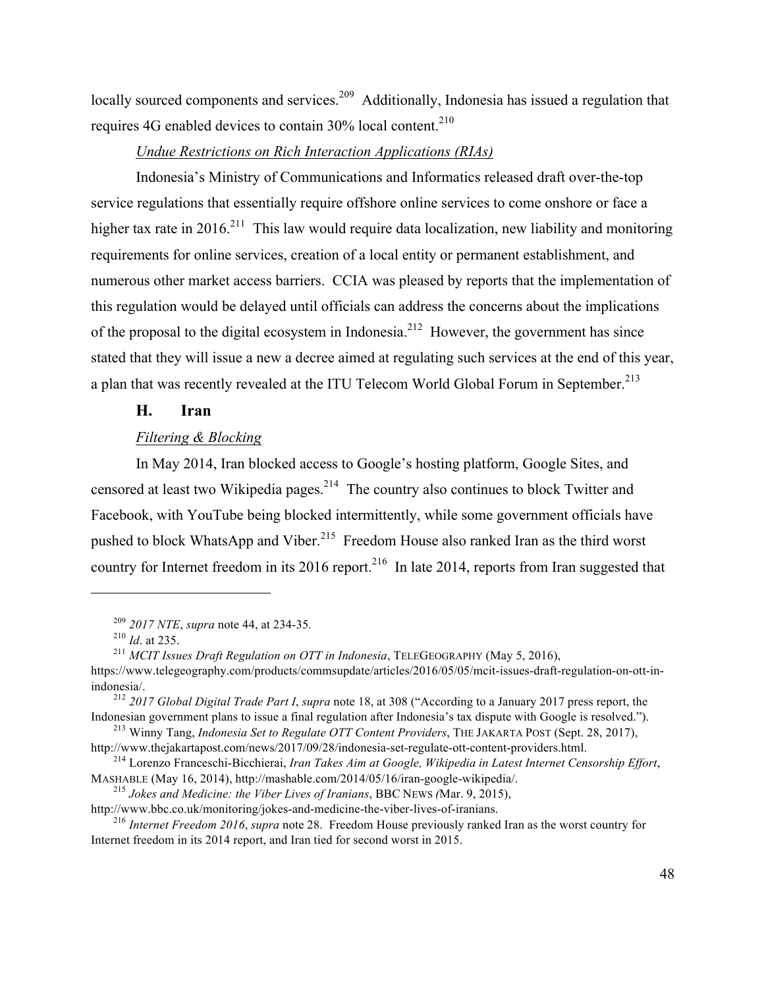locally sourced components and services.<sup>209</sup> Additionally, Indonesia has issued a regulation that requires 4G enabled devices to contain 30% local content.<sup>210</sup>

# *Undue Restrictions on Rich Interaction Applications (RIAs)*

Indonesia's Ministry of Communications and Informatics released draft over-the-top service regulations that essentially require offshore online services to come onshore or face a higher tax rate in 2016.<sup>211</sup> This law would require data localization, new liability and monitoring requirements for online services, creation of a local entity or permanent establishment, and numerous other market access barriers. CCIA was pleased by reports that the implementation of this regulation would be delayed until officials can address the concerns about the implications of the proposal to the digital ecosystem in Indonesia.<sup>212</sup> However, the government has since stated that they will issue a new a decree aimed at regulating such services at the end of this year, a plan that was recently revealed at the ITU Telecom World Global Forum in September.<sup>213</sup>

### **H. Iran**

#### *Filtering & Blocking*

In May 2014, Iran blocked access to Google's hosting platform, Google Sites, and censored at least two Wikipedia pages.214 The country also continues to block Twitter and Facebook, with YouTube being blocked intermittently, while some government officials have pushed to block WhatsApp and Viber.<sup>215</sup> Freedom House also ranked Iran as the third worst country for Internet freedom in its 2016 report.<sup>216</sup> In late 2014, reports from Iran suggested that

1

http://www.bbc.co.uk/monitoring/jokes-and-medicine-the-viber-lives-of-iranians.

<sup>209</sup> *2017 NTE*, *supra* note 44, at 234-35*.* 

<sup>210</sup> *Id*. at 235.

<sup>211</sup> *MCIT Issues Draft Regulation on OTT in Indonesia*, TELEGEOGRAPHY (May 5, 2016),

https://www.telegeography.com/products/commsupdate/articles/2016/05/05/mcit-issues-draft-regulation-on-ott-inindonesia/.

<sup>212</sup> *2017 Global Digital Trade Part I*, *supra* note 18, at 308 ("According to a January 2017 press report, the

Indonesian government plans to issue a final regulation after Indonesia's tax dispute with Google is resolved.").<br><sup>213</sup> Winny Tang, *Indonesia Set to Regulate OTT Content Providers*, THE JAKARTA POST (Sept. 28, 2017),<br>http

<sup>&</sup>lt;sup>214</sup> Lorenzo Franceschi-Bicchierai, *Iran Takes Aim at Google, Wikipedia in Latest Internet Censorship Effort*, MASHABLE (May 16, 2014), http://mashable.com/2014/05/16/iran-google-wikipedia/.

<sup>215</sup> *Jokes and Medicine: the Viber Lives of Iranians*, BBC NEWS *(*Mar. 9, 2015),

<sup>216</sup> *Internet Freedom 2016*, *supra* note 28. Freedom House previously ranked Iran as the worst country for Internet freedom in its 2014 report, and Iran tied for second worst in 2015.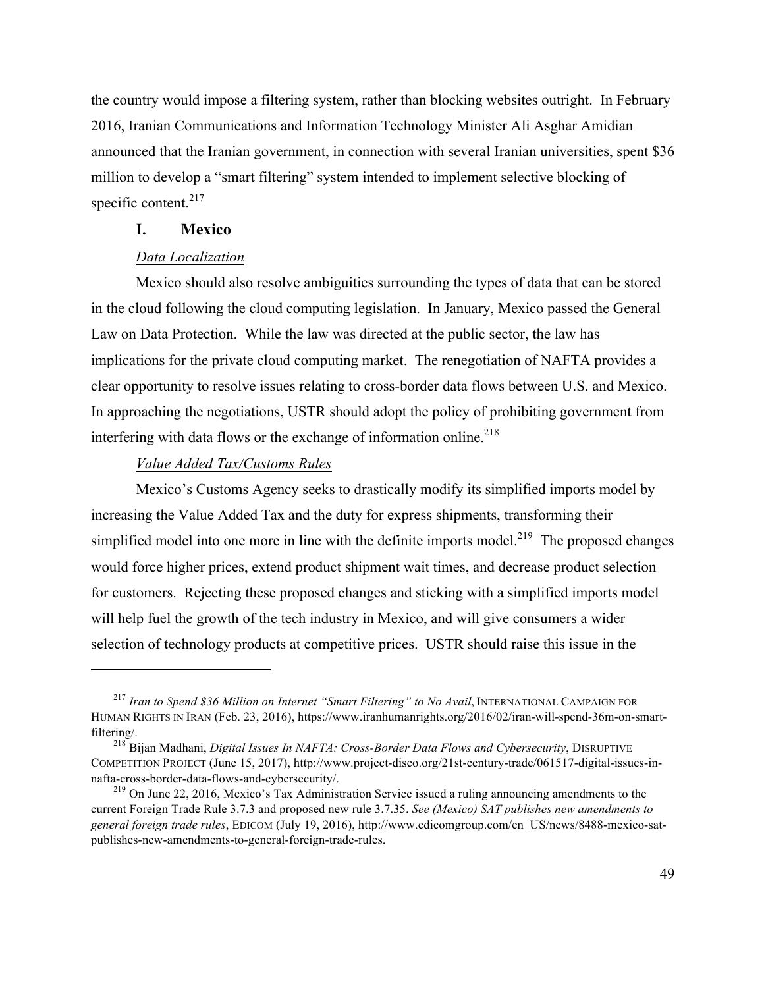the country would impose a filtering system, rather than blocking websites outright. In February 2016, Iranian Communications and Information Technology Minister Ali Asghar Amidian announced that the Iranian government, in connection with several Iranian universities, spent \$36 million to develop a "smart filtering" system intended to implement selective blocking of specific content. $217$ 

## **I. Mexico**

1

## *Data Localization*

Mexico should also resolve ambiguities surrounding the types of data that can be stored in the cloud following the cloud computing legislation. In January, Mexico passed the General Law on Data Protection. While the law was directed at the public sector, the law has implications for the private cloud computing market. The renegotiation of NAFTA provides a clear opportunity to resolve issues relating to cross-border data flows between U.S. and Mexico. In approaching the negotiations, USTR should adopt the policy of prohibiting government from interfering with data flows or the exchange of information online.<sup>218</sup>

#### *Value Added Tax/Customs Rules*

Mexico's Customs Agency seeks to drastically modify its simplified imports model by increasing the Value Added Tax and the duty for express shipments, transforming their simplified model into one more in line with the definite imports model.<sup>219</sup> The proposed changes would force higher prices, extend product shipment wait times, and decrease product selection for customers. Rejecting these proposed changes and sticking with a simplified imports model will help fuel the growth of the tech industry in Mexico, and will give consumers a wider selection of technology products at competitive prices. USTR should raise this issue in the

<sup>217</sup> *Iran to Spend \$36 Million on Internet "Smart Filtering" to No Avail*, INTERNATIONAL CAMPAIGN FOR HUMAN RIGHTS IN IRAN (Feb. 23, 2016), https://www.iranhumanrights.org/2016/02/iran-will-spend-36m-on-smartfiltering/.

<sup>218</sup> Bijan Madhani, *Digital Issues In NAFTA: Cross-Border Data Flows and Cybersecurity*, DISRUPTIVE COMPETITION PROJECT (June 15, 2017), http://www.project-disco.org/21st-century-trade/061517-digital-issues-innafta-cross-border-data-flows-and-cybersecurity/.<br><sup>219</sup> On June 22, 2016, Mexico's Tax Administration Service issued a ruling announcing amendments to the

current Foreign Trade Rule 3.7.3 and proposed new rule 3.7.35. *See (Mexico) SAT publishes new amendments to general foreign trade rules*, EDICOM (July 19, 2016), http://www.edicomgroup.com/en\_US/news/8488-mexico-satpublishes-new-amendments-to-general-foreign-trade-rules.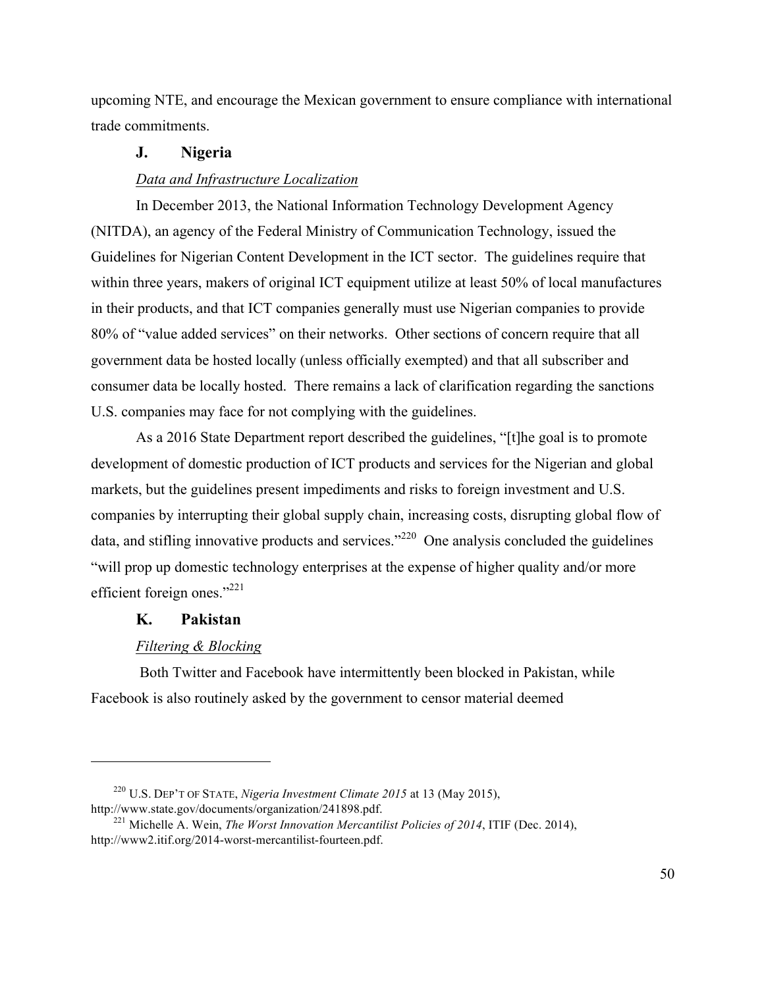upcoming NTE, and encourage the Mexican government to ensure compliance with international trade commitments.

# **J. Nigeria**

## *Data and Infrastructure Localization*

In December 2013, the National Information Technology Development Agency (NITDA), an agency of the Federal Ministry of Communication Technology, issued the Guidelines for Nigerian Content Development in the ICT sector. The guidelines require that within three years, makers of original ICT equipment utilize at least 50% of local manufactures in their products, and that ICT companies generally must use Nigerian companies to provide 80% of "value added services" on their networks. Other sections of concern require that all government data be hosted locally (unless officially exempted) and that all subscriber and consumer data be locally hosted. There remains a lack of clarification regarding the sanctions U.S. companies may face for not complying with the guidelines.

As a 2016 State Department report described the guidelines, "[t]he goal is to promote development of domestic production of ICT products and services for the Nigerian and global markets, but the guidelines present impediments and risks to foreign investment and U.S. companies by interrupting their global supply chain, increasing costs, disrupting global flow of data, and stifling innovative products and services."<sup>220</sup> One analysis concluded the guidelines "will prop up domestic technology enterprises at the expense of higher quality and/or more efficient foreign ones."221

# **K. Pakistan**

1

#### *Filtering & Blocking*

Both Twitter and Facebook have intermittently been blocked in Pakistan, while Facebook is also routinely asked by the government to censor material deemed

<sup>220</sup> U.S. DEP'T OF STATE, *Nigeria Investment Climate 2015* at 13 (May 2015), http://www.state.gov/documents/organization/241898.pdf.

<sup>221</sup> Michelle A. Wein, *The Worst Innovation Mercantilist Policies of 2014*, ITIF (Dec. 2014), http://www2.itif.org/2014-worst-mercantilist-fourteen.pdf.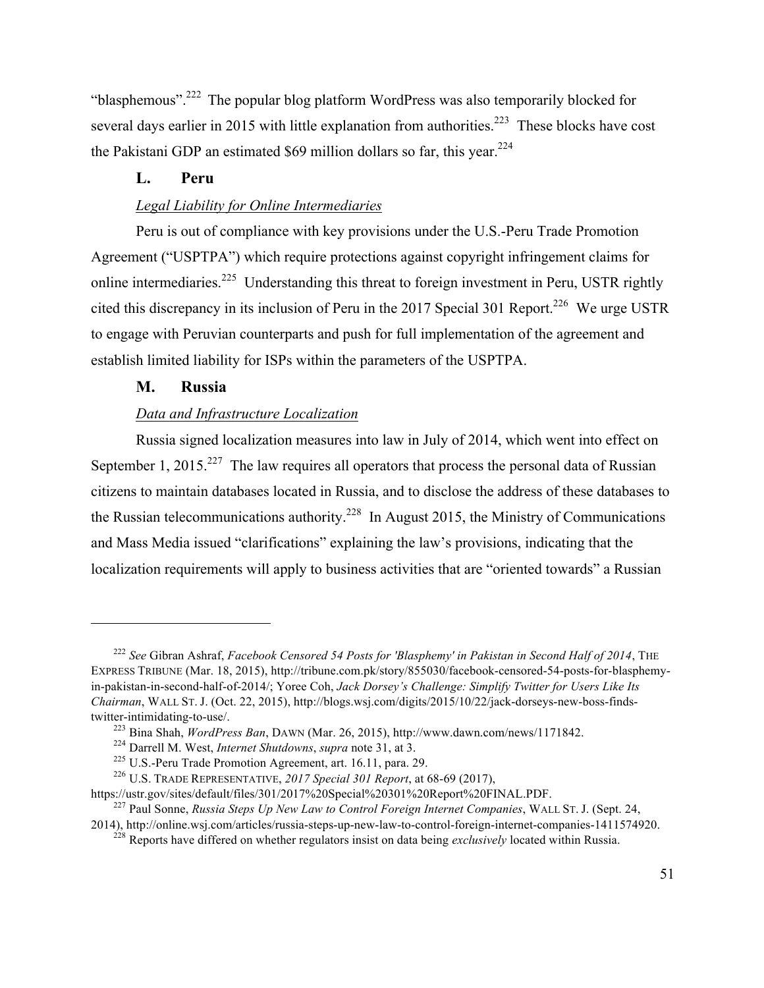"blasphemous".<sup>222</sup> The popular blog platform WordPress was also temporarily blocked for several days earlier in 2015 with little explanation from authorities.<sup>223</sup> These blocks have cost the Pakistani GDP an estimated  $$69$  million dollars so far, this year.<sup>224</sup>

## **L. Peru**

## *Legal Liability for Online Intermediaries*

Peru is out of compliance with key provisions under the U.S.-Peru Trade Promotion Agreement ("USPTPA") which require protections against copyright infringement claims for online intermediaries.<sup>225</sup> Understanding this threat to foreign investment in Peru, USTR rightly cited this discrepancy in its inclusion of Peru in the 2017 Special 301 Report.<sup>226</sup> We urge USTR to engage with Peruvian counterparts and push for full implementation of the agreement and establish limited liability for ISPs within the parameters of the USPTPA.

#### **M. Russia**

1

#### *Data and Infrastructure Localization*

Russia signed localization measures into law in July of 2014, which went into effect on September 1, 2015.<sup>227</sup> The law requires all operators that process the personal data of Russian citizens to maintain databases located in Russia, and to disclose the address of these databases to the Russian telecommunications authority.<sup>228</sup> In August 2015, the Ministry of Communications and Mass Media issued "clarifications" explaining the law's provisions, indicating that the localization requirements will apply to business activities that are "oriented towards" a Russian

<sup>222</sup> *See* Gibran Ashraf, *Facebook Censored 54 Posts for 'Blasphemy' in Pakistan in Second Half of 2014*, THE EXPRESS TRIBUNE (Mar. 18, 2015), http://tribune.com.pk/story/855030/facebook-censored-54-posts-for-blasphemyin-pakistan-in-second-half-of-2014/; Yoree Coh, *Jack Dorsey's Challenge: Simplify Twitter for Users Like Its Chairman*, WALL ST. J. (Oct. 22, 2015), http://blogs.wsj.com/digits/2015/10/22/jack-dorseys-new-boss-findstwitter-intimidating-to-use/.

<sup>223</sup> Bina Shah, *WordPress Ban*, DAWN (Mar. 26, 2015), http://www.dawn.com/news/1171842.

<sup>&</sup>lt;sup>224</sup> Darrell M. West, *Internet Shutdowns*, *supra* note 31, at 3.<br><sup>225</sup> U.S.-Peru Trade Promotion Agreement, art. 16.11, para. 29.

<sup>&</sup>lt;sup>226</sup> U.S. TRADE REPRESENTATIVE, 2017 Special 301 Report, at 68-69 (2017),<br>https://ustr.gov/sites/default/files/301/2017%20Special%20301%20Report%20FINAL.PDF.

<sup>&</sup>lt;sup>227</sup> Paul Sonne, *Russia Steps Up New Law to Control Foreign Internet Companies*, WALL ST. J. (Sept. 24, 2014), http://online.wsj.com/articles/russia-steps-up-new-law-to-control-foreign-internet-companies-1411574920.

<sup>228</sup> Reports have differed on whether regulators insist on data being *exclusively* located within Russia.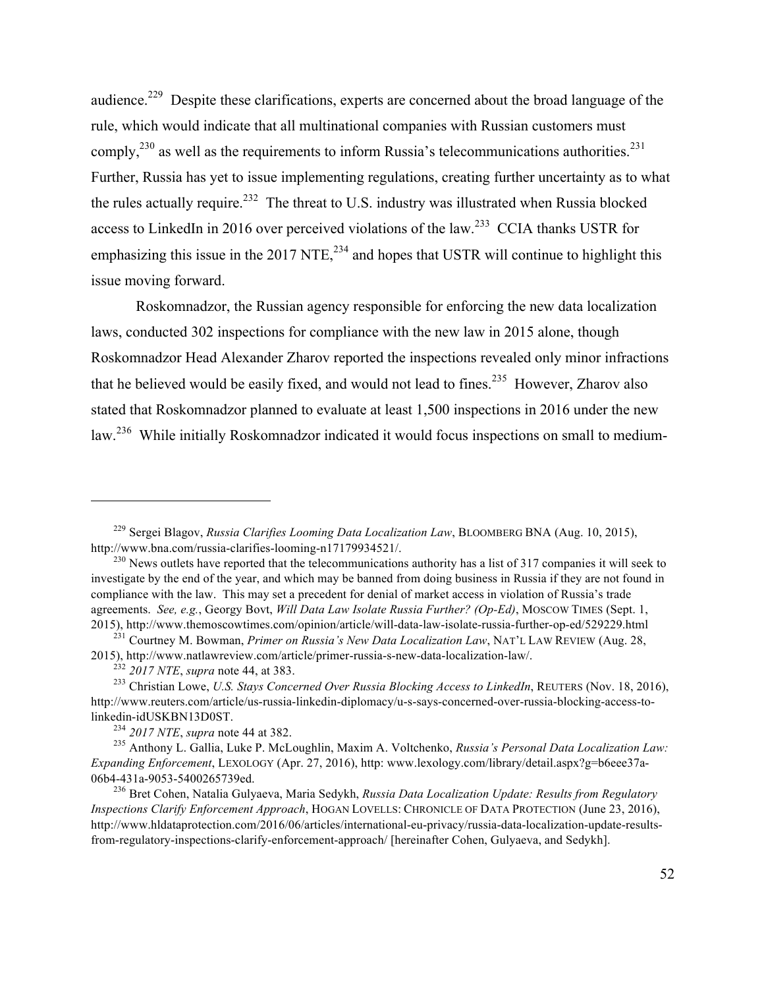audience.<sup>229</sup> Despite these clarifications, experts are concerned about the broad language of the rule, which would indicate that all multinational companies with Russian customers must comply,  $^{230}$  as well as the requirements to inform Russia's telecommunications authorities.  $^{231}$ Further, Russia has yet to issue implementing regulations, creating further uncertainty as to what the rules actually require.<sup>232</sup> The threat to U.S. industry was illustrated when Russia blocked access to LinkedIn in 2016 over perceived violations of the law.<sup>233</sup> CCIA thanks USTR for emphasizing this issue in the 2017 NTE, $^{234}$  and hopes that USTR will continue to highlight this issue moving forward.

Roskomnadzor, the Russian agency responsible for enforcing the new data localization laws, conducted 302 inspections for compliance with the new law in 2015 alone, though Roskomnadzor Head Alexander Zharov reported the inspections revealed only minor infractions that he believed would be easily fixed, and would not lead to fines.<sup>235</sup> However, Zharov also stated that Roskomnadzor planned to evaluate at least 1,500 inspections in 2016 under the new law.<sup>236</sup> While initially Roskomnadzor indicated it would focus inspections on small to medium-

<sup>229</sup> Sergei Blagov, *Russia Clarifies Looming Data Localization Law*, BLOOMBERG BNA (Aug. 10, 2015), http://www.bna.com/russia-clarifies-looming-n17179934521/.

 $^{230}$  News outlets have reported that the telecommunications authority has a list of 317 companies it will seek to investigate by the end of the year, and which may be banned from doing business in Russia if they are not found in compliance with the law. This may set a precedent for denial of market access in violation of Russia's trade agreements. *See, e.g.*, Georgy Bovt, *Will Data Law Isolate Russia Further? (Op-Ed)*, MOSCOW TIMES (Sept. 1, 2015), http://www.themoscowtimes.com/opinion/article/will-data-law-isolate-russia-further-op-ed/529229.html

<sup>231</sup> Courtney M. Bowman, *Primer on Russia's New Data Localization Law*, NAT'L LAW REVIEW (Aug. 28, 2015), http://www.natlawreview.com/article/primer-russia-s-new-data-localization-law/.

<sup>232</sup> *2017 NTE*, *supra* note 44, at 383.

<sup>233</sup> Christian Lowe, *U.S. Stays Concerned Over Russia Blocking Access to LinkedIn*, REUTERS (Nov. 18, 2016), http://www.reuters.com/article/us-russia-linkedin-diplomacy/u-s-says-concerned-over-russia-blocking-access-tolinkedin-idUSKBN13D0ST. 234 *2017 NTE*, *supra* note 44 at 382.

<sup>235</sup> Anthony L. Gallia, Luke P. McLoughlin, Maxim A. Voltchenko, *Russia's Personal Data Localization Law: Expanding Enforcement*, LEXOLOGY (Apr. 27, 2016), http: www.lexology.com/library/detail.aspx?g=b6eee37a-06b4-431a-9053-5400265739ed.

<sup>236</sup> Bret Cohen, Natalia Gulyaeva, Maria Sedykh, *Russia Data Localization Update: Results from Regulatory Inspections Clarify Enforcement Approach*, HOGAN LOVELLS: CHRONICLE OF DATA PROTECTION (June 23, 2016), http://www.hldataprotection.com/2016/06/articles/international-eu-privacy/russia-data-localization-update-resultsfrom-regulatory-inspections-clarify-enforcement-approach/ [hereinafter Cohen, Gulyaeva, and Sedykh].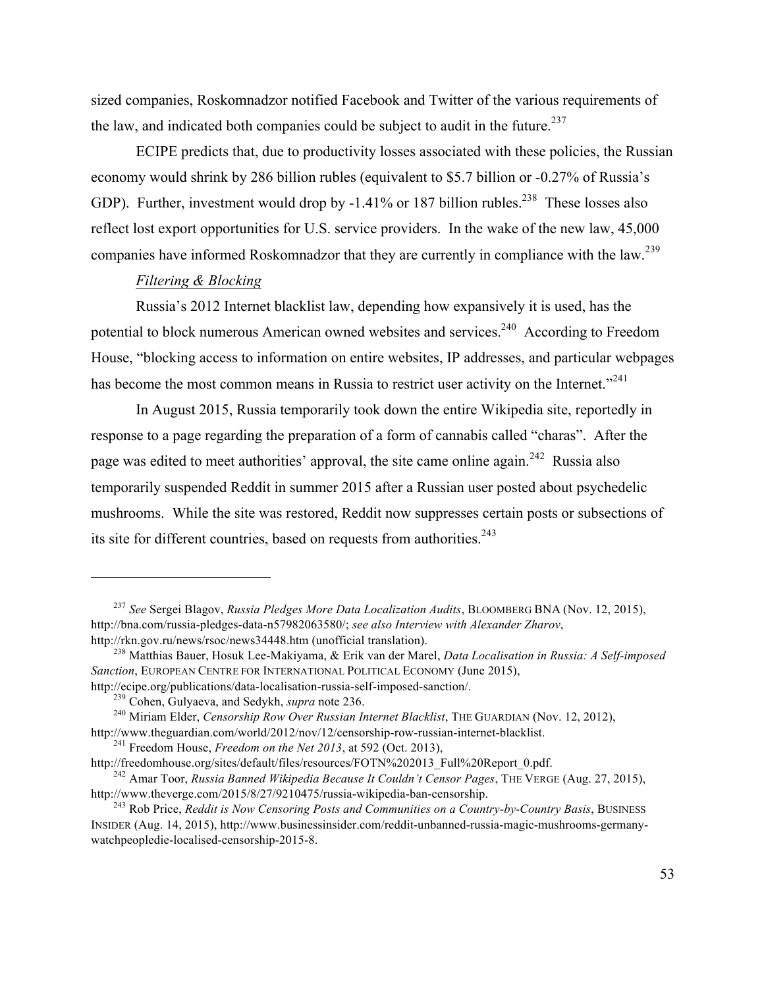sized companies, Roskomnadzor notified Facebook and Twitter of the various requirements of the law, and indicated both companies could be subject to audit in the future.<sup>237</sup>

ECIPE predicts that, due to productivity losses associated with these policies, the Russian economy would shrink by 286 billion rubles (equivalent to \$5.7 billion or -0.27% of Russia's GDP). Further, investment would drop by  $-1.41\%$  or 187 billion rubles.<sup>238</sup> These losses also reflect lost export opportunities for U.S. service providers. In the wake of the new law, 45,000 companies have informed Roskomnadzor that they are currently in compliance with the law.<sup>239</sup>

## *Filtering & Blocking*

1

Russia's 2012 Internet blacklist law, depending how expansively it is used, has the potential to block numerous American owned websites and services.<sup>240</sup> According to Freedom House, "blocking access to information on entire websites, IP addresses, and particular webpages has become the most common means in Russia to restrict user activity on the Internet."<sup>241</sup>

In August 2015, Russia temporarily took down the entire Wikipedia site, reportedly in response to a page regarding the preparation of a form of cannabis called "charas". After the page was edited to meet authorities' approval, the site came online again.<sup>242</sup> Russia also temporarily suspended Reddit in summer 2015 after a Russian user posted about psychedelic mushrooms. While the site was restored, Reddit now suppresses certain posts or subsections of its site for different countries, based on requests from authorities.<sup>243</sup>

<sup>237</sup> *See* Sergei Blagov, *Russia Pledges More Data Localization Audits*, BLOOMBERG BNA (Nov. 12, 2015), http://bna.com/russia-pledges-data-n57982063580/; *see also Interview with Alexander Zharov*, http://rkn.gov.ru/news/rsoc/news34448.htm (unofficial translation).

<sup>238</sup> Matthias Bauer, Hosuk Lee-Makiyama, & Erik van der Marel, *Data Localisation in Russia: A Self-imposed Sanction*, EUROPEAN CENTRE FOR INTERNATIONAL POLITICAL ECONOMY (June 2015),

http://ecipe.org/publications/data-localisation-russia-self-imposed-sanction/.

<sup>239</sup> Cohen, Gulyaeva, and Sedykh, *supra* note 236.

<sup>240</sup> Miriam Elder, *Censorship Row Over Russian Internet Blacklist*, THE GUARDIAN (Nov. 12, 2012), http://www.theguardian.com/world/2012/nov/12/censorship-row-russian-internet-blacklist.

<sup>241</sup> Freedom House, *Freedom on the Net 2013*, at 592 (Oct. 2013),

http://freedomhouse.org/sites/default/files/resources/FOTN%202013\_Full%20Report\_0.pdf.

<sup>242</sup> Amar Toor, *Russia Banned Wikipedia Because It Couldn't Censor Pages*, THE VERGE (Aug. 27, 2015), http://www.theverge.com/2015/8/27/9210475/russia-wikipedia-ban-censorship.

<sup>243</sup> Rob Price, *Reddit is Now Censoring Posts and Communities on a Country-by-Country Basis*, BUSINESS INSIDER (Aug. 14, 2015), http://www.businessinsider.com/reddit-unbanned-russia-magic-mushrooms-germanywatchpeopledie-localised-censorship-2015-8.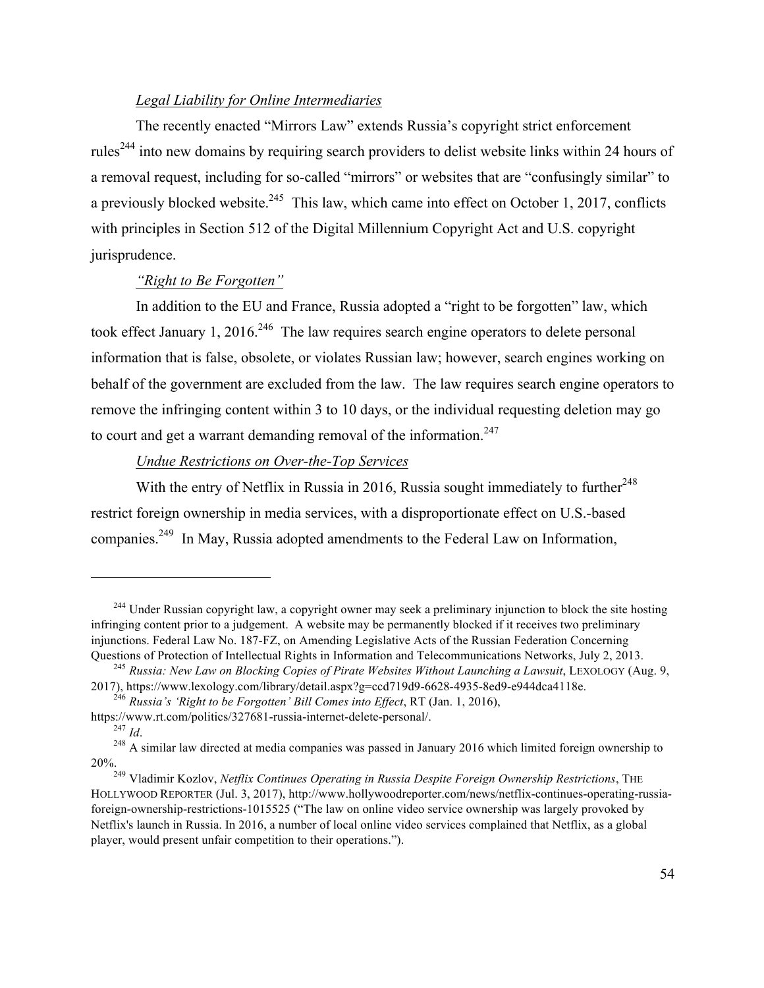#### *Legal Liability for Online Intermediaries*

The recently enacted "Mirrors Law" extends Russia's copyright strict enforcement rules<sup>244</sup> into new domains by requiring search providers to delist website links within 24 hours of a removal request, including for so-called "mirrors" or websites that are "confusingly similar" to a previously blocked website.<sup>245</sup> This law, which came into effect on October 1, 2017, conflicts with principles in Section 512 of the Digital Millennium Copyright Act and U.S. copyright jurisprudence.

### *"Right to Be Forgotten"*

In addition to the EU and France, Russia adopted a "right to be forgotten" law, which took effect January 1, 2016.<sup>246</sup> The law requires search engine operators to delete personal information that is false, obsolete, or violates Russian law; however, search engines working on behalf of the government are excluded from the law. The law requires search engine operators to remove the infringing content within 3 to 10 days, or the individual requesting deletion may go to court and get a warrant demanding removal of the information.<sup>247</sup>

#### *Undue Restrictions on Over-the-Top Services*

With the entry of Netflix in Russia in 2016, Russia sought immediately to further $248$ restrict foreign ownership in media services, with a disproportionate effect on U.S.-based companies.249 In May, Russia adopted amendments to the Federal Law on Information,

<sup>&</sup>lt;sup>244</sup> Under Russian copyright law, a copyright owner may seek a preliminary injunction to block the site hosting infringing content prior to a judgement. A website may be permanently blocked if it receives two preliminary injunctions. Federal Law No. 187-FZ, on Amending Legislative Acts of the Russian Federation Concerning Questions of Protection of Intellectual Rights in Information and Telecommunications Networks, July 2, 2013.

<sup>&</sup>lt;sup>245</sup> Russia: New Law on Blocking Copies of Pirate Websites Without Launching a Lawsuit, LEXOLOGY (Aug. 9, 2017), https://www.lexology.com/library/detail.aspx?g=ccd719d9-6628-4935-8ed9-e944dca4118e. 246 *Russia's 'Right to be Forgotten' Bill Comes into Effect*, RT (Jan. 1, 2016),

https://www.rt.com/politics/327681-russia-internet-delete-personal/.

<sup>247</sup> *Id*.

<sup>&</sup>lt;sup>248</sup> A similar law directed at media companies was passed in January 2016 which limited foreign ownership to 20%. 249 Vladimir Kozlov, *Netflix Continues Operating in Russia Despite Foreign Ownership Restrictions*, THE

HOLLYWOOD REPORTER (Jul. 3, 2017), http://www.hollywoodreporter.com/news/netflix-continues-operating-russiaforeign-ownership-restrictions-1015525 ("The law on online video service ownership was largely provoked by Netflix's launch in Russia. In 2016, a number of local online video services complained that Netflix, as a global player, would present unfair competition to their operations.").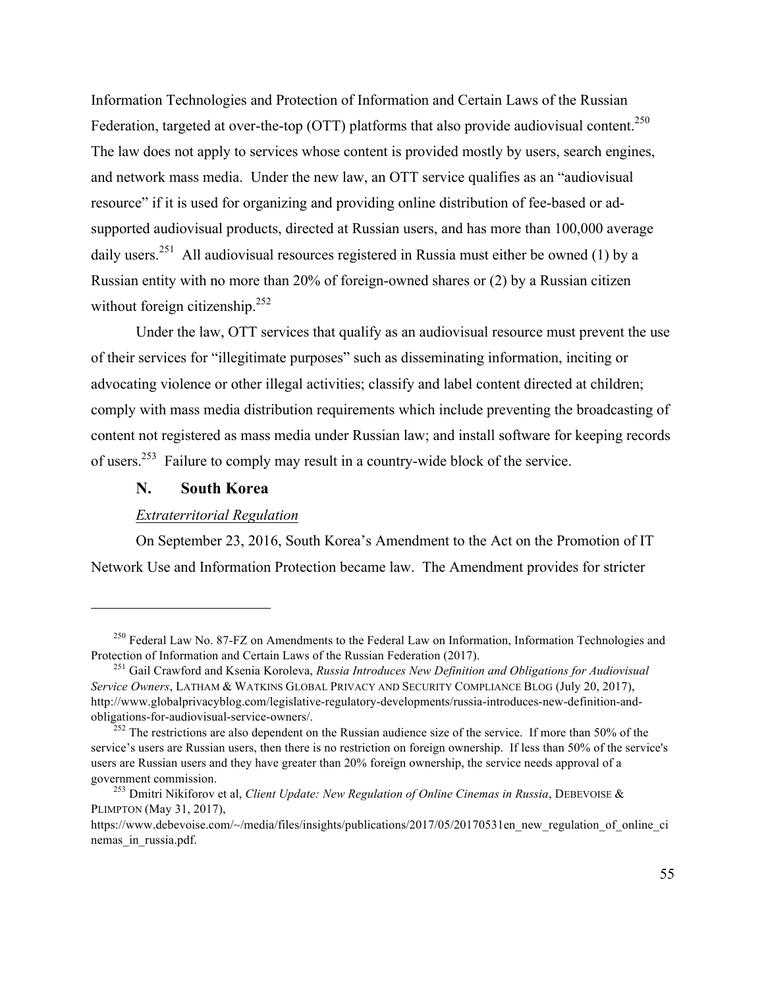Information Technologies and Protection of Information and Certain Laws of the Russian Federation, targeted at over-the-top (OTT) platforms that also provide audiovisual content.<sup>250</sup> The law does not apply to services whose content is provided mostly by users, search engines, and network mass media. Under the new law, an OTT service qualifies as an "audiovisual resource" if it is used for organizing and providing online distribution of fee-based or adsupported audiovisual products, directed at Russian users, and has more than 100,000 average daily users.<sup>251</sup> All audiovisual resources registered in Russia must either be owned (1) by a Russian entity with no more than 20% of foreign-owned shares or (2) by a Russian citizen without foreign citizenship.<sup>252</sup>

Under the law, OTT services that qualify as an audiovisual resource must prevent the use of their services for "illegitimate purposes" such as disseminating information, inciting or advocating violence or other illegal activities; classify and label content directed at children; comply with mass media distribution requirements which include preventing the broadcasting of content not registered as mass media under Russian law; and install software for keeping records of users.253 Failure to comply may result in a country-wide block of the service.

## **N. South Korea**

1

## *Extraterritorial Regulation*

On September 23, 2016, South Korea's Amendment to the Act on the Promotion of IT Network Use and Information Protection became law. The Amendment provides for stricter

<sup>&</sup>lt;sup>250</sup> Federal Law No. 87-FZ on Amendments to the Federal Law on Information, Information Technologies and Protection of Information and Certain Laws of the Russian Federation (2017). 251 Gail Crawford and Ksenia Koroleva, *Russia Introduces New Definition and Obligations for Audiovisual* 

*Service Owners*, LATHAM & WATKINS GLOBAL PRIVACY AND SECURITY COMPLIANCE BLOG (July 20, 2017), http://www.globalprivacyblog.com/legislative-regulatory-developments/russia-introduces-new-definition-andobligations-for-audiovisual-service-owners/. 252 The restrictions are also dependent on the Russian audience size of the service. If more than 50% of the

service's users are Russian users, then there is no restriction on foreign ownership. If less than 50% of the service's users are Russian users and they have greater than 20% foreign ownership, the service needs approval of a government commission. 253 Dmitri Nikiforov et al, *Client Update: New Regulation of Online Cinemas in Russia*, DEBEVOISE &

PLIMPTON (May 31, 2017),

https://www.debevoise.com/~/media/files/insights/publications/2017/05/20170531en\_new\_regulation\_of\_online\_ci nemas in russia.pdf.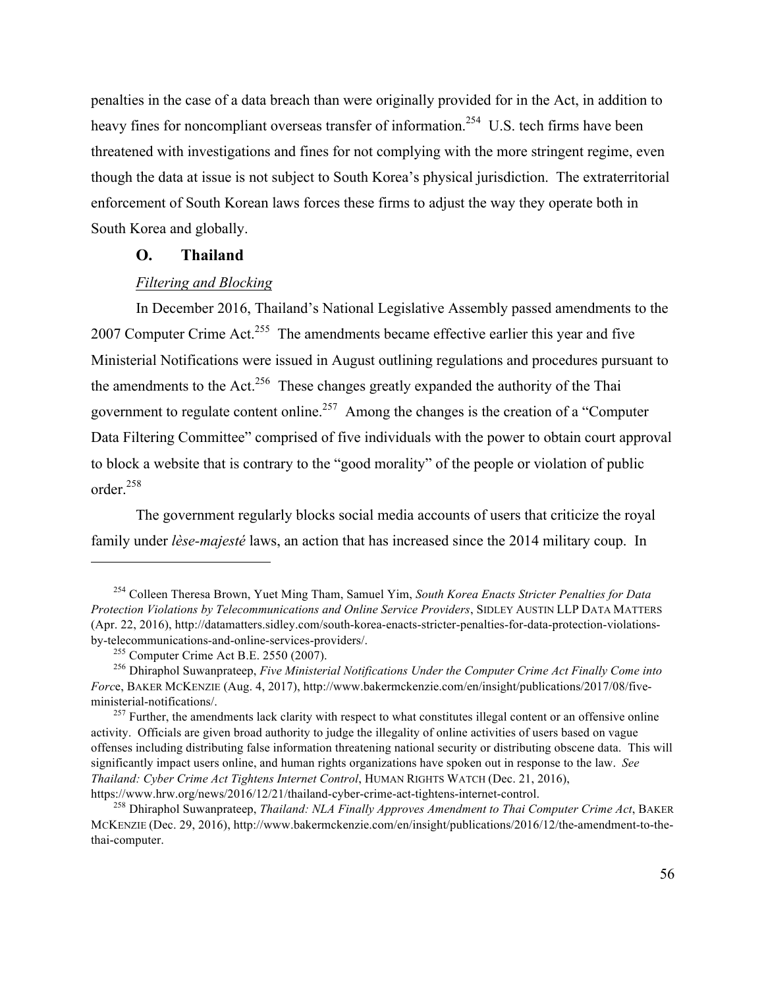penalties in the case of a data breach than were originally provided for in the Act, in addition to heavy fines for noncompliant overseas transfer of information.<sup>254</sup> U.S. tech firms have been threatened with investigations and fines for not complying with the more stringent regime, even though the data at issue is not subject to South Korea's physical jurisdiction. The extraterritorial enforcement of South Korean laws forces these firms to adjust the way they operate both in South Korea and globally.

#### **O. Thailand**

## *Filtering and Blocking*

In December 2016, Thailand's National Legislative Assembly passed amendments to the 2007 Computer Crime Act.<sup>255</sup> The amendments became effective earlier this year and five Ministerial Notifications were issued in August outlining regulations and procedures pursuant to the amendments to the Act.<sup>256</sup> These changes greatly expanded the authority of the Thai government to regulate content online.<sup>257</sup> Among the changes is the creation of a "Computer" Data Filtering Committee" comprised of five individuals with the power to obtain court approval to block a website that is contrary to the "good morality" of the people or violation of public order.<sup>258</sup>

The government regularly blocks social media accounts of users that criticize the royal family under *lèse-majesté* laws, an action that has increased since the 2014 military coup. In

<sup>254</sup> Colleen Theresa Brown, Yuet Ming Tham, Samuel Yim, *South Korea Enacts Stricter Penalties for Data Protection Violations by Telecommunications and Online Service Providers*, SIDLEY AUSTIN LLP DATA MATTERS (Apr. 22, 2016), http://datamatters.sidley.com/south-korea-enacts-stricter-penalties-for-data-protection-violationsby-telecommunications-and-online-services-providers/.

<sup>&</sup>lt;sup>255</sup> Computer Crime Act B.E. 2550 (2007).<br><sup>256</sup> Dhiraphol Suwanprateep, *Five Ministerial Notifications Under the Computer Crime Act Finally Come into Forc*e, BAKER MCKENZIE (Aug. 4, 2017), http://www.bakermckenzie.com/en/insight/publications/2017/08/fiveministerial-notifications/.<br><sup>257</sup> Further, the amendments lack clarity with respect to what constitutes illegal content or an offensive online

activity. Officials are given broad authority to judge the illegality of online activities of users based on vague offenses including distributing false information threatening national security or distributing obscene data. This will significantly impact users online, and human rights organizations have spoken out in response to the law. *See Thailand: Cyber Crime Act Tightens Internet Control*, HUMAN RIGHTS WATCH (Dec. 21, 2016), https://www.hrw.org/news/2016/12/21/thailand-cyber-crime-act-tightens-internet-control. 258 Dhiraphol Suwanprateep, *Thailand: NLA Finally Approves Amendment to Thai Computer Crime Act*, BAKER

MCKENZIE (Dec. 29, 2016), http://www.bakermckenzie.com/en/insight/publications/2016/12/the-amendment-to-thethai-computer.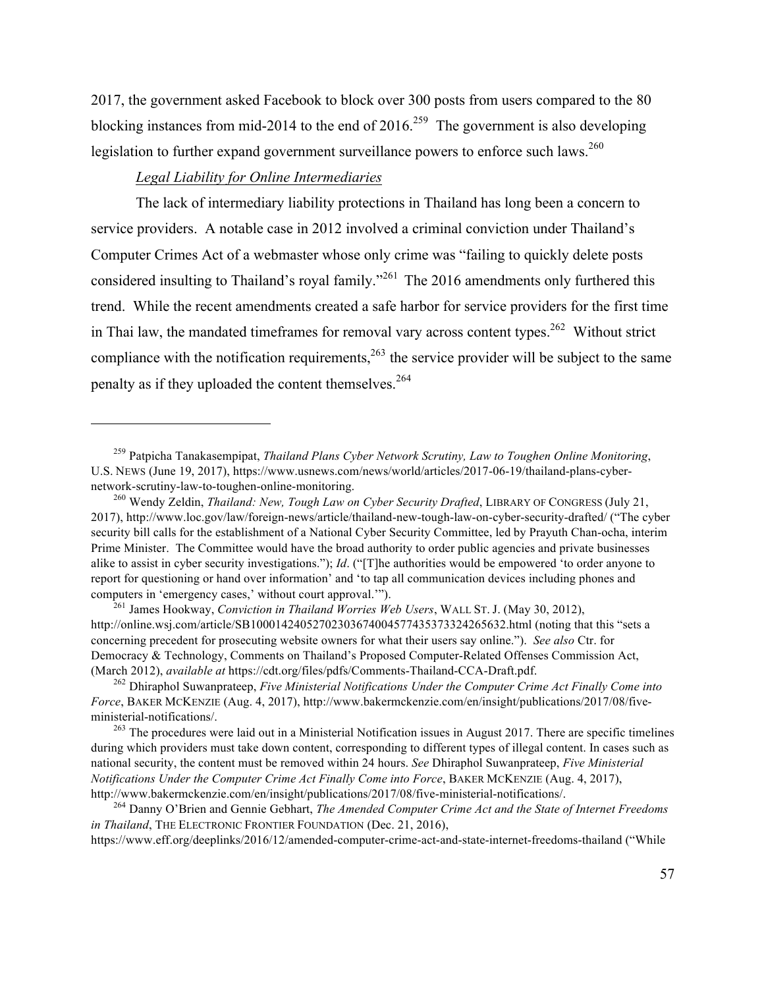2017, the government asked Facebook to block over 300 posts from users compared to the 80 blocking instances from mid-2014 to the end of  $2016$ <sup>259</sup>. The government is also developing legislation to further expand government surveillance powers to enforce such laws.<sup>260</sup>

## *Legal Liability for Online Intermediaries*

1

The lack of intermediary liability protections in Thailand has long been a concern to service providers. A notable case in 2012 involved a criminal conviction under Thailand's Computer Crimes Act of a webmaster whose only crime was "failing to quickly delete posts considered insulting to Thailand's royal family."<sup>261</sup> The 2016 amendments only furthered this trend. While the recent amendments created a safe harbor for service providers for the first time in Thai law, the mandated timeframes for removal vary across content types.<sup>262</sup> Without strict compliance with the notification requirements,  $263$  the service provider will be subject to the same penalty as if they uploaded the content themselves.<sup>264</sup>

http://online.wsj.com/article/SB10001424052702303674004577435373324265632.html (noting that this "sets a concerning precedent for prosecuting website owners for what their users say online."). *See also* Ctr. for Democracy & Technology, Comments on Thailand's Proposed Computer-Related Offenses Commission Act, (March 2012), *available at* https://cdt.org/files/pdfs/Comments-Thailand-CCA-Draft.pdf.

during which providers must take down content, corresponding to different types of illegal content. In cases such as national security, the content must be removed within 24 hours. *See* Dhiraphol Suwanprateep, *Five Ministerial Notifications Under the Computer Crime Act Finally Come into Force*, BAKER MCKENZIE (Aug. 4, 2017), http://www.bakermckenzie.com/en/insight/publications/2017/08/five-ministerial-notifications/. 264 Danny O'Brien and Gennie Gebhart, *The Amended Computer Crime Act and the State of Internet Freedoms* 

*in Thailand*, THE ELECTRONIC FRONTIER FOUNDATION (Dec. 21, 2016),

https://www.eff.org/deeplinks/2016/12/amended-computer-crime-act-and-state-internet-freedoms-thailand ("While

<sup>259</sup> Patpicha Tanakasempipat, *Thailand Plans Cyber Network Scrutiny, Law to Toughen Online Monitoring*, U.S. NEWS (June 19, 2017), https://www.usnews.com/news/world/articles/2017-06-19/thailand-plans-cybernetwork-scrutiny-law-to-toughen-online-monitoring. 260 Wendy Zeldin, *Thailand: New, Tough Law on Cyber Security Drafted*, LIBRARY OF CONGRESS (July 21,

<sup>2017),</sup> http://www.loc.gov/law/foreign-news/article/thailand-new-tough-law-on-cyber-security-drafted/ ("The cyber security bill calls for the establishment of a National Cyber Security Committee, led by Prayuth Chan-ocha, interim Prime Minister. The Committee would have the broad authority to order public agencies and private businesses alike to assist in cyber security investigations."); *Id*. ("[T]he authorities would be empowered 'to order anyone to report for questioning or hand over information' and 'to tap all communication devices including phones and computers in 'emergency cases,' without court approval.'"). 261 James Hookway, *Conviction in Thailand Worries Web Users*, WALL ST. J. (May 30, 2012),

<sup>262</sup> Dhiraphol Suwanprateep, *Five Ministerial Notifications Under the Computer Crime Act Finally Come into Force*, BAKER MCKENZIE (Aug. 4, 2017), http://www.bakermckenzie.com/en/insight/publications/2017/08/fiveministerial-notifications/.<br><sup>263</sup> The procedures were laid out in a Ministerial Notification issues in August 2017. There are specific timelines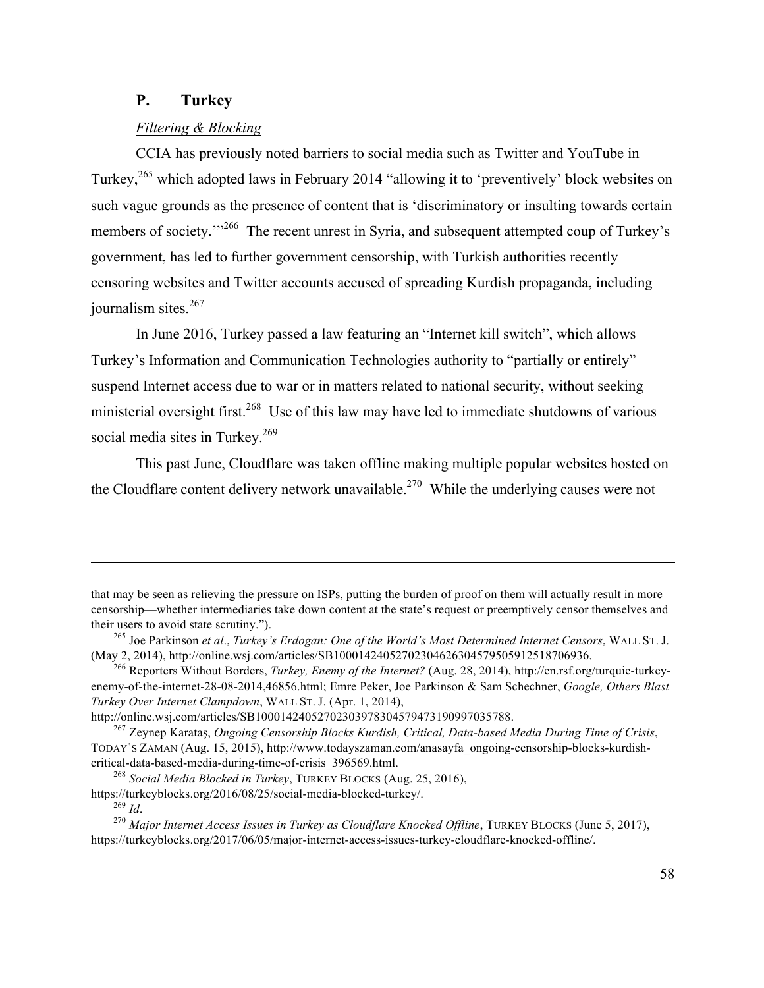## **P. Turkey**

#### *Filtering & Blocking*

CCIA has previously noted barriers to social media such as Twitter and YouTube in Turkey,<sup>265</sup> which adopted laws in February 2014 "allowing it to 'preventively' block websites on such vague grounds as the presence of content that is 'discriminatory or insulting towards certain members of society.<sup>'"266</sup> The recent unrest in Syria, and subsequent attempted coup of Turkey's government, has led to further government censorship, with Turkish authorities recently censoring websites and Twitter accounts accused of spreading Kurdish propaganda, including journalism sites.<sup>267</sup>

In June 2016, Turkey passed a law featuring an "Internet kill switch", which allows Turkey's Information and Communication Technologies authority to "partially or entirely" suspend Internet access due to war or in matters related to national security, without seeking ministerial oversight first.<sup>268</sup> Use of this law may have led to immediate shutdowns of various social media sites in Turkey.<sup>269</sup>

This past June, Cloudflare was taken offline making multiple popular websites hosted on the Cloudflare content delivery network unavailable.<sup>270</sup> While the underlying causes were not

https://turkeyblocks.org/2016/08/25/social-media-blocked-turkey/.

that may be seen as relieving the pressure on ISPs, putting the burden of proof on them will actually result in more censorship—whether intermediaries take down content at the state's request or preemptively censor themselves and their users to avoid state scrutiny."). 265 Joe Parkinson *et al*., *Turkey's Erdogan: One of the World's Most Determined Internet Censors*, WALL ST. J.

<sup>(</sup>May 2, 2014), http://online.wsj.com/articles/SB10001424052702304626304579505912518706936.

<sup>266</sup> Reporters Without Borders, *Turkey, Enemy of the Internet?* (Aug. 28, 2014), http://en.rsf.org/turquie-turkeyenemy-of-the-internet-28-08-2014,46856.html; Emre Peker, Joe Parkinson & Sam Schechner, *Google, Others Blast Turkey Over Internet Clampdown*, WALL ST. J. (Apr. 1, 2014),

http://online.wsj.com/articles/SB10001424052702303978304579473190997035788.

<sup>267</sup> Zeynep Karataş, *Ongoing Censorship Blocks Kurdish, Critical, Data-based Media During Time of Crisis*, TODAY'S ZAMAN (Aug. 15, 2015), http://www.todayszaman.com/anasayfa\_ongoing-censorship-blocks-kurdishcritical-data-based-media-during-time-of-crisis\_396569.html.

<sup>268</sup> *Social Media Blocked in Turkey*, TURKEY BLOCKS (Aug. 25, 2016),

<sup>269</sup> *Id*.

<sup>270</sup> *Major Internet Access Issues in Turkey as Cloudflare Knocked Offline*, TURKEY BLOCKS (June 5, 2017), https://turkeyblocks.org/2017/06/05/major-internet-access-issues-turkey-cloudflare-knocked-offline/.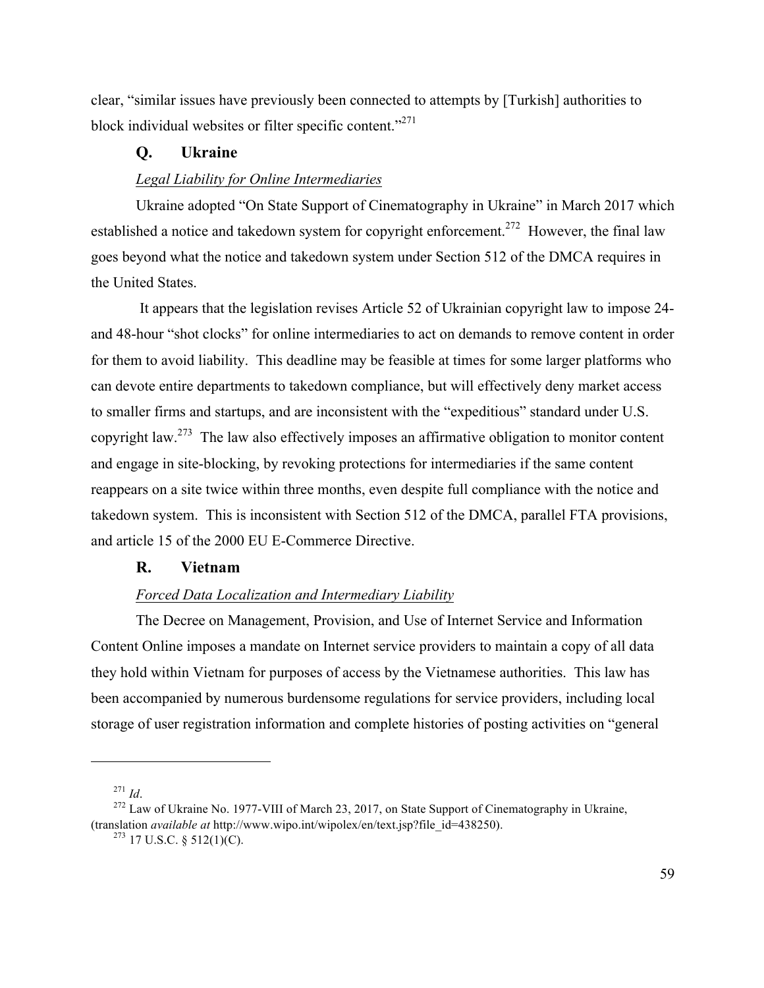clear, "similar issues have previously been connected to attempts by [Turkish] authorities to block individual websites or filter specific content."<sup>271</sup>

# **Q. Ukraine**

# *Legal Liability for Online Intermediaries*

Ukraine adopted "On State Support of Cinematography in Ukraine" in March 2017 which established a notice and takedown system for copyright enforcement.<sup>272</sup> However, the final law goes beyond what the notice and takedown system under Section 512 of the DMCA requires in the United States.

It appears that the legislation revises Article 52 of Ukrainian copyright law to impose 24 and 48-hour "shot clocks" for online intermediaries to act on demands to remove content in order for them to avoid liability. This deadline may be feasible at times for some larger platforms who can devote entire departments to takedown compliance, but will effectively deny market access to smaller firms and startups, and are inconsistent with the "expeditious" standard under U.S. copyright law.273 The law also effectively imposes an affirmative obligation to monitor content and engage in site-blocking, by revoking protections for intermediaries if the same content reappears on a site twice within three months, even despite full compliance with the notice and takedown system. This is inconsistent with Section 512 of the DMCA, parallel FTA provisions, and article 15 of the 2000 EU E-Commerce Directive.

## **R. Vietnam**

#### *Forced Data Localization and Intermediary Liability*

The Decree on Management, Provision, and Use of Internet Service and Information Content Online imposes a mandate on Internet service providers to maintain a copy of all data they hold within Vietnam for purposes of access by the Vietnamese authorities. This law has been accompanied by numerous burdensome regulations for service providers, including local storage of user registration information and complete histories of posting activities on "general

 $^{271}$  *Id*.

 $^{272}$  Law of Ukraine No. 1977-VIII of March 23, 2017, on State Support of Cinematography in Ukraine, (translation *available at* http://www.wipo.int/wipolex/en/text.jsp?file\_id=438250). 273 17 U.S.C. § 512(1)(C).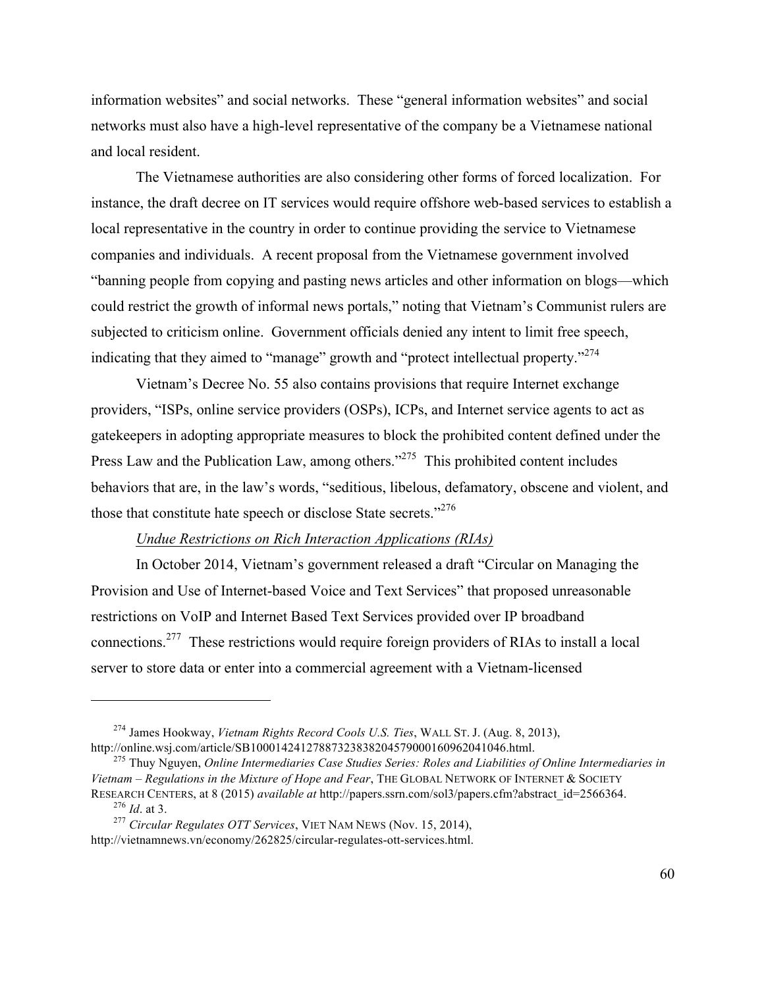information websites" and social networks. These "general information websites" and social networks must also have a high-level representative of the company be a Vietnamese national and local resident.

The Vietnamese authorities are also considering other forms of forced localization. For instance, the draft decree on IT services would require offshore web-based services to establish a local representative in the country in order to continue providing the service to Vietnamese companies and individuals. A recent proposal from the Vietnamese government involved "banning people from copying and pasting news articles and other information on blogs—which could restrict the growth of informal news portals," noting that Vietnam's Communist rulers are subjected to criticism online. Government officials denied any intent to limit free speech, indicating that they aimed to "manage" growth and "protect intellectual property."<sup>274</sup>

Vietnam's Decree No. 55 also contains provisions that require Internet exchange providers, "ISPs, online service providers (OSPs), ICPs, and Internet service agents to act as gatekeepers in adopting appropriate measures to block the prohibited content defined under the Press Law and the Publication Law, among others."<sup>275</sup> This prohibited content includes behaviors that are, in the law's words, "seditious, libelous, defamatory, obscene and violent, and those that constitute hate speech or disclose State secrets."<sup>276</sup>

#### *Undue Restrictions on Rich Interaction Applications (RIAs)*

In October 2014, Vietnam's government released a draft "Circular on Managing the Provision and Use of Internet-based Voice and Text Services" that proposed unreasonable restrictions on VoIP and Internet Based Text Services provided over IP broadband connections.277 These restrictions would require foreign providers of RIAs to install a local server to store data or enter into a commercial agreement with a Vietnam-licensed

<sup>274</sup> James Hookway, *Vietnam Rights Record Cools U.S. Ties*, WALL ST. J. (Aug. 8, 2013), http://online.wsj.com/article/SB10001424127887323838204579000160962041046.html.

<sup>275</sup> Thuy Nguyen, *Online Intermediaries Case Studies Series: Roles and Liabilities of Online Intermediaries in Vietnam – Regulations in the Mixture of Hope and Fear*, THE GLOBAL NETWORK OF INTERNET & SOCIETY

RESEARCH CENTERS, at 8 (2015) *available at* http://papers.ssrn.com/sol3/papers.cfm?abstract\_id=2566364. <sup>276</sup> *Id*. at 3.

<sup>277</sup> *Circular Regulates OTT Services*, VIET NAM NEWS (Nov. 15, 2014), http://vietnamnews.vn/economy/262825/circular-regulates-ott-services.html.